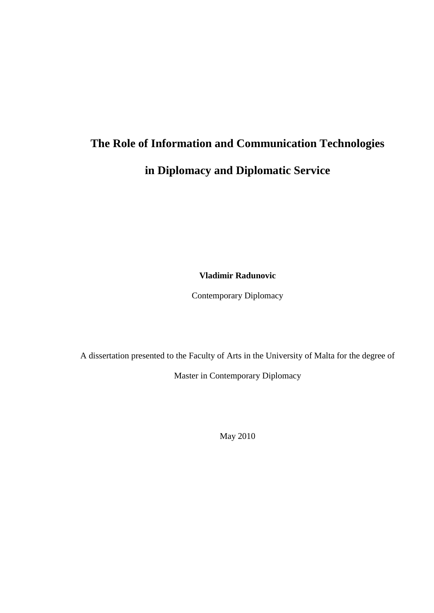# **The Role of Information and Communication Technologies in Diplomacy and Diplomatic Service**

**Vladimir Radunovic**

Contemporary Diplomacy

A dissertation presented to the Faculty of Arts in the University of Malta for the degree of Master in Contemporary Diplomacy

May 2010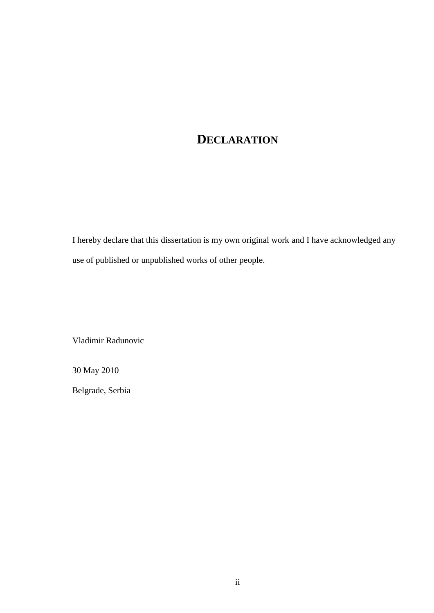# **DECLARATION**

I hereby declare that this dissertation is my own original work and I have acknowledged any use of published or unpublished works of other people.

Vladimir Radunovic

30 May 2010

Belgrade, Serbia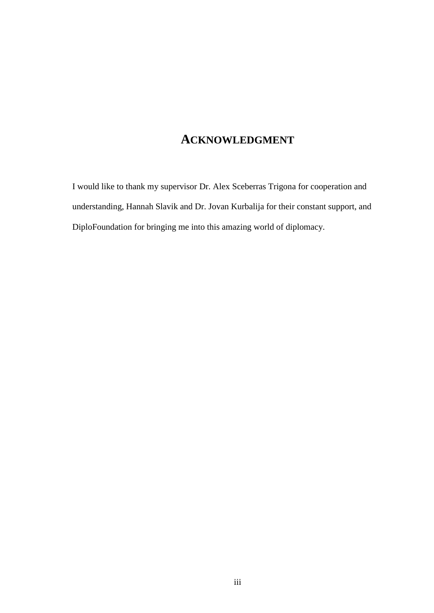### **ACKNOWLEDGMENT**

I would like to thank my supervisor Dr. Alex Sceberras Trigona for cooperation and understanding, Hannah Slavik and Dr. Jovan Kurbalija for their constant support, and DiploFoundation for bringing me into this amazing world of diplomacy.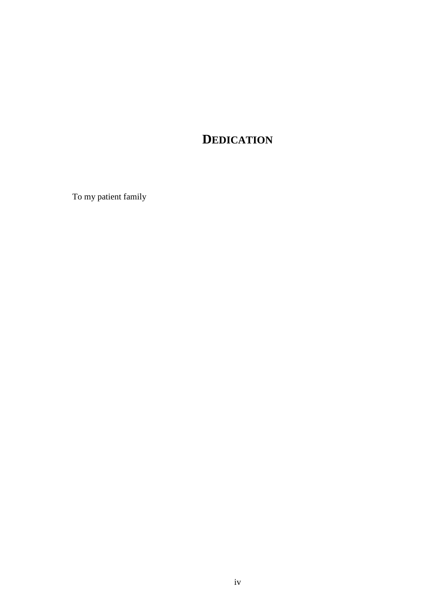# **DEDICATION**

To my patient family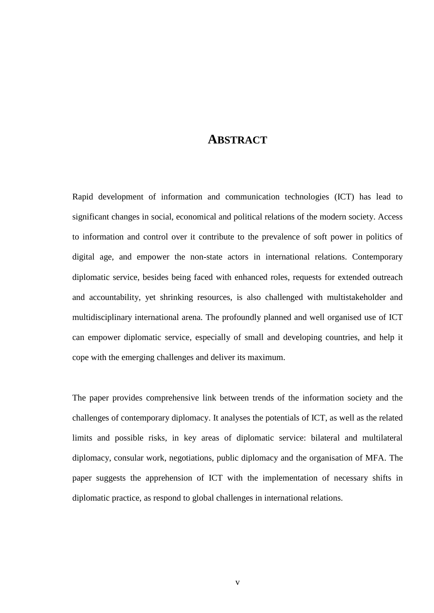### **ABSTRACT**

<span id="page-4-0"></span>Rapid development of information and communication technologies (ICT) has lead to significant changes in social, economical and political relations of the modern society. Access to information and control over it contribute to the prevalence of soft power in politics of digital age, and empower the non-state actors in international relations. Contemporary diplomatic service, besides being faced with enhanced roles, requests for extended outreach and accountability, yet shrinking resources, is also challenged with multistakeholder and multidisciplinary international arena. The profoundly planned and well organised use of ICT can empower diplomatic service, especially of small and developing countries, and help it cope with the emerging challenges and deliver its maximum.

The paper provides comprehensive link between trends of the information society and the challenges of contemporary diplomacy. It analyses the potentials of ICT, as well as the related limits and possible risks, in key areas of diplomatic service: bilateral and multilateral diplomacy, consular work, negotiations, public diplomacy and the organisation of MFA. The paper suggests the apprehension of ICT with the implementation of necessary shifts in diplomatic practice, as respond to global challenges in international relations.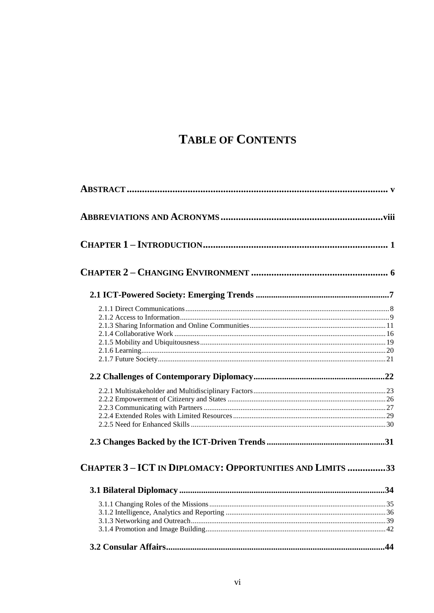# **TABLE OF CONTENTS**

| CHAPTER 3-ICT IN DIPLOMACY: OPPORTUNITIES AND LIMITS 33 |  |
|---------------------------------------------------------|--|
|                                                         |  |
|                                                         |  |
|                                                         |  |
|                                                         |  |
|                                                         |  |
|                                                         |  |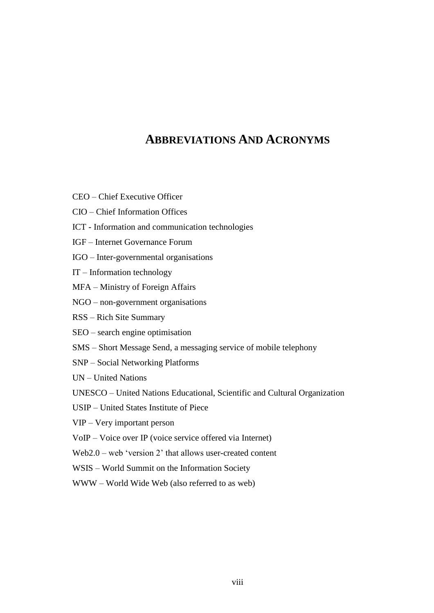# **ABBREVIATIONS AND ACRONYMS**

- <span id="page-7-0"></span>CEO – Chief Executive Officer
- CIO Chief Information Offices
- ICT Information and communication technologies
- IGF Internet Governance Forum
- IGO Inter-governmental organisations
- IT Information technology
- MFA Ministry of Foreign Affairs
- NGO non-government organisations
- RSS Rich Site Summary
- SEO search engine optimisation
- SMS Short Message Send, a messaging service of mobile telephony
- SNP Social Networking Platforms
- UN United Nations
- UNESCO United Nations Educational, Scientific and Cultural Organization
- USIP United States Institute of Piece
- VIP Very important person
- VoIP Voice over IP (voice service offered via Internet)
- Web2.0 web 'version  $2$ ' that allows user-created content
- WSIS World Summit on the Information Society
- WWW World Wide Web (also referred to as web)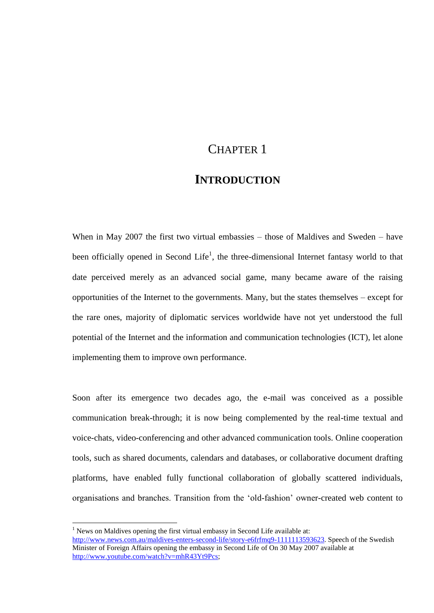# CHAPTER 1

### **INTRODUCTION**

<span id="page-8-0"></span>When in May 2007 the first two virtual embassies – those of Maldives and Sweden – have been officially opened in Second Life<sup>1</sup>, the three-dimensional Internet fantasy world to that date perceived merely as an advanced social game, many became aware of the raising opportunities of the Internet to the governments. Many, but the states themselves – except for the rare ones, majority of diplomatic services worldwide have not yet understood the full potential of the Internet and the information and communication technologies (ICT), let alone implementing them to improve own performance.

Soon after its emergence two decades ago, the e-mail was conceived as a possible communication break-through; it is now being complemented by the real-time textual and voice-chats, video-conferencing and other advanced communication tools. Online cooperation tools, such as shared documents, calendars and databases, or collaborative document drafting platforms, have enabled fully functional collaboration of globally scattered individuals, organisations and branches. Transition from the "old-fashion" owner-created web content to

 $\overline{a}$ 

<sup>&</sup>lt;sup>1</sup> News on Maldives opening the first virtual embassy in Second Life available at: [http://www.news.com.au/maldives-enters-second-life/story-e6frfmq9-1111113593623.](http://www.news.com.au/maldives-enters-second-life/story-e6frfmq9-1111113593623) Speech of the Swedish Minister of Foreign Affairs opening the embassy in Second Life of On 30 May 2007 available at [http://www.youtube.com/watch?v=mhR43Yt9Pcs;](http://www.youtube.com/watch?v=mhR43Yt9Pcs)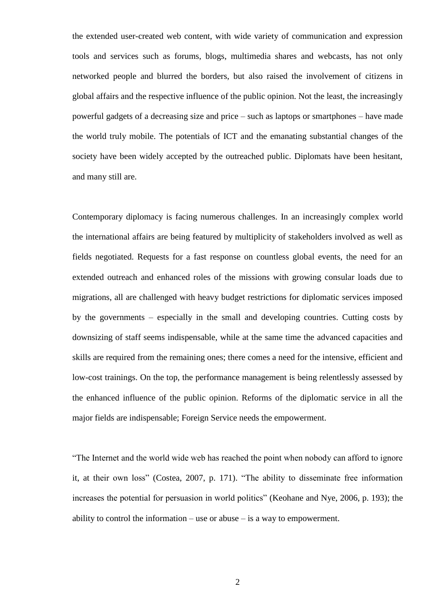the extended user-created web content, with wide variety of communication and expression tools and services such as forums, blogs, multimedia shares and webcasts, has not only networked people and blurred the borders, but also raised the involvement of citizens in global affairs and the respective influence of the public opinion. Not the least, the increasingly powerful gadgets of a decreasing size and price – such as laptops or smartphones – have made the world truly mobile. The potentials of ICT and the emanating substantial changes of the society have been widely accepted by the outreached public. Diplomats have been hesitant, and many still are.

Contemporary diplomacy is facing numerous challenges. In an increasingly complex world the international affairs are being featured by multiplicity of stakeholders involved as well as fields negotiated. Requests for a fast response on countless global events, the need for an extended outreach and enhanced roles of the missions with growing consular loads due to migrations, all are challenged with heavy budget restrictions for diplomatic services imposed by the governments – especially in the small and developing countries. Cutting costs by downsizing of staff seems indispensable, while at the same time the advanced capacities and skills are required from the remaining ones; there comes a need for the intensive, efficient and low-cost trainings. On the top, the performance management is being relentlessly assessed by the enhanced influence of the public opinion. Reforms of the diplomatic service in all the major fields are indispensable; Foreign Service needs the empowerment.

"The Internet and the world wide web has reached the point when nobody can afford to ignore it, at their own loss" (Costea, 2007, p. 171). "The ability to disseminate free information increases the potential for persuasion in world politics" (Keohane and Nye, 2006, p. 193); the ability to control the information – use or abuse – is a way to empowerment.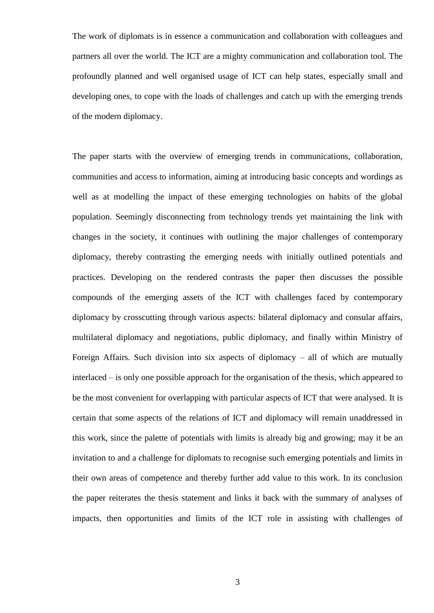The work of diplomats is in essence a communication and collaboration with colleagues and partners all over the world. The ICT are a mighty communication and collaboration tool. The profoundly planned and well organised usage of ICT can help states, especially small and developing ones, to cope with the loads of challenges and catch up with the emerging trends of the modern diplomacy.

The paper starts with the overview of emerging trends in communications, collaboration, communities and access to information, aiming at introducing basic concepts and wordings as well as at modelling the impact of these emerging technologies on habits of the global population. Seemingly disconnecting from technology trends yet maintaining the link with changes in the society, it continues with outlining the major challenges of contemporary diplomacy, thereby contrasting the emerging needs with initially outlined potentials and practices. Developing on the rendered contrasts the paper then discusses the possible compounds of the emerging assets of the ICT with challenges faced by contemporary diplomacy by crosscutting through various aspects: bilateral diplomacy and consular affairs, multilateral diplomacy and negotiations, public diplomacy, and finally within Ministry of Foreign Affairs. Such division into six aspects of diplomacy – all of which are mutually interlaced – is only one possible approach for the organisation of the thesis, which appeared to be the most convenient for overlapping with particular aspects of ICT that were analysed. It is certain that some aspects of the relations of ICT and diplomacy will remain unaddressed in this work, since the palette of potentials with limits is already big and growing; may it be an invitation to and a challenge for diplomats to recognise such emerging potentials and limits in their own areas of competence and thereby further add value to this work. In its conclusion the paper reiterates the thesis statement and links it back with the summary of analyses of impacts, then opportunities and limits of the ICT role in assisting with challenges of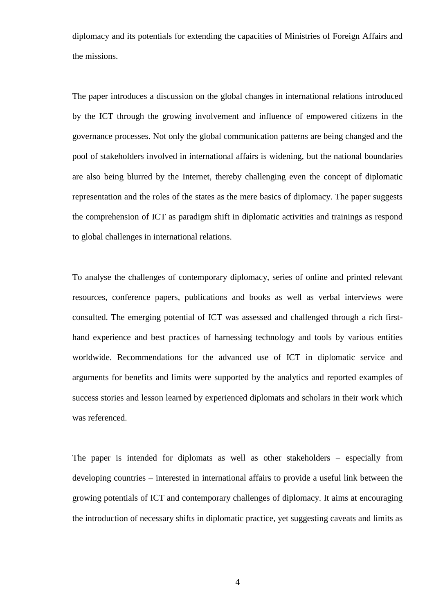diplomacy and its potentials for extending the capacities of Ministries of Foreign Affairs and the missions.

The paper introduces a discussion on the global changes in international relations introduced by the ICT through the growing involvement and influence of empowered citizens in the governance processes. Not only the global communication patterns are being changed and the pool of stakeholders involved in international affairs is widening, but the national boundaries are also being blurred by the Internet, thereby challenging even the concept of diplomatic representation and the roles of the states as the mere basics of diplomacy. The paper suggests the comprehension of ICT as paradigm shift in diplomatic activities and trainings as respond to global challenges in international relations.

To analyse the challenges of contemporary diplomacy, series of online and printed relevant resources, conference papers, publications and books as well as verbal interviews were consulted. The emerging potential of ICT was assessed and challenged through a rich firsthand experience and best practices of harnessing technology and tools by various entities worldwide. Recommendations for the advanced use of ICT in diplomatic service and arguments for benefits and limits were supported by the analytics and reported examples of success stories and lesson learned by experienced diplomats and scholars in their work which was referenced.

The paper is intended for diplomats as well as other stakeholders – especially from developing countries – interested in international affairs to provide a useful link between the growing potentials of ICT and contemporary challenges of diplomacy. It aims at encouraging the introduction of necessary shifts in diplomatic practice, yet suggesting caveats and limits as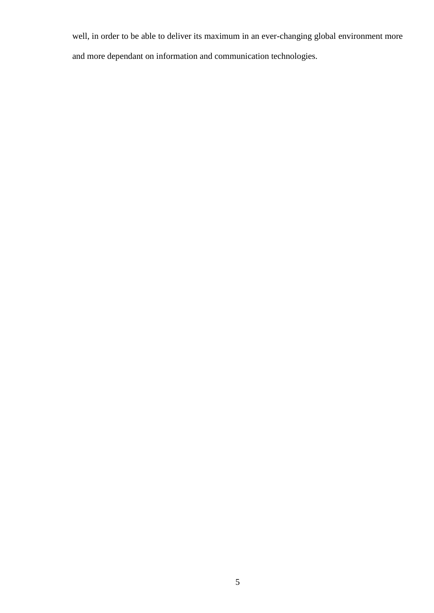well, in order to be able to deliver its maximum in an ever-changing global environment more and more dependant on information and communication technologies.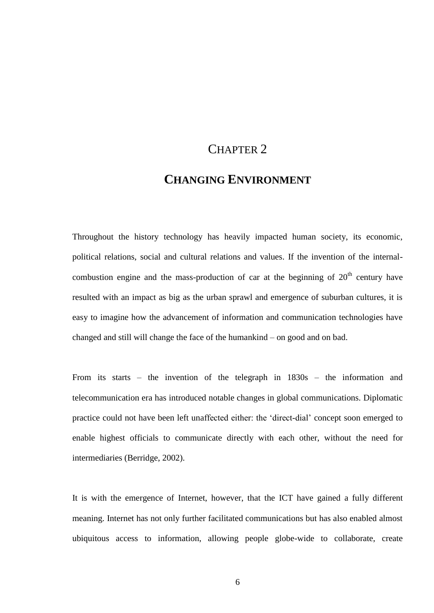# CHAPTER 2

# **CHANGING ENVIRONMENT**

<span id="page-13-0"></span>Throughout the history technology has heavily impacted human society, its economic, political relations, social and cultural relations and values. If the invention of the internalcombustion engine and the mass-production of car at the beginning of  $20<sup>th</sup>$  century have resulted with an impact as big as the urban sprawl and emergence of suburban cultures, it is easy to imagine how the advancement of information and communication technologies have changed and still will change the face of the humankind – on good and on bad.

From its starts – the invention of the telegraph in 1830s – the information and telecommunication era has introduced notable changes in global communications. Diplomatic practice could not have been left unaffected either: the "direct-dial" concept soon emerged to enable highest officials to communicate directly with each other, without the need for intermediaries (Berridge, 2002).

It is with the emergence of Internet, however, that the ICT have gained a fully different meaning. Internet has not only further facilitated communications but has also enabled almost ubiquitous access to information, allowing people globe-wide to collaborate, create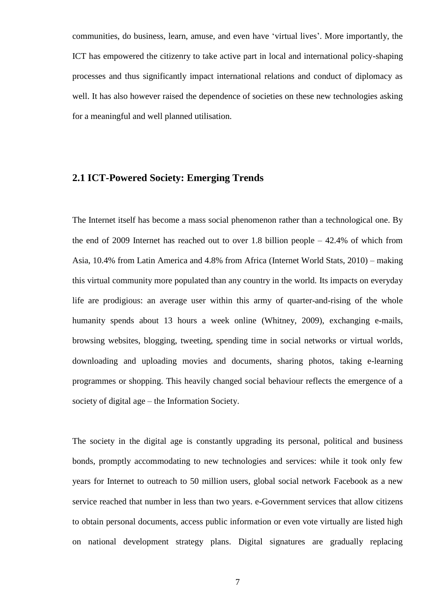communities, do business, learn, amuse, and even have "virtual lives". More importantly, the ICT has empowered the citizenry to take active part in local and international policy-shaping processes and thus significantly impact international relations and conduct of diplomacy as well. It has also however raised the dependence of societies on these new technologies asking for a meaningful and well planned utilisation.

#### <span id="page-14-0"></span>**2.1 ICT-Powered Society: Emerging Trends**

The Internet itself has become a mass social phenomenon rather than a technological one. By the end of 2009 Internet has reached out to over 1.8 billion people – 42.4% of which from Asia, 10.4% from Latin America and 4.8% from Africa (Internet World Stats, 2010) – making this virtual community more populated than any country in the world. Its impacts on everyday life are prodigious: an average user within this army of quarter-and-rising of the whole humanity spends about 13 hours a week online (Whitney, 2009), exchanging e-mails, browsing websites, blogging, tweeting, spending time in social networks or virtual worlds, downloading and uploading movies and documents, sharing photos, taking e-learning programmes or shopping. This heavily changed social behaviour reflects the emergence of a society of digital age – the Information Society.

The society in the digital age is constantly upgrading its personal, political and business bonds, promptly accommodating to new technologies and services: while it took only few years for Internet to outreach to 50 million users, global social network Facebook as a new service reached that number in less than two years. e-Government services that allow citizens to obtain personal documents, access public information or even vote virtually are listed high on national development strategy plans. Digital signatures are gradually replacing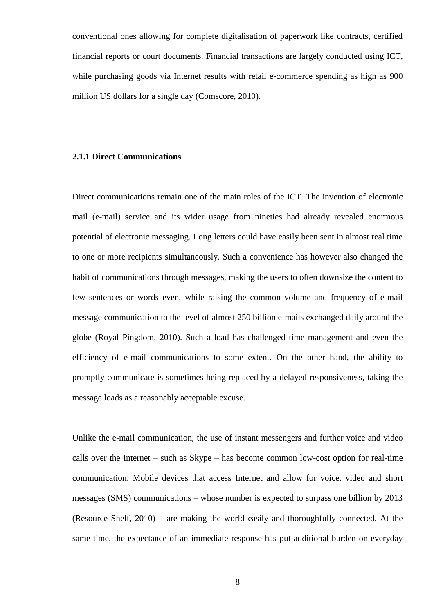conventional ones allowing for complete digitalisation of paperwork like contracts, certified financial reports or court documents. Financial transactions are largely conducted using ICT, while purchasing goods via Internet results with retail e-commerce spending as high as 900 million US dollars for a single day (Comscore, 2010).

#### <span id="page-15-0"></span>**2.1.1 Direct Communications**

Direct communications remain one of the main roles of the ICT. The invention of electronic mail (e-mail) service and its wider usage from nineties had already revealed enormous potential of electronic messaging. Long letters could have easily been sent in almost real time to one or more recipients simultaneously. Such a convenience has however also changed the habit of communications through messages, making the users to often downsize the content to few sentences or words even, while raising the common volume and frequency of e-mail message communication to the level of almost 250 billion e-mails exchanged daily around the globe (Royal Pingdom, 2010). Such a load has challenged time management and even the efficiency of e-mail communications to some extent. On the other hand, the ability to promptly communicate is sometimes being replaced by a delayed responsiveness, taking the message loads as a reasonably acceptable excuse.

Unlike the e-mail communication, the use of instant messengers and further voice and video calls over the Internet – such as Skype – has become common low-cost option for real-time communication. Mobile devices that access Internet and allow for voice, video and short messages (SMS) communications – whose number is expected to surpass one billion by 2013 (Resource Shelf, 2010) – are making the world easily and thoroughfully connected. At the same time, the expectance of an immediate response has put additional burden on everyday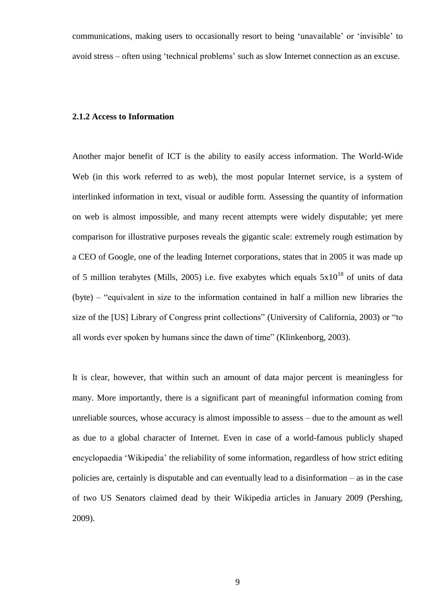communications, making users to occasionally resort to being "unavailable" or "invisible" to avoid stress – often using "technical problems" such as slow Internet connection as an excuse.

#### <span id="page-16-0"></span>**2.1.2 Access to Information**

Another major benefit of ICT is the ability to easily access information. The World-Wide Web (in this work referred to as web), the most popular Internet service, is a system of interlinked information in text, visual or audible form. Assessing the quantity of information on web is almost impossible, and many recent attempts were widely disputable; yet mere comparison for illustrative purposes reveals the gigantic scale: extremely rough estimation by a CEO of Google, one of the leading Internet corporations, states that in 2005 it was made up of 5 million terabytes (Mills, 2005) i.e. five exabytes which equals  $5x10^{18}$  of units of data (byte) – "equivalent in size to the information contained in half a million new libraries the size of the [US] Library of Congress print collections" (University of California, 2003) or "to all words ever spoken by humans since the dawn of time" (Klinkenborg, 2003).

It is clear, however, that within such an amount of data major percent is meaningless for many. More importantly, there is a significant part of meaningful information coming from unreliable sources, whose accuracy is almost impossible to assess – due to the amount as well as due to a global character of Internet. Even in case of a world-famous publicly shaped encyclopaedia "Wikipedia" the reliability of some information, regardless of how strict editing policies are, certainly is disputable and can eventually lead to a disinformation – as in the case of two US Senators claimed dead by their Wikipedia articles in January 2009 (Pershing, 2009).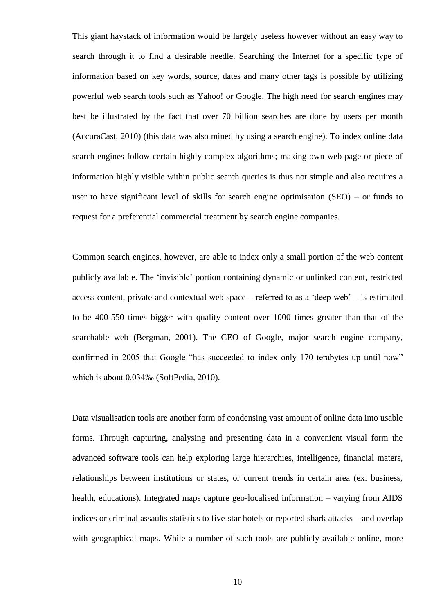This giant haystack of information would be largely useless however without an easy way to search through it to find a desirable needle. Searching the Internet for a specific type of information based on key words, source, dates and many other tags is possible by utilizing powerful web search tools such as Yahoo! or Google. The high need for search engines may best be illustrated by the fact that over 70 billion searches are done by users per month (AccuraCast, 2010) (this data was also mined by using a search engine). To index online data search engines follow certain highly complex algorithms; making own web page or piece of information highly visible within public search queries is thus not simple and also requires a user to have significant level of skills for search engine optimisation  $(SEO)$  – or funds to request for a preferential commercial treatment by search engine companies.

Common search engines, however, are able to index only a small portion of the web content publicly available. The "invisible" portion containing dynamic or unlinked content, restricted access content, private and contextual web space – referred to as a 'deep web' – is estimated to be 400-550 times bigger with quality content over 1000 times greater than that of the searchable web (Bergman, 2001). The CEO of Google, major search engine company, confirmed in 2005 that Google "has succeeded to index only 170 terabytes up until now" which is about 0.034‰ (SoftPedia, 2010).

Data visualisation tools are another form of condensing vast amount of online data into usable forms. Through capturing, analysing and presenting data in a convenient visual form the advanced software tools can help exploring large hierarchies, intelligence, financial maters, relationships between institutions or states, or current trends in certain area (ex. business, health, educations). Integrated maps capture geo-localised information – varying from AIDS indices or criminal assaults statistics to five-star hotels or reported shark attacks – and overlap with geographical maps. While a number of such tools are publicly available online, more

10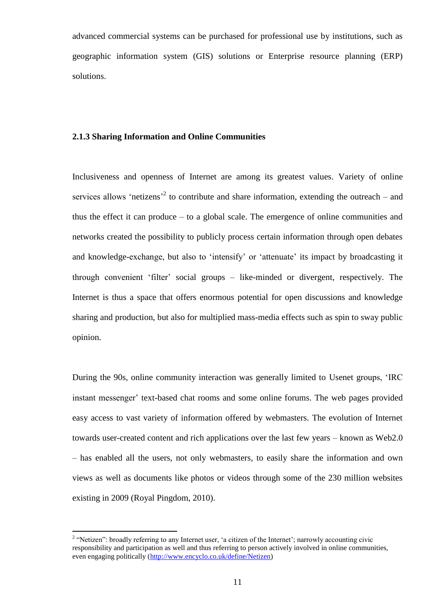advanced commercial systems can be purchased for professional use by institutions, such as geographic information system (GIS) solutions or Enterprise resource planning (ERP) solutions.

#### <span id="page-18-0"></span>**2.1.3 Sharing Information and Online Communities**

Inclusiveness and openness of Internet are among its greatest values. Variety of online services allows 'netizens<sup>'2</sup> to contribute and share information, extending the outreach – and thus the effect it can produce – to a global scale. The emergence of online communities and networks created the possibility to publicly process certain information through open debates and knowledge-exchange, but also to 'intensify' or 'attenuate' its impact by broadcasting it through convenient "filter" social groups – like-minded or divergent, respectively. The Internet is thus a space that offers enormous potential for open discussions and knowledge sharing and production, but also for multiplied mass-media effects such as spin to sway public opinion.

During the 90s, online community interaction was generally limited to Usenet groups, "IRC instant messenger' text-based chat rooms and some online forums. The web pages provided easy access to vast variety of information offered by webmasters. The evolution of Internet towards user-created content and rich applications over the last few years – known as Web2.0 – has enabled all the users, not only webmasters, to easily share the information and own views as well as documents like photos or videos through some of the 230 million websites existing in 2009 (Royal Pingdom, 2010).

 $\overline{a}$ 

<sup>&</sup>lt;sup>2</sup> "Netizen": broadly referring to any Internet user, 'a citizen of the Internet'; narrowly accounting civic responsibility and participation as well and thus referring to person actively involved in online communities, even engaging politically [\(http://www.encyclo.co.uk/define/Netizen\)](http://www.encyclo.co.uk/define/Netizen)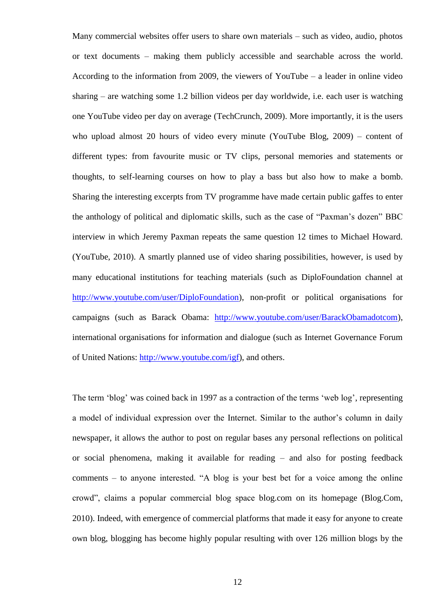Many commercial websites offer users to share own materials – such as video, audio, photos or text documents – making them publicly accessible and searchable across the world. According to the information from 2009, the viewers of YouTube – a leader in online video sharing – are watching some 1.2 billion videos per day worldwide, i.e. each user is watching one YouTube video per day on average (TechCrunch, 2009). More importantly, it is the users who upload almost 20 hours of video every minute (YouTube Blog, 2009) – content of different types: from favourite music or TV clips, personal memories and statements or thoughts, to self-learning courses on how to play a bass but also how to make a bomb. Sharing the interesting excerpts from TV programme have made certain public gaffes to enter the anthology of political and diplomatic skills, such as the case of "Paxman"s dozen" BBC interview in which Jeremy Paxman repeats the same question 12 times to Michael Howard. (YouTube, 2010). A smartly planned use of video sharing possibilities, however, is used by many educational institutions for teaching materials (such as DiploFoundation channel at [http://www.youtube.com/user/DiploFoundation\)](http://www.youtube.com/user/DiploFoundation), non-profit or political organisations for campaigns (such as Barack Obama: [http://www.youtube.com/user/BarackObamadotcom\)](http://www.youtube.com/user/BarackObamadotcom), international organisations for information and dialogue (such as Internet Governance Forum of United Nations: [http://www.youtube.com/igf\)](http://www.youtube.com/igf), and others.

The term 'blog' was coined back in 1997 as a contraction of the terms 'web log', representing a model of individual expression over the Internet. Similar to the author"s column in daily newspaper, it allows the author to post on regular bases any personal reflections on political or social phenomena, making it available for reading – and also for posting feedback comments – to anyone interested. "A blog is your best bet for a voice among the online crowd", claims a popular commercial blog space blog.com on its homepage (Blog.Com, 2010). Indeed, with emergence of commercial platforms that made it easy for anyone to create own blog, blogging has become highly popular resulting with over 126 million blogs by the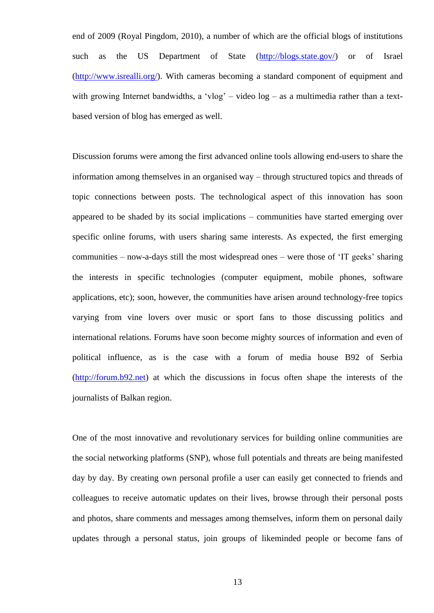end of 2009 (Royal Pingdom, 2010), a number of which are the official blogs of institutions such as the US Department of State [\(http://blogs.state.gov/\)](http://blogs.state.gov/) or of Israel [\(http://www.isrealli.org/\)](http://www.isrealli.org/). With cameras becoming a standard component of equipment and with growing Internet bandwidths, a 'vlog' - video log - as a multimedia rather than a textbased version of blog has emerged as well.

Discussion forums were among the first advanced online tools allowing end-users to share the information among themselves in an organised way – through structured topics and threads of topic connections between posts. The technological aspect of this innovation has soon appeared to be shaded by its social implications – communities have started emerging over specific online forums, with users sharing same interests. As expected, the first emerging communities – now-a-days still the most widespread ones – were those of "IT geeks" sharing the interests in specific technologies (computer equipment, mobile phones, software applications, etc); soon, however, the communities have arisen around technology-free topics varying from vine lovers over music or sport fans to those discussing politics and international relations. Forums have soon become mighty sources of information and even of political influence, as is the case with a forum of media house B92 of Serbia [\(http://forum.b92.net\)](http://forum.b92.net/) at which the discussions in focus often shape the interests of the journalists of Balkan region.

One of the most innovative and revolutionary services for building online communities are the social networking platforms (SNP), whose full potentials and threats are being manifested day by day. By creating own personal profile a user can easily get connected to friends and colleagues to receive automatic updates on their lives, browse through their personal posts and photos, share comments and messages among themselves, inform them on personal daily updates through a personal status, join groups of likeminded people or become fans of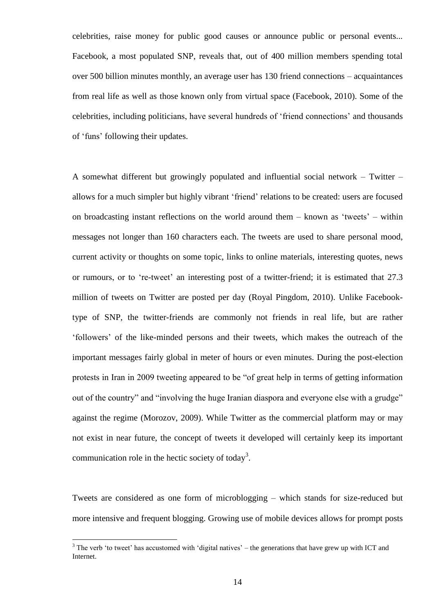celebrities, raise money for public good causes or announce public or personal events... Facebook, a most populated SNP, reveals that, out of 400 million members spending total over 500 billion minutes monthly, an average user has 130 friend connections – acquaintances from real life as well as those known only from virtual space (Facebook, 2010). Some of the celebrities, including politicians, have several hundreds of "friend connections" and thousands of "funs" following their updates.

A somewhat different but growingly populated and influential social network – Twitter – allows for a much simpler but highly vibrant "friend" relations to be created: users are focused on broadcasting instant reflections on the world around them – known as "tweets" – within messages not longer than 160 characters each. The tweets are used to share personal mood, current activity or thoughts on some topic, links to online materials, interesting quotes, news or rumours, or to "re-tweet" an interesting post of a twitter-friend; it is estimated that 27.3 million of tweets on Twitter are posted per day (Royal Pingdom, 2010). Unlike Facebooktype of SNP, the twitter-friends are commonly not friends in real life, but are rather "followers" of the like-minded persons and their tweets, which makes the outreach of the important messages fairly global in meter of hours or even minutes. During the post-election protests in Iran in 2009 tweeting appeared to be "of great help in terms of getting information out of the country" and "involving the huge Iranian diaspora and everyone else with a grudge" against the regime (Morozov, 2009). While Twitter as the commercial platform may or may not exist in near future, the concept of tweets it developed will certainly keep its important communication role in the hectic society of today<sup>3</sup>.

Tweets are considered as one form of microblogging – which stands for size-reduced but more intensive and frequent blogging. Growing use of mobile devices allows for prompt posts

 $\overline{a}$ 

 $3$  The verb 'to tweet' has accustomed with 'digital natives' – the generations that have grew up with ICT and Internet.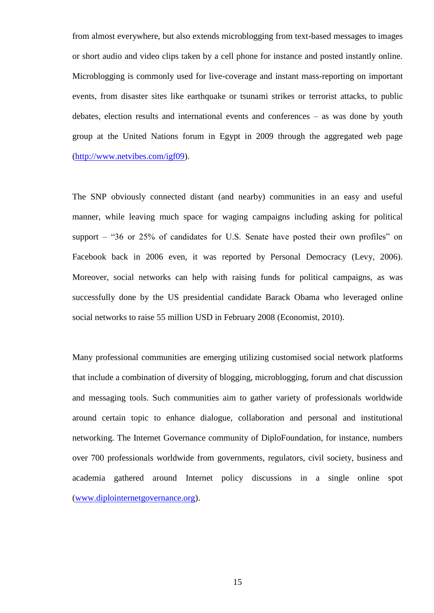from almost everywhere, but also extends microblogging from text-based messages to images or short audio and video clips taken by a cell phone for instance and posted instantly online. Microblogging is commonly used for live-coverage and instant mass-reporting on important events, from disaster sites like earthquake or tsunami strikes or terrorist attacks, to public debates, election results and international events and conferences – as was done by youth group at the United Nations forum in Egypt in 2009 through the aggregated web page [\(http://www.netvibes.com/igf09\)](http://www.netvibes.com/igf09).

The SNP obviously connected distant (and nearby) communities in an easy and useful manner, while leaving much space for waging campaigns including asking for political support – "36 or 25% of candidates for U.S. Senate have posted their own profiles" on Facebook back in 2006 even, it was reported by Personal Democracy (Levy, 2006). Moreover, social networks can help with raising funds for political campaigns, as was successfully done by the US presidential candidate Barack Obama who leveraged online social networks to raise 55 million USD in February 2008 (Economist, 2010).

Many professional communities are emerging utilizing customised social network platforms that include a combination of diversity of blogging, microblogging, forum and chat discussion and messaging tools. Such communities aim to gather variety of professionals worldwide around certain topic to enhance dialogue, collaboration and personal and institutional networking. The Internet Governance community of DiploFoundation, for instance, numbers over 700 professionals worldwide from governments, regulators, civil society, business and academia gathered around Internet policy discussions in a single online spot [\(www.diplointernetgovernance.org\)](http://www.diplointernetgovernance.org/).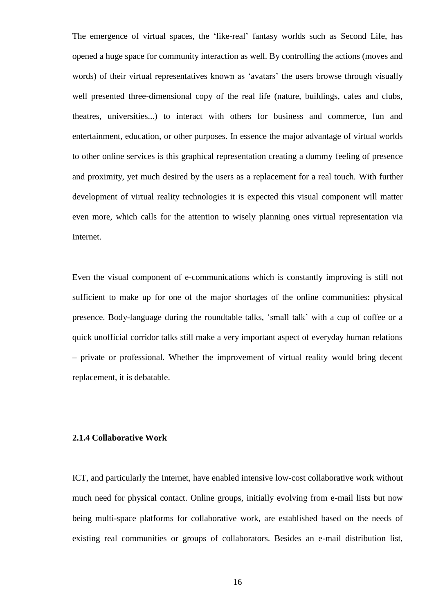The emergence of virtual spaces, the "like-real" fantasy worlds such as Second Life, has opened a huge space for community interaction as well. By controlling the actions (moves and words) of their virtual representatives known as 'avatars' the users browse through visually well presented three-dimensional copy of the real life (nature, buildings, cafes and clubs, theatres, universities...) to interact with others for business and commerce, fun and entertainment, education, or other purposes. In essence the major advantage of virtual worlds to other online services is this graphical representation creating a dummy feeling of presence and proximity, yet much desired by the users as a replacement for a real touch. With further development of virtual reality technologies it is expected this visual component will matter even more, which calls for the attention to wisely planning ones virtual representation via Internet.

Even the visual component of e-communications which is constantly improving is still not sufficient to make up for one of the major shortages of the online communities: physical presence. Body-language during the roundtable talks, "small talk" with a cup of coffee or a quick unofficial corridor talks still make a very important aspect of everyday human relations – private or professional. Whether the improvement of virtual reality would bring decent replacement, it is debatable.

#### <span id="page-23-0"></span>**2.1.4 Collaborative Work**

ICT, and particularly the Internet, have enabled intensive low-cost collaborative work without much need for physical contact. Online groups, initially evolving from e-mail lists but now being multi-space platforms for collaborative work, are established based on the needs of existing real communities or groups of collaborators. Besides an e-mail distribution list,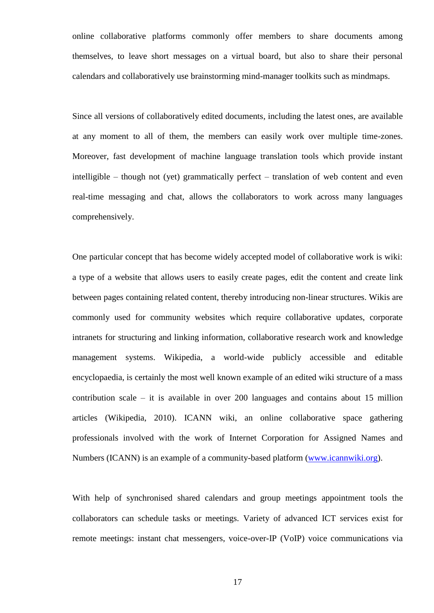online collaborative platforms commonly offer members to share documents among themselves, to leave short messages on a virtual board, but also to share their personal calendars and collaboratively use brainstorming mind-manager toolkits such as mindmaps.

Since all versions of collaboratively edited documents, including the latest ones, are available at any moment to all of them, the members can easily work over multiple time-zones. Moreover, fast development of machine language translation tools which provide instant intelligible – though not (yet) grammatically perfect – translation of web content and even real-time messaging and chat, allows the collaborators to work across many languages comprehensively.

One particular concept that has become widely accepted model of collaborative work is wiki: a type of a website that allows users to easily create pages, edit the content and create link between pages containing related content, thereby introducing non-linear structures. Wikis are commonly used for community websites which require collaborative updates, corporate intranets for structuring and linking information, collaborative research work and knowledge management systems. Wikipedia, a world-wide publicly accessible and editable encyclopaedia, is certainly the most well known example of an edited wiki structure of a mass contribution scale – it is available in over 200 languages and contains about 15 million articles (Wikipedia, 2010). ICANN wiki, an online collaborative space gathering professionals involved with the work of Internet Corporation for Assigned Names and Numbers (ICANN) is an example of a community-based platform [\(www.icannwiki.org\)](http://www.icannwiki.org/).

With help of synchronised shared calendars and group meetings appointment tools the collaborators can schedule tasks or meetings. Variety of advanced ICT services exist for remote meetings: instant chat messengers, voice-over-IP (VoIP) voice communications via

17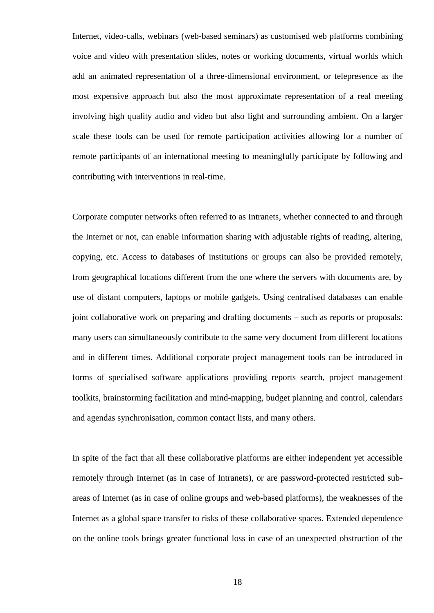Internet, video-calls, webinars (web-based seminars) as customised web platforms combining voice and video with presentation slides, notes or working documents, virtual worlds which add an animated representation of a three-dimensional environment, or telepresence as the most expensive approach but also the most approximate representation of a real meeting involving high quality audio and video but also light and surrounding ambient. On a larger scale these tools can be used for remote participation activities allowing for a number of remote participants of an international meeting to meaningfully participate by following and contributing with interventions in real-time.

Corporate computer networks often referred to as Intranets, whether connected to and through the Internet or not, can enable information sharing with adjustable rights of reading, altering, copying, etc. Access to databases of institutions or groups can also be provided remotely, from geographical locations different from the one where the servers with documents are, by use of distant computers, laptops or mobile gadgets. Using centralised databases can enable joint collaborative work on preparing and drafting documents – such as reports or proposals: many users can simultaneously contribute to the same very document from different locations and in different times. Additional corporate project management tools can be introduced in forms of specialised software applications providing reports search, project management toolkits, brainstorming facilitation and mind-mapping, budget planning and control, calendars and agendas synchronisation, common contact lists, and many others.

In spite of the fact that all these collaborative platforms are either independent yet accessible remotely through Internet (as in case of Intranets), or are password-protected restricted subareas of Internet (as in case of online groups and web-based platforms), the weaknesses of the Internet as a global space transfer to risks of these collaborative spaces. Extended dependence on the online tools brings greater functional loss in case of an unexpected obstruction of the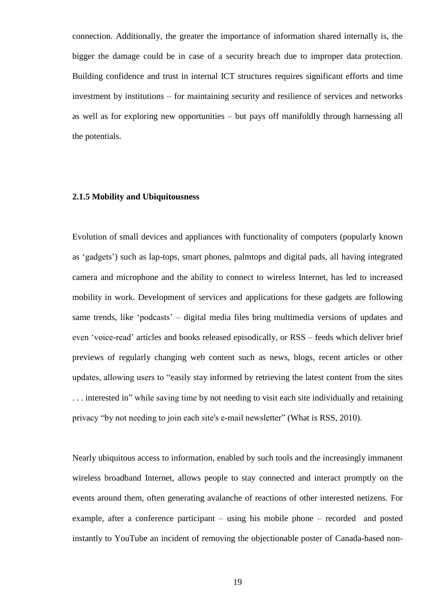connection. Additionally, the greater the importance of information shared internally is, the bigger the damage could be in case of a security breach due to improper data protection. Building confidence and trust in internal ICT structures requires significant efforts and time investment by institutions – for maintaining security and resilience of services and networks as well as for exploring new opportunities – but pays off manifoldly through harnessing all the potentials.

#### <span id="page-26-0"></span>**2.1.5 Mobility and Ubiquitousness**

Evolution of small devices and appliances with functionality of computers (popularly known as "gadgets") such as lap-tops, smart phones, palmtops and digital pads, all having integrated camera and microphone and the ability to connect to wireless Internet, has led to increased mobility in work. Development of services and applications for these gadgets are following same trends, like "podcasts" – digital media files bring multimedia versions of updates and even "voice-read" articles and books released episodically, or RSS – feeds which deliver brief previews of regularly changing web content such as news, blogs, recent articles or other updates, allowing users to "easily stay informed by retrieving the latest content from the sites . . . interested in" while saving time by not needing to visit each site individually and retaining privacy "by not needing to join each site's e-mail newsletter" (What is RSS, 2010).

Nearly ubiquitous access to information, enabled by such tools and the increasingly immanent wireless broadband Internet, allows people to stay connected and interact promptly on the events around them, often generating avalanche of reactions of other interested netizens. For example, after a conference participant – using his mobile phone – recorded and posted instantly to YouTube an incident of removing the objectionable poster of Canada-based non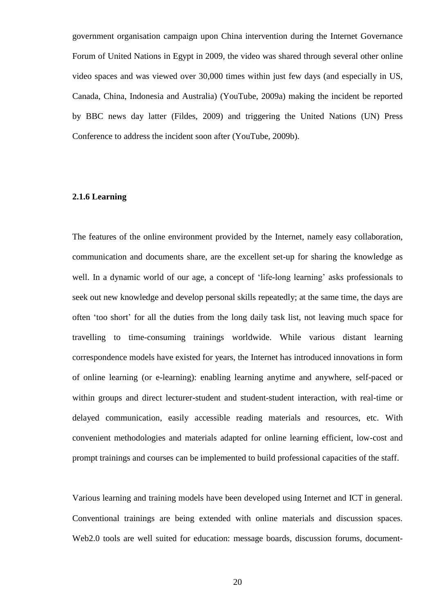government organisation campaign upon China intervention during the Internet Governance Forum of United Nations in Egypt in 2009, the video was shared through several other online video spaces and was viewed over 30,000 times within just few days (and especially in US, Canada, China, Indonesia and Australia) (YouTube, 2009a) making the incident be reported by BBC news day latter (Fildes, 2009) and triggering the United Nations (UN) Press Conference to address the incident soon after (YouTube, 2009b).

#### <span id="page-27-0"></span>**2.1.6 Learning**

The features of the online environment provided by the Internet, namely easy collaboration, communication and documents share, are the excellent set-up for sharing the knowledge as well. In a dynamic world of our age, a concept of 'life-long learning' asks professionals to seek out new knowledge and develop personal skills repeatedly; at the same time, the days are often "too short" for all the duties from the long daily task list, not leaving much space for travelling to time-consuming trainings worldwide. While various distant learning correspondence models have existed for years, the Internet has introduced innovations in form of online learning (or e-learning): enabling learning anytime and anywhere, self-paced or within groups and direct lecturer-student and student-student interaction, with real-time or delayed communication, easily accessible reading materials and resources, etc. With convenient methodologies and materials adapted for online learning efficient, low-cost and prompt trainings and courses can be implemented to build professional capacities of the staff.

Various learning and training models have been developed using Internet and ICT in general. Conventional trainings are being extended with online materials and discussion spaces. Web2.0 tools are well suited for education: message boards, discussion forums, document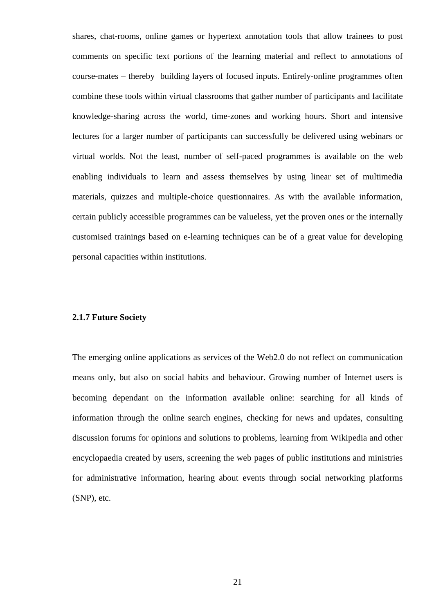shares, chat-rooms, online games or hypertext annotation tools that allow trainees to post comments on specific text portions of the learning material and reflect to annotations of course-mates – thereby building layers of focused inputs. Entirely-online programmes often combine these tools within virtual classrooms that gather number of participants and facilitate knowledge-sharing across the world, time-zones and working hours. Short and intensive lectures for a larger number of participants can successfully be delivered using webinars or virtual worlds. Not the least, number of self-paced programmes is available on the web enabling individuals to learn and assess themselves by using linear set of multimedia materials, quizzes and multiple-choice questionnaires. As with the available information, certain publicly accessible programmes can be valueless, yet the proven ones or the internally customised trainings based on e-learning techniques can be of a great value for developing personal capacities within institutions.

#### <span id="page-28-0"></span>**2.1.7 Future Society**

The emerging online applications as services of the Web2.0 do not reflect on communication means only, but also on social habits and behaviour. Growing number of Internet users is becoming dependant on the information available online: searching for all kinds of information through the online search engines, checking for news and updates, consulting discussion forums for opinions and solutions to problems, learning from Wikipedia and other encyclopaedia created by users, screening the web pages of public institutions and ministries for administrative information, hearing about events through social networking platforms (SNP), etc.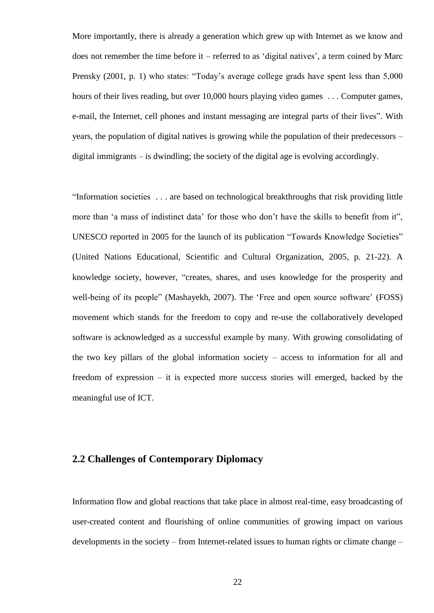More importantly, there is already a generation which grew up with Internet as we know and does not remember the time before it – referred to as 'digital natives', a term coined by Marc Prensky (2001, p. 1) who states: "Today's average college grads have spent less than 5,000 hours of their lives reading, but over 10,000 hours playing video games . . . Computer games, e-mail, the Internet, cell phones and instant messaging are integral parts of their lives". With years, the population of digital natives is growing while the population of their predecessors – digital immigrants – is dwindling; the society of the digital age is evolving accordingly.

"Information societies . . . are based on technological breakthroughs that risk providing little more than 'a mass of indistinct data' for those who don't have the skills to benefit from it", UNESCO reported in 2005 for the launch of its publication "Towards Knowledge Societies" (United Nations Educational, Scientific and Cultural Organization, 2005, p. 21-22). A knowledge society, however, "creates, shares, and uses knowledge for the prosperity and well-being of its people" (Mashayekh, 2007). The 'Free and open source software' (FOSS) movement which stands for the freedom to copy and re-use the collaboratively developed software is acknowledged as a successful example by many. With growing consolidating of the two key pillars of the global information society – access to information for all and freedom of expression – it is expected more success stories will emerged, backed by the meaningful use of ICT.

#### <span id="page-29-0"></span>**2.2 Challenges of Contemporary Diplomacy**

Information flow and global reactions that take place in almost real-time, easy broadcasting of user-created content and flourishing of online communities of growing impact on various developments in the society – from Internet-related issues to human rights or climate change –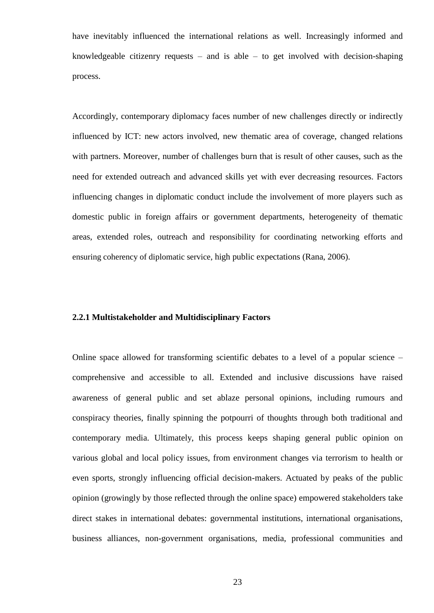have inevitably influenced the international relations as well. Increasingly informed and knowledgeable citizenry requests – and is able – to get involved with decision-shaping process.

Accordingly, contemporary diplomacy faces number of new challenges directly or indirectly influenced by ICT: new actors involved, new thematic area of coverage, changed relations with partners. Moreover, number of challenges burn that is result of other causes, such as the need for extended outreach and advanced skills yet with ever decreasing resources. Factors influencing changes in diplomatic conduct include the involvement of more players such as domestic public in foreign affairs or government departments, heterogeneity of thematic areas, extended roles, outreach and responsibility for coordinating networking efforts and ensuring coherency of diplomatic service, high public expectations (Rana, 2006).

#### <span id="page-30-0"></span>**2.2.1 Multistakeholder and Multidisciplinary Factors**

Online space allowed for transforming scientific debates to a level of a popular science – comprehensive and accessible to all. Extended and inclusive discussions have raised awareness of general public and set ablaze personal opinions, including rumours and conspiracy theories, finally spinning the potpourri of thoughts through both traditional and contemporary media. Ultimately, this process keeps shaping general public opinion on various global and local policy issues, from environment changes via terrorism to health or even sports, strongly influencing official decision-makers. Actuated by peaks of the public opinion (growingly by those reflected through the online space) empowered stakeholders take direct stakes in international debates: governmental institutions, international organisations, business alliances, non-government organisations, media, professional communities and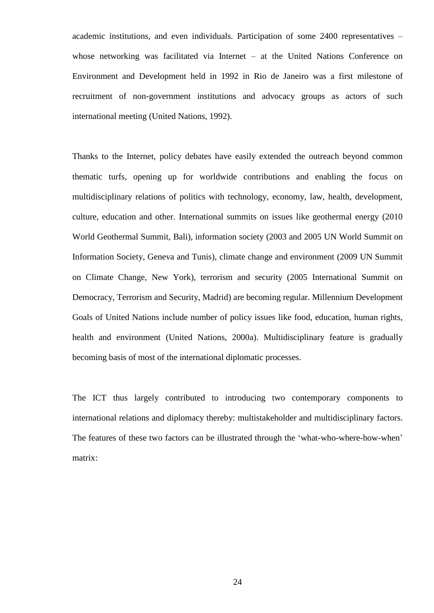academic institutions, and even individuals. Participation of some 2400 representatives – whose networking was facilitated via Internet – at the United Nations Conference on Environment and Development held in 1992 in Rio de Janeiro was a first milestone of recruitment of non-government institutions and advocacy groups as actors of such international meeting (United Nations, 1992).

Thanks to the Internet, policy debates have easily extended the outreach beyond common thematic turfs, opening up for worldwide contributions and enabling the focus on multidisciplinary relations of politics with technology, economy, law, health, development, culture, education and other. International summits on issues like geothermal energy (2010 World Geothermal Summit, Bali), information society (2003 and 2005 UN World Summit on Information Society, Geneva and Tunis), climate change and environment (2009 UN Summit on Climate Change, New York), terrorism and security (2005 International Summit on Democracy, Terrorism and Security, Madrid) are becoming regular. Millennium Development Goals of United Nations include number of policy issues like food, education, human rights, health and environment (United Nations, 2000a). Multidisciplinary feature is gradually becoming basis of most of the international diplomatic processes.

The ICT thus largely contributed to introducing two contemporary components to international relations and diplomacy thereby: multistakeholder and multidisciplinary factors. The features of these two factors can be illustrated through the "what-who-where-how-when" matrix: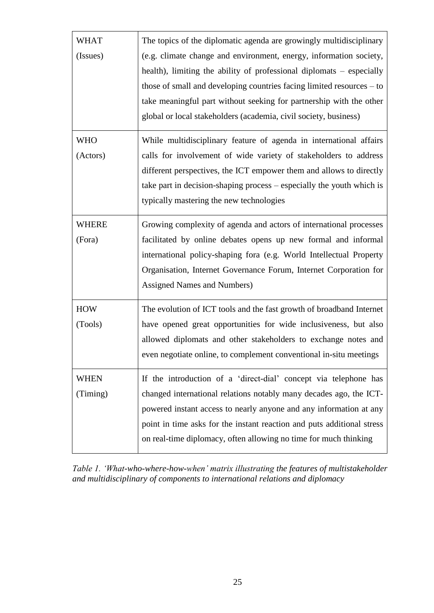| WHAT<br>(Issues)       | The topics of the diplomatic agenda are growingly multidisciplinary<br>(e.g. climate change and environment, energy, information society,<br>health), limiting the ability of professional diplomats – especially<br>those of small and developing countries facing limited resources - to<br>take meaningful part without seeking for partnership with the other<br>global or local stakeholders (academia, civil society, business) |
|------------------------|---------------------------------------------------------------------------------------------------------------------------------------------------------------------------------------------------------------------------------------------------------------------------------------------------------------------------------------------------------------------------------------------------------------------------------------|
| <b>WHO</b><br>(Actors) | While multidisciplinary feature of agenda in international affairs<br>calls for involvement of wide variety of stakeholders to address<br>different perspectives, the ICT empower them and allows to directly<br>take part in decision-shaping process – especially the youth which is<br>typically mastering the new technologies                                                                                                    |
| WHERE<br>(Fora)        | Growing complexity of agenda and actors of international processes<br>facilitated by online debates opens up new formal and informal<br>international policy-shaping fora (e.g. World Intellectual Property<br>Organisation, Internet Governance Forum, Internet Corporation for<br>Assigned Names and Numbers)                                                                                                                       |
| <b>HOW</b><br>(Tools)  | The evolution of ICT tools and the fast growth of broadband Internet<br>have opened great opportunities for wide inclusiveness, but also<br>allowed diplomats and other stakeholders to exchange notes and<br>even negotiate online, to complement conventional in-situ meetings                                                                                                                                                      |
| WHEN<br>(Timing)       | If the introduction of a 'direct-dial' concept via telephone has<br>changed international relations notably many decades ago, the ICT-<br>powered instant access to nearly anyone and any information at any<br>point in time asks for the instant reaction and puts additional stress<br>on real-time diplomacy, often allowing no time for much thinking                                                                            |

*Table 1. "What-who-where-how-when" matrix illustrating the features of multistakeholder and multidisciplinary of components to international relations and diplomacy*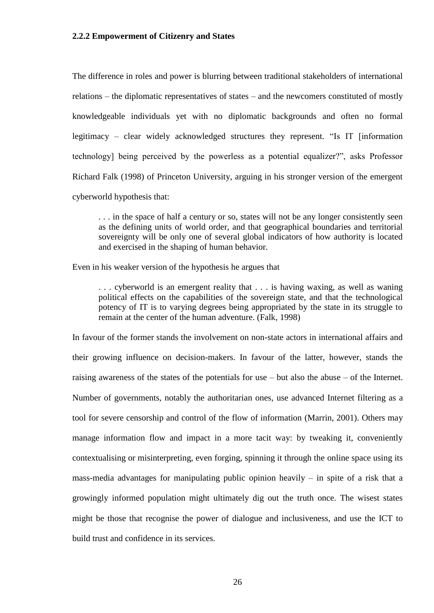#### <span id="page-33-0"></span>**2.2.2 Empowerment of Citizenry and States**

The difference in roles and power is blurring between traditional stakeholders of international relations – the diplomatic representatives of states – and the newcomers constituted of mostly knowledgeable individuals yet with no diplomatic backgrounds and often no formal legitimacy – clear widely acknowledged structures they represent. "Is IT [information technology] being perceived by the powerless as a potential equalizer?", asks Professor Richard Falk (1998) of Princeton University, arguing in his stronger version of the emergent cyberworld hypothesis that:

. . . in the space of half a century or so, states will not be any longer consistently seen as the defining units of world order, and that geographical boundaries and territorial sovereignty will be only one of several global indicators of how authority is located and exercised in the shaping of human behavior.

Even in his weaker version of the hypothesis he argues that

. . . cyberworld is an emergent reality that . . . is having waxing, as well as waning political effects on the capabilities of the sovereign state, and that the technological potency of IT is to varying degrees being appropriated by the state in its struggle to remain at the center of the human adventure. (Falk, 1998)

In favour of the former stands the involvement on non-state actors in international affairs and their growing influence on decision-makers. In favour of the latter, however, stands the raising awareness of the states of the potentials for use – but also the abuse – of the Internet. Number of governments, notably the authoritarian ones, use advanced Internet filtering as a tool for severe censorship and control of the flow of information (Marrin, 2001). Others may manage information flow and impact in a more tacit way: by tweaking it, conveniently contextualising or misinterpreting, even forging, spinning it through the online space using its mass-media advantages for manipulating public opinion heavily – in spite of a risk that a growingly informed population might ultimately dig out the truth once. The wisest states might be those that recognise the power of dialogue and inclusiveness, and use the ICT to build trust and confidence in its services.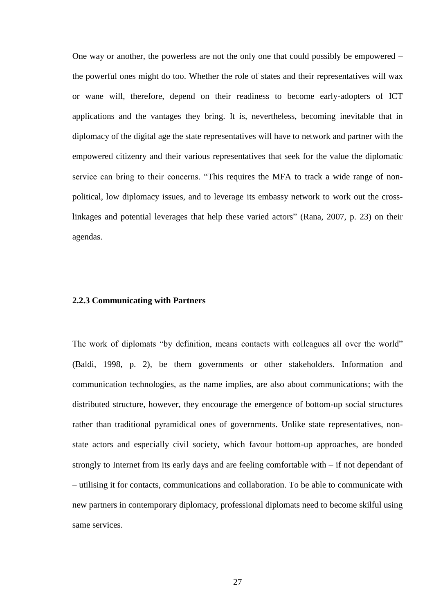One way or another, the powerless are not the only one that could possibly be empowered – the powerful ones might do too. Whether the role of states and their representatives will wax or wane will, therefore, depend on their readiness to become early-adopters of ICT applications and the vantages they bring. It is, nevertheless, becoming inevitable that in diplomacy of the digital age the state representatives will have to network and partner with the empowered citizenry and their various representatives that seek for the value the diplomatic service can bring to their concerns. "This requires the MFA to track a wide range of nonpolitical, low diplomacy issues, and to leverage its embassy network to work out the crosslinkages and potential leverages that help these varied actors" (Rana, 2007, p. 23) on their agendas.

#### <span id="page-34-0"></span>**2.2.3 Communicating with Partners**

The work of diplomats "by definition, means contacts with colleagues all over the world" (Baldi, 1998, p. 2), be them governments or other stakeholders. Information and communication technologies, as the name implies, are also about communications; with the distributed structure, however, they encourage the emergence of bottom-up social structures rather than traditional pyramidical ones of governments. Unlike state representatives, nonstate actors and especially civil society, which favour bottom-up approaches, are bonded strongly to Internet from its early days and are feeling comfortable with – if not dependant of – utilising it for contacts, communications and collaboration. To be able to communicate with new partners in contemporary diplomacy, professional diplomats need to become skilful using same services.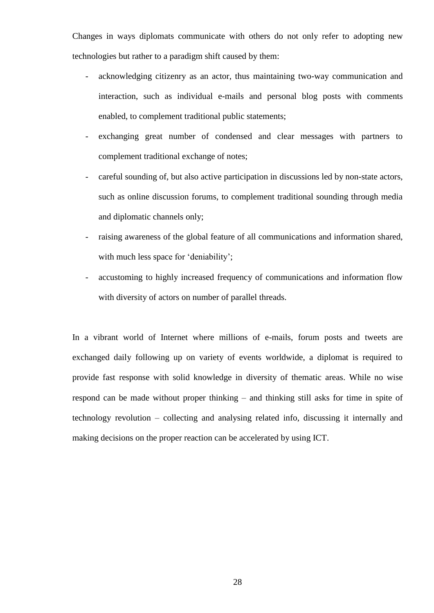Changes in ways diplomats communicate with others do not only refer to adopting new technologies but rather to a paradigm shift caused by them:

- acknowledging citizenry as an actor, thus maintaining two-way communication and interaction, such as individual e-mails and personal blog posts with comments enabled, to complement traditional public statements;
- exchanging great number of condensed and clear messages with partners to complement traditional exchange of notes;
- careful sounding of, but also active participation in discussions led by non-state actors, such as online discussion forums, to complement traditional sounding through media and diplomatic channels only;
- raising awareness of the global feature of all communications and information shared, with much less space for 'deniability';
- accustoming to highly increased frequency of communications and information flow with diversity of actors on number of parallel threads.

In a vibrant world of Internet where millions of e-mails, forum posts and tweets are exchanged daily following up on variety of events worldwide, a diplomat is required to provide fast response with solid knowledge in diversity of thematic areas. While no wise respond can be made without proper thinking – and thinking still asks for time in spite of technology revolution – collecting and analysing related info, discussing it internally and making decisions on the proper reaction can be accelerated by using ICT.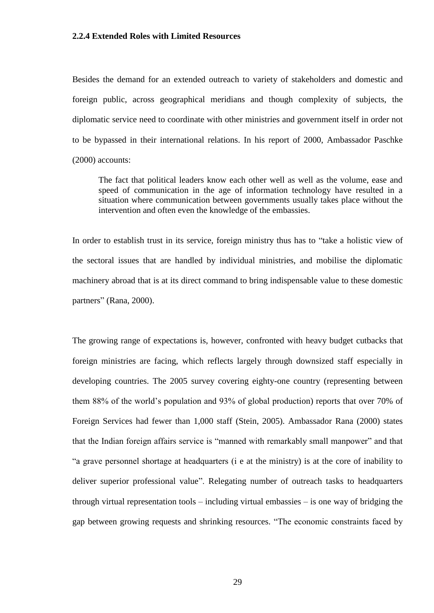### **2.2.4 Extended Roles with Limited Resources**

Besides the demand for an extended outreach to variety of stakeholders and domestic and foreign public, across geographical meridians and though complexity of subjects, the diplomatic service need to coordinate with other ministries and government itself in order not to be bypassed in their international relations. In his report of 2000, Ambassador Paschke (2000) accounts:

The fact that political leaders know each other well as well as the volume, ease and speed of communication in the age of information technology have resulted in a situation where communication between governments usually takes place without the intervention and often even the knowledge of the embassies.

In order to establish trust in its service, foreign ministry thus has to "take a holistic view of the sectoral issues that are handled by individual ministries, and mobilise the diplomatic machinery abroad that is at its direct command to bring indispensable value to these domestic partners" (Rana, 2000).

The growing range of expectations is, however, confronted with heavy budget cutbacks that foreign ministries are facing, which reflects largely through downsized staff especially in developing countries. The 2005 survey covering eighty-one country (representing between them 88% of the world"s population and 93% of global production) reports that over 70% of Foreign Services had fewer than 1,000 staff (Stein, 2005). Ambassador Rana (2000) states that the Indian foreign affairs service is "manned with remarkably small manpower" and that "a grave personnel shortage at headquarters (i e at the ministry) is at the core of inability to deliver superior professional value". Relegating number of outreach tasks to headquarters through virtual representation tools – including virtual embassies – is one way of bridging the gap between growing requests and shrinking resources. "The economic constraints faced by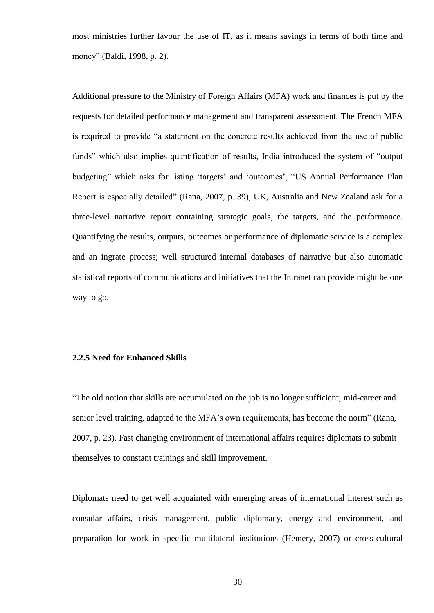most ministries further favour the use of IT, as it means savings in terms of both time and money" (Baldi, 1998, p. 2).

Additional pressure to the Ministry of Foreign Affairs (MFA) work and finances is put by the requests for detailed performance management and transparent assessment. The French MFA is required to provide "a statement on the concrete results achieved from the use of public funds" which also implies quantification of results, India introduced the system of "output budgeting" which asks for listing 'targets' and 'outcomes', "US Annual Performance Plan Report is especially detailed" (Rana, 2007, p. 39), UK, Australia and New Zealand ask for a three-level narrative report containing strategic goals, the targets, and the performance. Quantifying the results, outputs, outcomes or performance of diplomatic service is a complex and an ingrate process; well structured internal databases of narrative but also automatic statistical reports of communications and initiatives that the Intranet can provide might be one way to go.

#### **2.2.5 Need for Enhanced Skills**

"The old notion that skills are accumulated on the job is no longer sufficient; mid-career and senior level training, adapted to the MFA"s own requirements, has become the norm" (Rana, 2007, p. 23). Fast changing environment of international affairs requires diplomats to submit themselves to constant trainings and skill improvement.

Diplomats need to get well acquainted with emerging areas of international interest such as consular affairs, crisis management, public diplomacy, energy and environment, and preparation for work in specific multilateral institutions (Hemery, 2007) or cross-cultural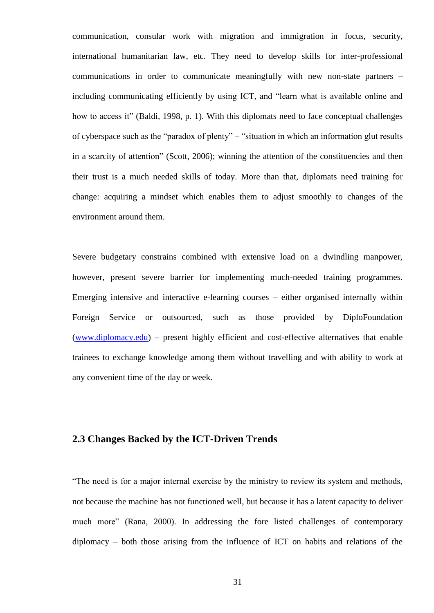communication, consular work with migration and immigration in focus, security, international humanitarian law, etc. They need to develop skills for inter-professional communications in order to communicate meaningfully with new non-state partners – including communicating efficiently by using ICT, and "learn what is available online and how to access it" (Baldi, 1998, p. 1). With this diplomats need to face conceptual challenges of cyberspace such as the "paradox of plenty" – "situation in which an information glut results in a scarcity of attention" (Scott, 2006); winning the attention of the constituencies and then their trust is a much needed skills of today. More than that, diplomats need training for change: acquiring a mindset which enables them to adjust smoothly to changes of the environment around them.

Severe budgetary constrains combined with extensive load on a dwindling manpower, however, present severe barrier for implementing much-needed training programmes. Emerging intensive and interactive e-learning courses – either organised internally within Foreign Service or outsourced, such as those provided by DiploFoundation [\(www.diplomacy.edu\)](http://www.diplomacy.edu/) – present highly efficient and cost-effective alternatives that enable trainees to exchange knowledge among them without travelling and with ability to work at any convenient time of the day or week.

## **2.3 Changes Backed by the ICT-Driven Trends**

"The need is for a major internal exercise by the ministry to review its system and methods, not because the machine has not functioned well, but because it has a latent capacity to deliver much more" (Rana, 2000). In addressing the fore listed challenges of contemporary diplomacy – both those arising from the influence of ICT on habits and relations of the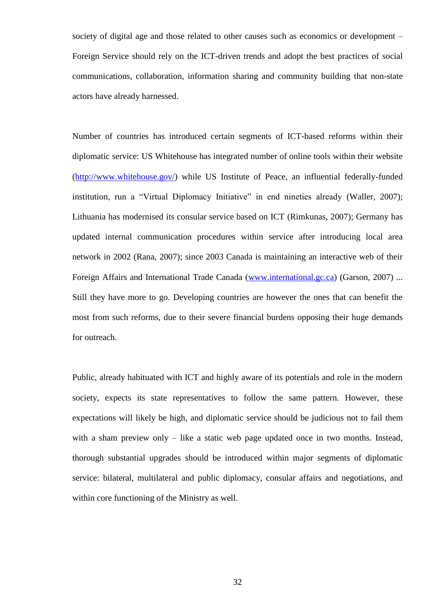society of digital age and those related to other causes such as economics or development – Foreign Service should rely on the ICT-driven trends and adopt the best practices of social communications, collaboration, information sharing and community building that non-state actors have already harnessed.

Number of countries has introduced certain segments of ICT-based reforms within their diplomatic service: US Whitehouse has integrated number of online tools within their website [\(http://www.whitehouse.gov/\)](http://www.whitehouse.gov/) while US Institute of Peace, an influential federally-funded institution, run a "Virtual Diplomacy Initiative" in end nineties already (Waller, 2007); Lithuania has modernised its consular service based on ICT (Rimkunas, 2007); Germany has updated internal communication procedures within service after introducing local area network in 2002 (Rana, 2007); since 2003 Canada is maintaining an interactive web of their Foreign Affairs and International Trade Canada [\(www.international.gc.ca\)](http://www.international.gc.ca/) (Garson, 2007) ... Still they have more to go. Developing countries are however the ones that can benefit the most from such reforms, due to their severe financial burdens opposing their huge demands for outreach.

Public, already habituated with ICT and highly aware of its potentials and role in the modern society, expects its state representatives to follow the same pattern. However, these expectations will likely be high, and diplomatic service should be judicious not to fail them with a sham preview only – like a static web page updated once in two months. Instead, thorough substantial upgrades should be introduced within major segments of diplomatic service: bilateral, multilateral and public diplomacy, consular affairs and negotiations, and within core functioning of the Ministry as well.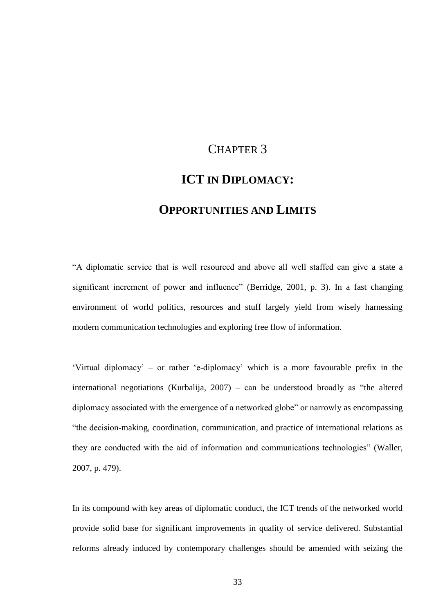# CHAPTER 3

# **ICT IN DIPLOMACY:**

## **OPPORTUNITIES AND LIMITS**

"A diplomatic service that is well resourced and above all well staffed can give a state a significant increment of power and influence" (Berridge, 2001, p. 3). In a fast changing environment of world politics, resources and stuff largely yield from wisely harnessing modern communication technologies and exploring free flow of information.

"Virtual diplomacy" – or rather "e-diplomacy" which is a more favourable prefix in the international negotiations (Kurbalija, 2007) – can be understood broadly as "the altered diplomacy associated with the emergence of a networked globe" or narrowly as encompassing "the decision-making, coordination, communication, and practice of international relations as they are conducted with the aid of information and communications technologies" (Waller, 2007, p. 479).

In its compound with key areas of diplomatic conduct, the ICT trends of the networked world provide solid base for significant improvements in quality of service delivered. Substantial reforms already induced by contemporary challenges should be amended with seizing the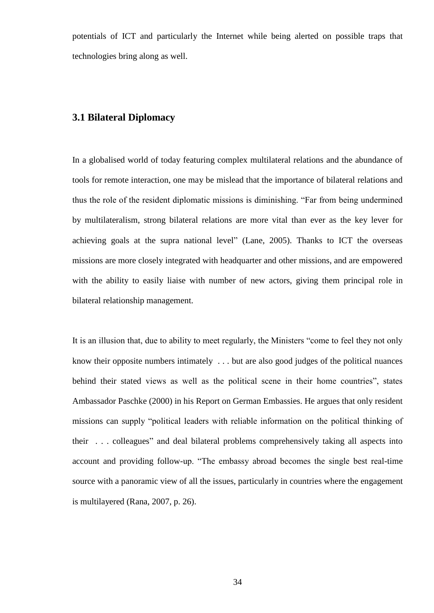potentials of ICT and particularly the Internet while being alerted on possible traps that technologies bring along as well.

## **3.1 Bilateral Diplomacy**

In a globalised world of today featuring complex multilateral relations and the abundance of tools for remote interaction, one may be mislead that the importance of bilateral relations and thus the role of the resident diplomatic missions is diminishing. "Far from being undermined by multilateralism, strong bilateral relations are more vital than ever as the key lever for achieving goals at the supra national level" (Lane, 2005). Thanks to ICT the overseas missions are more closely integrated with headquarter and other missions, and are empowered with the ability to easily liaise with number of new actors, giving them principal role in bilateral relationship management.

It is an illusion that, due to ability to meet regularly, the Ministers "come to feel they not only know their opposite numbers intimately . . . but are also good judges of the political nuances behind their stated views as well as the political scene in their home countries", states Ambassador Paschke (2000) in his Report on German Embassies. He argues that only resident missions can supply "political leaders with reliable information on the political thinking of their . . . colleagues" and deal bilateral problems comprehensively taking all aspects into account and providing follow-up. "The embassy abroad becomes the single best real-time source with a panoramic view of all the issues, particularly in countries where the engagement is multilayered (Rana, 2007, p. 26).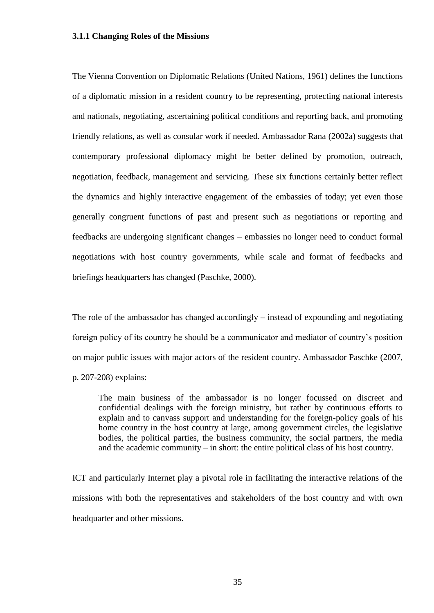#### **3.1.1 Changing Roles of the Missions**

The Vienna Convention on Diplomatic Relations (United Nations, 1961) defines the functions of a diplomatic mission in a resident country to be representing, protecting national interests and nationals, negotiating, ascertaining political conditions and reporting back, and promoting friendly relations, as well as consular work if needed. Ambassador Rana (2002a) suggests that contemporary professional diplomacy might be better defined by promotion, outreach, negotiation, feedback, management and servicing. These six functions certainly better reflect the dynamics and highly interactive engagement of the embassies of today; yet even those generally congruent functions of past and present such as negotiations or reporting and feedbacks are undergoing significant changes – embassies no longer need to conduct formal negotiations with host country governments, while scale and format of feedbacks and briefings headquarters has changed (Paschke, 2000).

The role of the ambassador has changed accordingly – instead of expounding and negotiating foreign policy of its country he should be a communicator and mediator of country"s position on major public issues with major actors of the resident country. Ambassador Paschke (2007, p. 207-208) explains:

The main business of the ambassador is no longer focussed on discreet and confidential dealings with the foreign ministry, but rather by continuous efforts to explain and to canvass support and understanding for the foreign-policy goals of his home country in the host country at large, among government circles, the legislative bodies, the political parties, the business community, the social partners, the media and the academic community – in short: the entire political class of his host country.

ICT and particularly Internet play a pivotal role in facilitating the interactive relations of the missions with both the representatives and stakeholders of the host country and with own headquarter and other missions.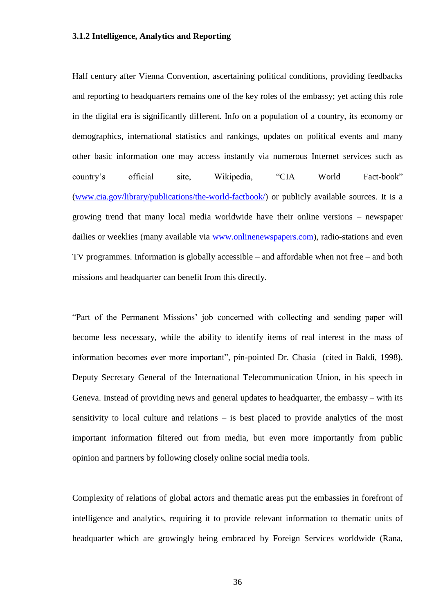### **3.1.2 Intelligence, Analytics and Reporting**

Half century after Vienna Convention, ascertaining political conditions, providing feedbacks and reporting to headquarters remains one of the key roles of the embassy; yet acting this role in the digital era is significantly different. Info on a population of a country, its economy or demographics, international statistics and rankings, updates on political events and many other basic information one may access instantly via numerous Internet services such as country"s official site, Wikipedia, "CIA World Fact-book" [\(www.cia.gov/library/publications/the-world-factbook/\)](http://www.cia.gov/library/publications/the-world-factbook/) or publicly available sources. It is a growing trend that many local media worldwide have their online versions – newspaper dailies or weeklies (many available via [www.onlinenewspapers.com\)](http://www.onlinenewspapers.com/), radio-stations and even TV programmes. Information is globally accessible – and affordable when not free – and both missions and headquarter can benefit from this directly.

"Part of the Permanent Missions" job concerned with collecting and sending paper will become less necessary, while the ability to identify items of real interest in the mass of information becomes ever more important", pin-pointed Dr. Chasia (cited in Baldi, 1998), Deputy Secretary General of the International Telecommunication Union, in his speech in Geneva. Instead of providing news and general updates to headquarter, the embassy – with its sensitivity to local culture and relations – is best placed to provide analytics of the most important information filtered out from media, but even more importantly from public opinion and partners by following closely online social media tools.

Complexity of relations of global actors and thematic areas put the embassies in forefront of intelligence and analytics, requiring it to provide relevant information to thematic units of headquarter which are growingly being embraced by Foreign Services worldwide (Rana,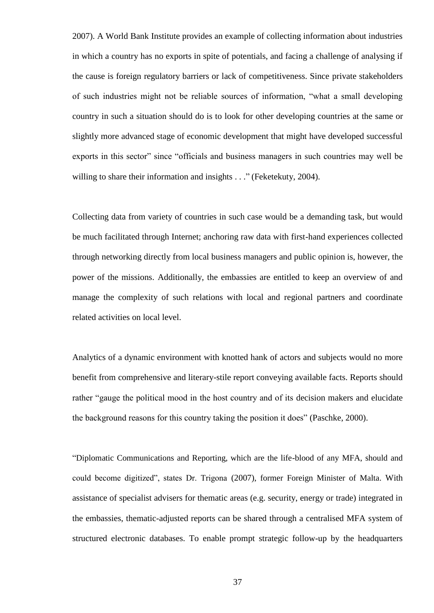2007). A World Bank Institute provides an example of collecting information about industries in which a country has no exports in spite of potentials, and facing a challenge of analysing if the cause is foreign regulatory barriers or lack of competitiveness. Since private stakeholders of such industries might not be reliable sources of information, "what a small developing country in such a situation should do is to look for other developing countries at the same or slightly more advanced stage of economic development that might have developed successful exports in this sector" since "officials and business managers in such countries may well be willing to share their information and insights . . ." (Feketekuty, 2004).

Collecting data from variety of countries in such case would be a demanding task, but would be much facilitated through Internet; anchoring raw data with first-hand experiences collected through networking directly from local business managers and public opinion is, however, the power of the missions. Additionally, the embassies are entitled to keep an overview of and manage the complexity of such relations with local and regional partners and coordinate related activities on local level.

Analytics of a dynamic environment with knotted hank of actors and subjects would no more benefit from comprehensive and literary-stile report conveying available facts. Reports should rather "gauge the political mood in the host country and of its decision makers and elucidate the background reasons for this country taking the position it does" (Paschke, 2000).

"Diplomatic Communications and Reporting, which are the life-blood of any MFA, should and could become digitized", states Dr. Trigona (2007), former Foreign Minister of Malta. With assistance of specialist advisers for thematic areas (e.g. security, energy or trade) integrated in the embassies, thematic-adjusted reports can be shared through a centralised MFA system of structured electronic databases. To enable prompt strategic follow-up by the headquarters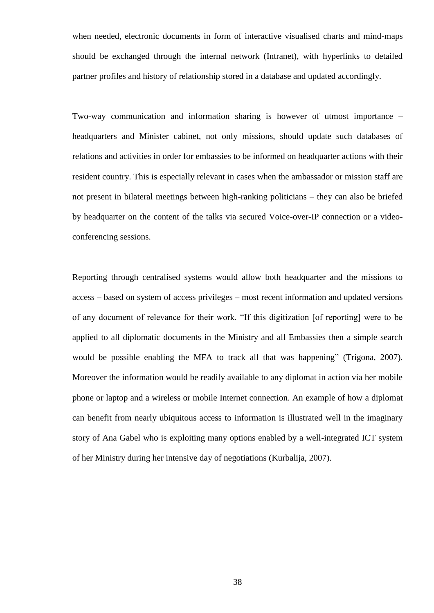when needed, electronic documents in form of interactive visualised charts and mind-maps should be exchanged through the internal network (Intranet), with hyperlinks to detailed partner profiles and history of relationship stored in a database and updated accordingly.

Two-way communication and information sharing is however of utmost importance – headquarters and Minister cabinet, not only missions, should update such databases of relations and activities in order for embassies to be informed on headquarter actions with their resident country. This is especially relevant in cases when the ambassador or mission staff are not present in bilateral meetings between high-ranking politicians – they can also be briefed by headquarter on the content of the talks via secured Voice-over-IP connection or a videoconferencing sessions.

Reporting through centralised systems would allow both headquarter and the missions to access – based on system of access privileges – most recent information and updated versions of any document of relevance for their work. "If this digitization [of reporting] were to be applied to all diplomatic documents in the Ministry and all Embassies then a simple search would be possible enabling the MFA to track all that was happening" (Trigona, 2007). Moreover the information would be readily available to any diplomat in action via her mobile phone or laptop and a wireless or mobile Internet connection. An example of how a diplomat can benefit from nearly ubiquitous access to information is illustrated well in the imaginary story of Ana Gabel who is exploiting many options enabled by a well-integrated ICT system of her Ministry during her intensive day of negotiations (Kurbalija, 2007).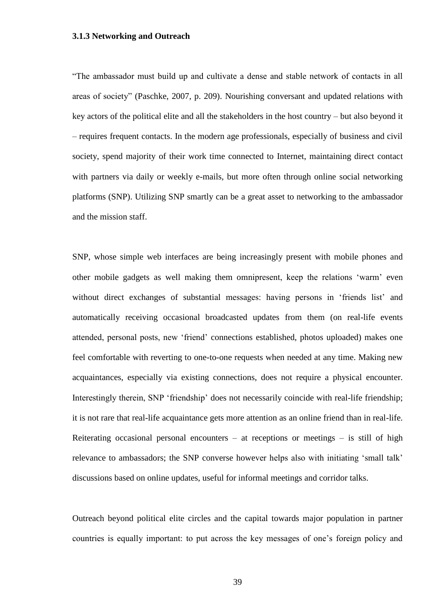### **3.1.3 Networking and Outreach**

"The ambassador must build up and cultivate a dense and stable network of contacts in all areas of society" (Paschke, 2007, p. 209). Nourishing conversant and updated relations with key actors of the political elite and all the stakeholders in the host country – but also beyond it – requires frequent contacts. In the modern age professionals, especially of business and civil society, spend majority of their work time connected to Internet, maintaining direct contact with partners via daily or weekly e-mails, but more often through online social networking platforms (SNP). Utilizing SNP smartly can be a great asset to networking to the ambassador and the mission staff.

SNP, whose simple web interfaces are being increasingly present with mobile phones and other mobile gadgets as well making them omnipresent, keep the relations "warm" even without direct exchanges of substantial messages: having persons in 'friends list' and automatically receiving occasional broadcasted updates from them (on real-life events attended, personal posts, new "friend" connections established, photos uploaded) makes one feel comfortable with reverting to one-to-one requests when needed at any time. Making new acquaintances, especially via existing connections, does not require a physical encounter. Interestingly therein, SNP "friendship" does not necessarily coincide with real-life friendship; it is not rare that real-life acquaintance gets more attention as an online friend than in real-life. Reiterating occasional personal encounters – at receptions or meetings – is still of high relevance to ambassadors; the SNP converse however helps also with initiating "small talk" discussions based on online updates, useful for informal meetings and corridor talks.

Outreach beyond political elite circles and the capital towards major population in partner countries is equally important: to put across the key messages of one"s foreign policy and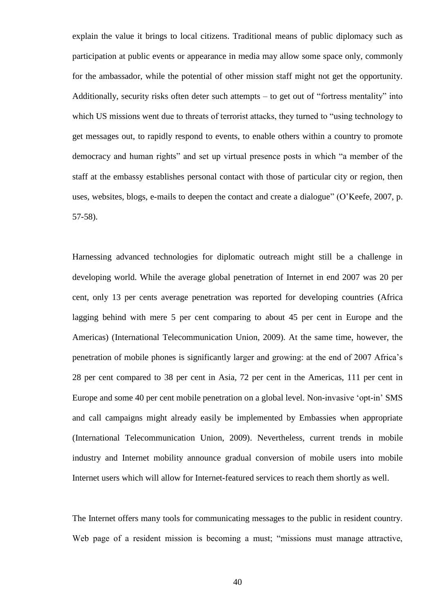explain the value it brings to local citizens. Traditional means of public diplomacy such as participation at public events or appearance in media may allow some space only, commonly for the ambassador, while the potential of other mission staff might not get the opportunity. Additionally, security risks often deter such attempts – to get out of "fortress mentality" into which US missions went due to threats of terrorist attacks, they turned to "using technology to get messages out, to rapidly respond to events, to enable others within a country to promote democracy and human rights" and set up virtual presence posts in which "a member of the staff at the embassy establishes personal contact with those of particular city or region, then uses, websites, blogs, e-mails to deepen the contact and create a dialogue" (O"Keefe, 2007, p. 57-58).

Harnessing advanced technologies for diplomatic outreach might still be a challenge in developing world. While the average global penetration of Internet in end 2007 was 20 per cent, only 13 per cents average penetration was reported for developing countries (Africa lagging behind with mere 5 per cent comparing to about 45 per cent in Europe and the Americas) (International Telecommunication Union, 2009). At the same time, however, the penetration of mobile phones is significantly larger and growing: at the end of 2007 Africa"s 28 per cent compared to 38 per cent in Asia, 72 per cent in the Americas, 111 per cent in Europe and some 40 per cent mobile penetration on a global level. Non-invasive "opt-in" SMS and call campaigns might already easily be implemented by Embassies when appropriate (International Telecommunication Union, 2009). Nevertheless, current trends in mobile industry and Internet mobility announce gradual conversion of mobile users into mobile Internet users which will allow for Internet-featured services to reach them shortly as well.

The Internet offers many tools for communicating messages to the public in resident country. Web page of a resident mission is becoming a must; "missions must manage attractive,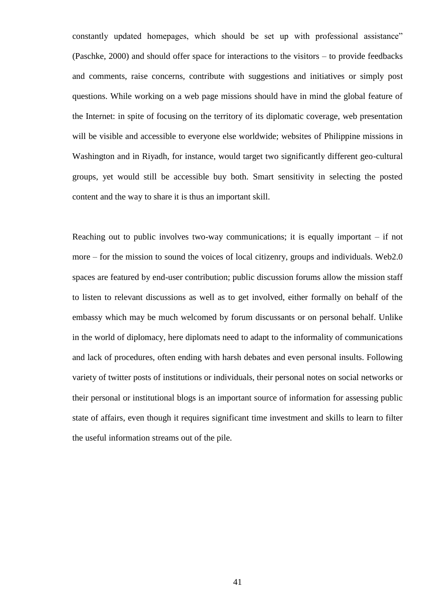constantly updated homepages, which should be set up with professional assistance" (Paschke, 2000) and should offer space for interactions to the visitors – to provide feedbacks and comments, raise concerns, contribute with suggestions and initiatives or simply post questions. While working on a web page missions should have in mind the global feature of the Internet: in spite of focusing on the territory of its diplomatic coverage, web presentation will be visible and accessible to everyone else worldwide; websites of Philippine missions in Washington and in Riyadh, for instance, would target two significantly different geo-cultural groups, yet would still be accessible buy both. Smart sensitivity in selecting the posted content and the way to share it is thus an important skill.

Reaching out to public involves two-way communications; it is equally important  $-$  if not more – for the mission to sound the voices of local citizenry, groups and individuals. Web2.0 spaces are featured by end-user contribution; public discussion forums allow the mission staff to listen to relevant discussions as well as to get involved, either formally on behalf of the embassy which may be much welcomed by forum discussants or on personal behalf. Unlike in the world of diplomacy, here diplomats need to adapt to the informality of communications and lack of procedures, often ending with harsh debates and even personal insults. Following variety of twitter posts of institutions or individuals, their personal notes on social networks or their personal or institutional blogs is an important source of information for assessing public state of affairs, even though it requires significant time investment and skills to learn to filter the useful information streams out of the pile.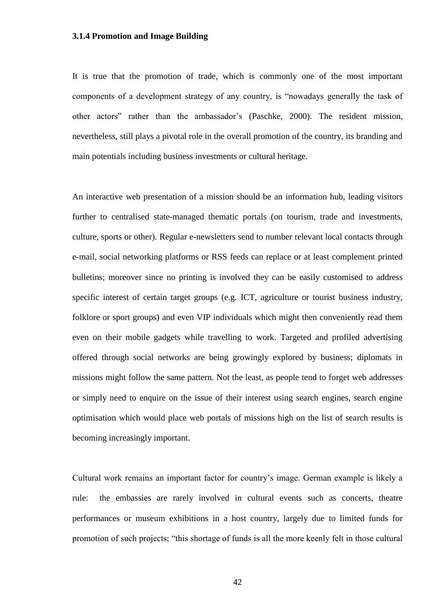### **3.1.4 Promotion and Image Building**

It is true that the promotion of trade, which is commonly one of the most important components of a development strategy of any country, is "nowadays generally the task of other actors" rather than the ambassador"s (Paschke, 2000). The resident mission, nevertheless, still plays a pivotal role in the overall promotion of the country, its branding and main potentials including business investments or cultural heritage.

An interactive web presentation of a mission should be an information hub, leading visitors further to centralised state-managed thematic portals (on tourism, trade and investments, culture, sports or other). Regular e-newsletters send to number relevant local contacts through e-mail, social networking platforms or RSS feeds can replace or at least complement printed bulletins; moreover since no printing is involved they can be easily customised to address specific interest of certain target groups (e.g. ICT, agriculture or tourist business industry, folklore or sport groups) and even VIP individuals which might then conveniently read them even on their mobile gadgets while travelling to work. Targeted and profiled advertising offered through social networks are being growingly explored by business; diplomats in missions might follow the same pattern. Not the least, as people tend to forget web addresses or simply need to enquire on the issue of their interest using search engines, search engine optimisation which would place web portals of missions high on the list of search results is becoming increasingly important.

Cultural work remains an important factor for country"s image. German example is likely a rule: the embassies are rarely involved in cultural events such as concerts, theatre performances or museum exhibitions in a host country, largely due to limited funds for promotion of such projects; "this shortage of funds is all the more keenly felt in those cultural

42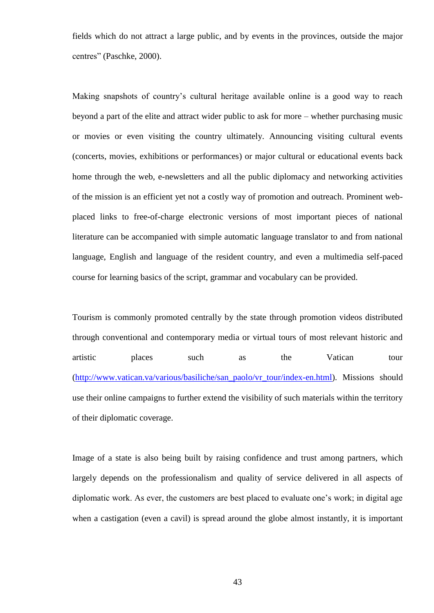fields which do not attract a large public, and by events in the provinces, outside the major centres" (Paschke, 2000).

Making snapshots of country"s cultural heritage available online is a good way to reach beyond a part of the elite and attract wider public to ask for more – whether purchasing music or movies or even visiting the country ultimately. Announcing visiting cultural events (concerts, movies, exhibitions or performances) or major cultural or educational events back home through the web, e-newsletters and all the public diplomacy and networking activities of the mission is an efficient yet not a costly way of promotion and outreach. Prominent webplaced links to free-of-charge electronic versions of most important pieces of national literature can be accompanied with simple automatic language translator to and from national language, English and language of the resident country, and even a multimedia self-paced course for learning basics of the script, grammar and vocabulary can be provided.

Tourism is commonly promoted centrally by the state through promotion videos distributed through conventional and contemporary media or virtual tours of most relevant historic and artistic places such as the Vatican tour [\(http://www.vatican.va/various/basiliche/san\\_paolo/vr\\_tour/index-en.html\)](http://www.vatican.va/various/basiliche/san_paolo/vr_tour/index-en.html). Missions should use their online campaigns to further extend the visibility of such materials within the territory of their diplomatic coverage.

Image of a state is also being built by raising confidence and trust among partners, which largely depends on the professionalism and quality of service delivered in all aspects of diplomatic work. As ever, the customers are best placed to evaluate one"s work; in digital age when a castigation (even a cavil) is spread around the globe almost instantly, it is important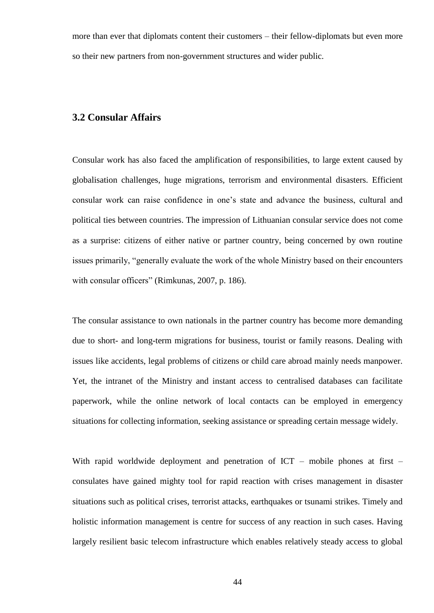more than ever that diplomats content their customers – their fellow-diplomats but even more so their new partners from non-government structures and wider public.

### **3.2 Consular Affairs**

Consular work has also faced the amplification of responsibilities, to large extent caused by globalisation challenges, huge migrations, terrorism and environmental disasters. Efficient consular work can raise confidence in one"s state and advance the business, cultural and political ties between countries. The impression of Lithuanian consular service does not come as a surprise: citizens of either native or partner country, being concerned by own routine issues primarily, "generally evaluate the work of the whole Ministry based on their encounters with consular officers" (Rimkunas, 2007, p. 186).

The consular assistance to own nationals in the partner country has become more demanding due to short- and long-term migrations for business, tourist or family reasons. Dealing with issues like accidents, legal problems of citizens or child care abroad mainly needs manpower. Yet, the intranet of the Ministry and instant access to centralised databases can facilitate paperwork, while the online network of local contacts can be employed in emergency situations for collecting information, seeking assistance or spreading certain message widely.

With rapid worldwide deployment and penetration of ICT – mobile phones at first – consulates have gained mighty tool for rapid reaction with crises management in disaster situations such as political crises, terrorist attacks, earthquakes or tsunami strikes. Timely and holistic information management is centre for success of any reaction in such cases. Having largely resilient basic telecom infrastructure which enables relatively steady access to global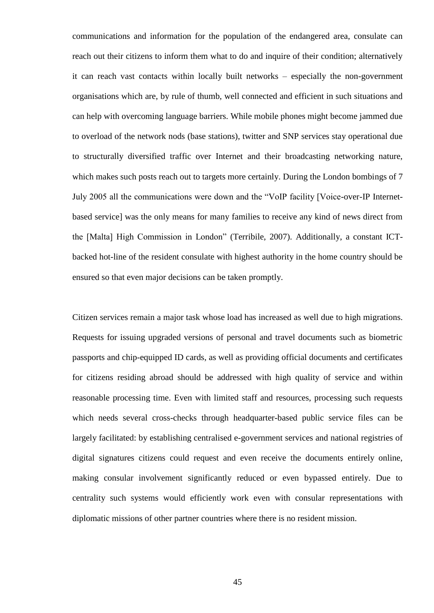communications and information for the population of the endangered area, consulate can reach out their citizens to inform them what to do and inquire of their condition; alternatively it can reach vast contacts within locally built networks – especially the non-government organisations which are, by rule of thumb, well connected and efficient in such situations and can help with overcoming language barriers. While mobile phones might become jammed due to overload of the network nods (base stations), twitter and SNP services stay operational due to structurally diversified traffic over Internet and their broadcasting networking nature, which makes such posts reach out to targets more certainly. During the London bombings of 7 July 2005 all the communications were down and the "VoIP facility [Voice-over-IP Internetbased service] was the only means for many families to receive any kind of news direct from the [Malta] High Commission in London" (Terribile, 2007). Additionally, a constant ICTbacked hot-line of the resident consulate with highest authority in the home country should be ensured so that even major decisions can be taken promptly.

Citizen services remain a major task whose load has increased as well due to high migrations. Requests for issuing upgraded versions of personal and travel documents such as biometric passports and chip-equipped ID cards, as well as providing official documents and certificates for citizens residing abroad should be addressed with high quality of service and within reasonable processing time. Even with limited staff and resources, processing such requests which needs several cross-checks through headquarter-based public service files can be largely facilitated: by establishing centralised e-government services and national registries of digital signatures citizens could request and even receive the documents entirely online, making consular involvement significantly reduced or even bypassed entirely. Due to centrality such systems would efficiently work even with consular representations with diplomatic missions of other partner countries where there is no resident mission.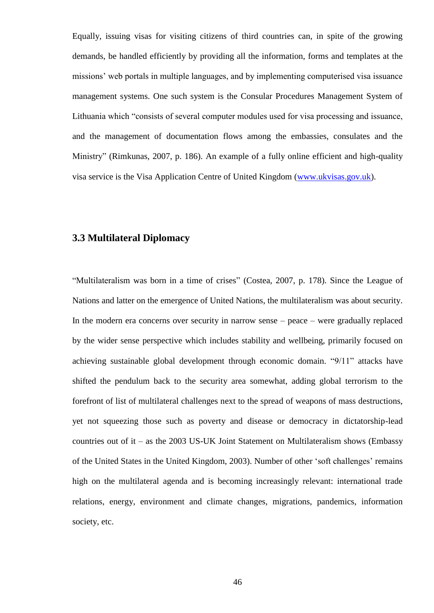Equally, issuing visas for visiting citizens of third countries can, in spite of the growing demands, be handled efficiently by providing all the information, forms and templates at the missions" web portals in multiple languages, and by implementing computerised visa issuance management systems. One such system is the Consular Procedures Management System of Lithuania which "consists of several computer modules used for visa processing and issuance, and the management of documentation flows among the embassies, consulates and the Ministry" (Rimkunas, 2007, p. 186). An example of a fully online efficient and high-quality visa service is the Visa Application Centre of United Kingdom [\(www.ukvisas.gov.uk\)](http://www.ukvisas.gov.uk/).

## **3.3 Multilateral Diplomacy**

"Multilateralism was born in a time of crises" (Costea, 2007, p. 178). Since the League of Nations and latter on the emergence of United Nations, the multilateralism was about security. In the modern era concerns over security in narrow sense – peace – were gradually replaced by the wider sense perspective which includes stability and wellbeing, primarily focused on achieving sustainable global development through economic domain. "9/11" attacks have shifted the pendulum back to the security area somewhat, adding global terrorism to the forefront of list of multilateral challenges next to the spread of weapons of mass destructions, yet not squeezing those such as poverty and disease or democracy in dictatorship-lead countries out of it – as the 2003 US-UK Joint Statement on Multilateralism shows (Embassy of the United States in the United Kingdom, 2003). Number of other "soft challenges" remains high on the multilateral agenda and is becoming increasingly relevant: international trade relations, energy, environment and climate changes, migrations, pandemics, information society, etc.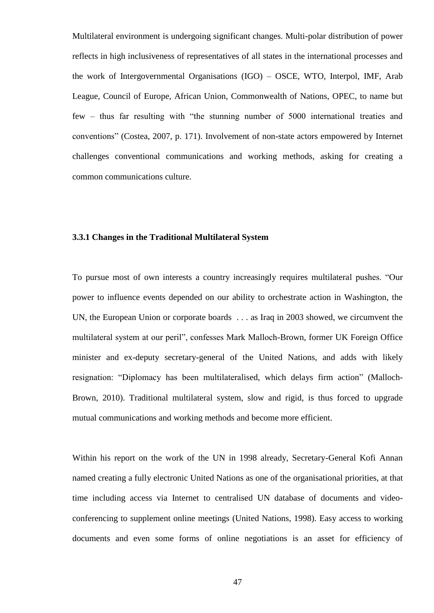Multilateral environment is undergoing significant changes. Multi-polar distribution of power reflects in high inclusiveness of representatives of all states in the international processes and the work of Intergovernmental Organisations (IGO) – OSCE, WTO, Interpol, IMF, Arab League, Council of Europe, African Union, Commonwealth of Nations, OPEC, to name but few – thus far resulting with "the stunning number of 5000 international treaties and conventions" (Costea, 2007, p. 171). Involvement of non-state actors empowered by Internet challenges conventional communications and working methods, asking for creating a common communications culture.

### **3.3.1 Changes in the Traditional Multilateral System**

To pursue most of own interests a country increasingly requires multilateral pushes. "Our power to influence events depended on our ability to orchestrate action in Washington, the UN, the European Union or corporate boards . . . as Iraq in 2003 showed, we circumvent the multilateral system at our peril", confesses Mark Malloch-Brown, former UK Foreign Office minister and ex-deputy secretary-general of the United Nations, and adds with likely resignation: "Diplomacy has been multilateralised, which delays firm action" (Malloch-Brown, 2010). Traditional multilateral system, slow and rigid, is thus forced to upgrade mutual communications and working methods and become more efficient.

Within his report on the work of the UN in 1998 already, Secretary-General Kofi Annan named creating a fully electronic United Nations as one of the organisational priorities, at that time including access via Internet to centralised UN database of documents and videoconferencing to supplement online meetings (United Nations, 1998). Easy access to working documents and even some forms of online negotiations is an asset for efficiency of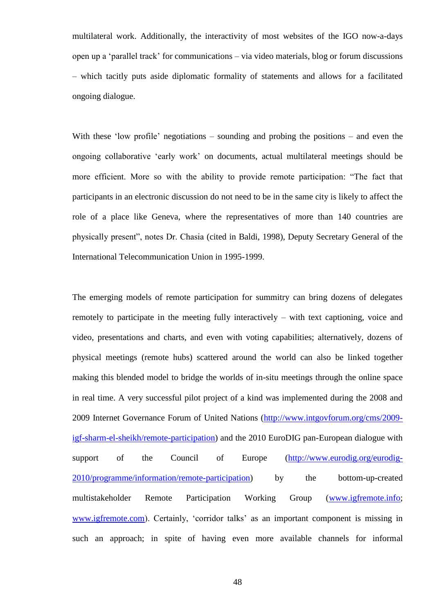multilateral work. Additionally, the interactivity of most websites of the IGO now-a-days open up a "parallel track" for communications – via video materials, blog or forum discussions – which tacitly puts aside diplomatic formality of statements and allows for a facilitated ongoing dialogue.

With these 'low profile' negotiations – sounding and probing the positions – and even the ongoing collaborative "early work" on documents, actual multilateral meetings should be more efficient. More so with the ability to provide remote participation: "The fact that participants in an electronic discussion do not need to be in the same city is likely to affect the role of a place like Geneva, where the representatives of more than 140 countries are physically present", notes Dr. Chasia (cited in Baldi, 1998), Deputy Secretary General of the International Telecommunication Union in 1995-1999.

The emerging models of remote participation for summitry can bring dozens of delegates remotely to participate in the meeting fully interactively – with text captioning, voice and video, presentations and charts, and even with voting capabilities; alternatively, dozens of physical meetings (remote hubs) scattered around the world can also be linked together making this blended model to bridge the worlds of in-situ meetings through the online space in real time. A very successful pilot project of a kind was implemented during the 2008 and 2009 Internet Governance Forum of United Nations [\(http://www.intgovforum.org/cms/2009](http://www.intgovforum.org/cms/2009-igf-sharm-el-sheikh/remote-participation) [igf-sharm-el-sheikh/remote-participation\)](http://www.intgovforum.org/cms/2009-igf-sharm-el-sheikh/remote-participation) and the 2010 EuroDIG pan-European dialogue with support of the Council of Europe [\(http://www.eurodig.org/eurodig-](http://www.eurodig.org/eurodig-2010/programme/information/remote-participation)[2010/programme/information/remote-participation\)](http://www.eurodig.org/eurodig-2010/programme/information/remote-participation) by the bottom-up-created multistakeholder Remote Participation Working Group [\(www.igfremote.info;](http://www.igfremote.info/) [www.igfremote.com\)](http://www.igfremote.com/). Certainly, 'corridor talks' as an important component is missing in such an approach; in spite of having even more available channels for informal

48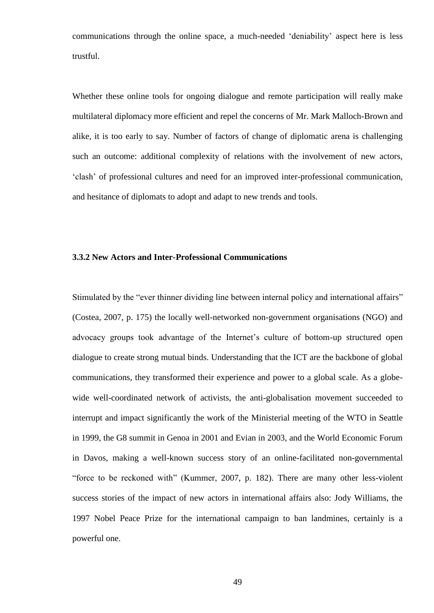communications through the online space, a much-needed "deniability" aspect here is less trustful.

Whether these online tools for ongoing dialogue and remote participation will really make multilateral diplomacy more efficient and repel the concerns of Mr. Mark Malloch-Brown and alike, it is too early to say. Number of factors of change of diplomatic arena is challenging such an outcome: additional complexity of relations with the involvement of new actors, "clash" of professional cultures and need for an improved inter-professional communication, and hesitance of diplomats to adopt and adapt to new trends and tools.

### **3.3.2 New Actors and Inter-Professional Communications**

Stimulated by the "ever thinner dividing line between internal policy and international affairs" (Costea, 2007, p. 175) the locally well-networked non-government organisations (NGO) and advocacy groups took advantage of the Internet"s culture of bottom-up structured open dialogue to create strong mutual binds. Understanding that the ICT are the backbone of global communications, they transformed their experience and power to a global scale. As a globewide well-coordinated network of activists, the anti-globalisation movement succeeded to interrupt and impact significantly the work of the Ministerial meeting of the WTO in Seattle in 1999, the G8 summit in Genoa in 2001 and Evian in 2003, and the World Economic Forum in Davos, making a well-known success story of an online-facilitated non-governmental "force to be reckoned with" (Kummer, 2007, p. 182). There are many other less-violent success stories of the impact of new actors in international affairs also: Jody Williams, the 1997 Nobel Peace Prize for the international campaign to ban landmines, certainly is a powerful one.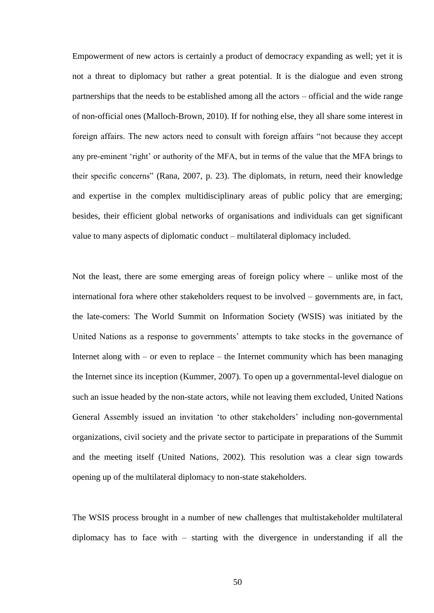Empowerment of new actors is certainly a product of democracy expanding as well; yet it is not a threat to diplomacy but rather a great potential. It is the dialogue and even strong partnerships that the needs to be established among all the actors – official and the wide range of non-official ones (Malloch-Brown, 2010). If for nothing else, they all share some interest in foreign affairs. The new actors need to consult with foreign affairs "not because they accept any pre-eminent 'right' or authority of the MFA, but in terms of the value that the MFA brings to their specific concerns" (Rana, 2007, p. 23). The diplomats, in return, need their knowledge and expertise in the complex multidisciplinary areas of public policy that are emerging; besides, their efficient global networks of organisations and individuals can get significant value to many aspects of diplomatic conduct – multilateral diplomacy included.

Not the least, there are some emerging areas of foreign policy where – unlike most of the international fora where other stakeholders request to be involved – governments are, in fact, the late-comers: The World Summit on Information Society (WSIS) was initiated by the United Nations as a response to governments' attempts to take stocks in the governance of Internet along with – or even to replace – the Internet community which has been managing the Internet since its inception (Kummer, 2007). To open up a governmental-level dialogue on such an issue headed by the non-state actors, while not leaving them excluded, United Nations General Assembly issued an invitation 'to other stakeholders' including non-governmental organizations, civil society and the private sector to participate in preparations of the Summit and the meeting itself (United Nations, 2002). This resolution was a clear sign towards opening up of the multilateral diplomacy to non-state stakeholders.

The WSIS process brought in a number of new challenges that multistakeholder multilateral diplomacy has to face with – starting with the divergence in understanding if all the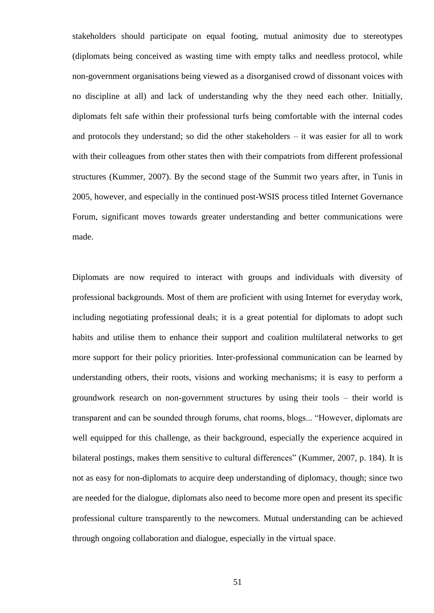stakeholders should participate on equal footing, mutual animosity due to stereotypes (diplomats being conceived as wasting time with empty talks and needless protocol, while non-government organisations being viewed as a disorganised crowd of dissonant voices with no discipline at all) and lack of understanding why the they need each other. Initially, diplomats felt safe within their professional turfs being comfortable with the internal codes and protocols they understand; so did the other stakeholders – it was easier for all to work with their colleagues from other states then with their compatriots from different professional structures (Kummer, 2007). By the second stage of the Summit two years after, in Tunis in 2005, however, and especially in the continued post-WSIS process titled Internet Governance Forum, significant moves towards greater understanding and better communications were made.

Diplomats are now required to interact with groups and individuals with diversity of professional backgrounds. Most of them are proficient with using Internet for everyday work, including negotiating professional deals; it is a great potential for diplomats to adopt such habits and utilise them to enhance their support and coalition multilateral networks to get more support for their policy priorities. Inter-professional communication can be learned by understanding others, their roots, visions and working mechanisms; it is easy to perform a groundwork research on non-government structures by using their tools – their world is transparent and can be sounded through forums, chat rooms, blogs... "However, diplomats are well equipped for this challenge, as their background, especially the experience acquired in bilateral postings, makes them sensitive to cultural differences" (Kummer, 2007, p. 184). It is not as easy for non-diplomats to acquire deep understanding of diplomacy, though; since two are needed for the dialogue, diplomats also need to become more open and present its specific professional culture transparently to the newcomers. Mutual understanding can be achieved through ongoing collaboration and dialogue, especially in the virtual space.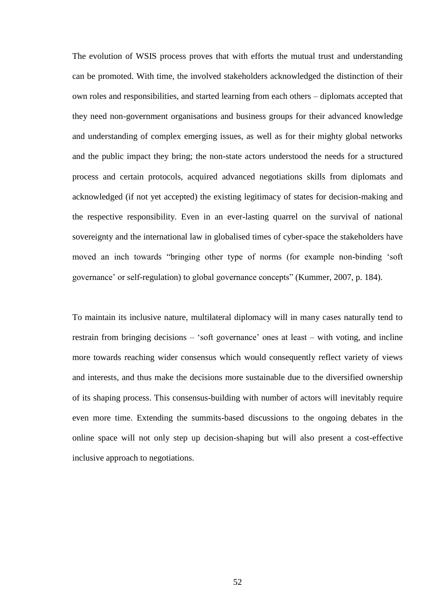The evolution of WSIS process proves that with efforts the mutual trust and understanding can be promoted. With time, the involved stakeholders acknowledged the distinction of their own roles and responsibilities, and started learning from each others – diplomats accepted that they need non-government organisations and business groups for their advanced knowledge and understanding of complex emerging issues, as well as for their mighty global networks and the public impact they bring; the non-state actors understood the needs for a structured process and certain protocols, acquired advanced negotiations skills from diplomats and acknowledged (if not yet accepted) the existing legitimacy of states for decision-making and the respective responsibility. Even in an ever-lasting quarrel on the survival of national sovereignty and the international law in globalised times of cyber-space the stakeholders have moved an inch towards "bringing other type of norms (for example non-binding "soft governance" or self-regulation) to global governance concepts" (Kummer, 2007, p. 184).

To maintain its inclusive nature, multilateral diplomacy will in many cases naturally tend to restrain from bringing decisions – "soft governance" ones at least – with voting, and incline more towards reaching wider consensus which would consequently reflect variety of views and interests, and thus make the decisions more sustainable due to the diversified ownership of its shaping process. This consensus-building with number of actors will inevitably require even more time. Extending the summits-based discussions to the ongoing debates in the online space will not only step up decision-shaping but will also present a cost-effective inclusive approach to negotiations.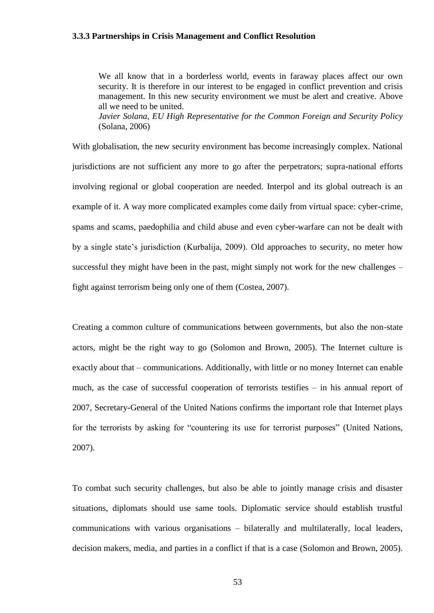#### **3.3.3 Partnerships in Crisis Management and Conflict Resolution**

We all know that in a borderless world, events in faraway places affect our own security. It is therefore in our interest to be engaged in conflict prevention and crisis management. In this new security environment we must be alert and creative. Above all we need to be united. *Javier Solana, EU High Representative for the Common Foreign and Security Policy*

(Solana, 2006)

With globalisation, the new security environment has become increasingly complex. National jurisdictions are not sufficient any more to go after the perpetrators; supra-national efforts involving regional or global cooperation are needed. Interpol and its global outreach is an example of it. A way more complicated examples come daily from virtual space: cyber-crime, spams and scams, paedophilia and child abuse and even cyber-warfare can not be dealt with by a single state"s jurisdiction (Kurbalija, 2009). Old approaches to security, no meter how successful they might have been in the past, might simply not work for the new challenges – fight against terrorism being only one of them (Costea, 2007).

Creating a common culture of communications between governments, but also the non-state actors, might be the right way to go (Solomon and Brown, 2005). The Internet culture is exactly about that – communications. Additionally, with little or no money Internet can enable much, as the case of successful cooperation of terrorists testifies – in his annual report of 2007, Secretary-General of the United Nations confirms the important role that Internet plays for the terrorists by asking for "countering its use for terrorist purposes" (United Nations, 2007).

To combat such security challenges, but also be able to jointly manage crisis and disaster situations, diplomats should use same tools. Diplomatic service should establish trustful communications with various organisations – bilaterally and multilaterally, local leaders, decision makers, media, and parties in a conflict if that is a case (Solomon and Brown, 2005).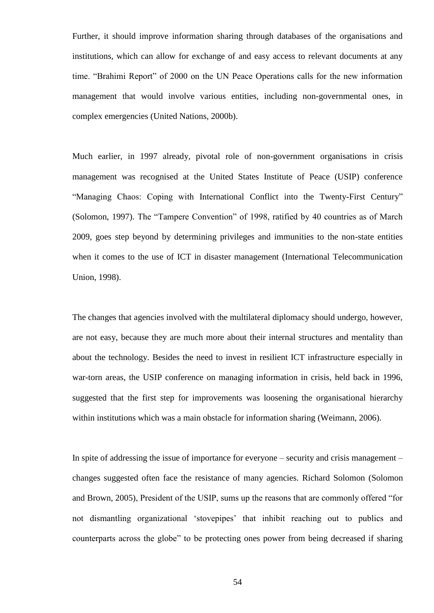Further, it should improve information sharing through databases of the organisations and institutions, which can allow for exchange of and easy access to relevant documents at any time. "Brahimi Report" of 2000 on the UN Peace Operations calls for the new information management that would involve various entities, including non-governmental ones, in complex emergencies (United Nations, 2000b).

Much earlier, in 1997 already, pivotal role of non-government organisations in crisis management was recognised at the United States Institute of Peace (USIP) conference "Managing Chaos: Coping with International Conflict into the Twenty-First Century" (Solomon, 1997). The "Tampere Convention" of 1998, ratified by 40 countries as of March 2009, goes step beyond by determining privileges and immunities to the non-state entities when it comes to the use of ICT in disaster management (International Telecommunication Union, 1998).

The changes that agencies involved with the multilateral diplomacy should undergo, however, are not easy, because they are much more about their internal structures and mentality than about the technology. Besides the need to invest in resilient ICT infrastructure especially in war-torn areas, the USIP conference on managing information in crisis, held back in 1996, suggested that the first step for improvements was loosening the organisational hierarchy within institutions which was a main obstacle for information sharing (Weimann, 2006).

In spite of addressing the issue of importance for everyone – security and crisis management – changes suggested often face the resistance of many agencies. Richard Solomon (Solomon and Brown, 2005), President of the USIP, sums up the reasons that are commonly offered "for not dismantling organizational "stovepipes" that inhibit reaching out to publics and counterparts across the globe" to be protecting ones power from being decreased if sharing

54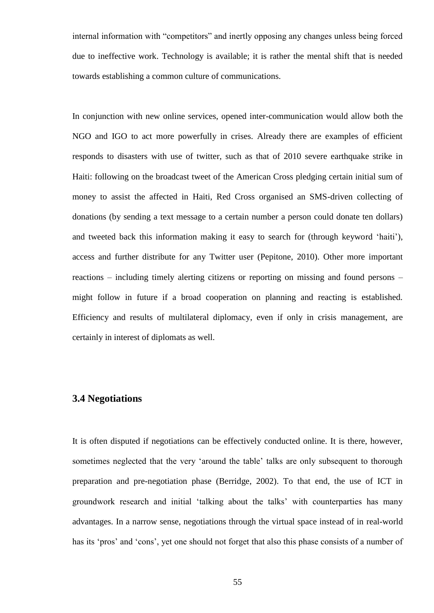internal information with "competitors" and inertly opposing any changes unless being forced due to ineffective work. Technology is available; it is rather the mental shift that is needed towards establishing a common culture of communications.

In conjunction with new online services, opened inter-communication would allow both the NGO and IGO to act more powerfully in crises. Already there are examples of efficient responds to disasters with use of twitter, such as that of 2010 severe earthquake strike in Haiti: following on the broadcast tweet of the American Cross pledging certain initial sum of money to assist the affected in Haiti, Red Cross organised an SMS-driven collecting of donations (by sending a text message to a certain number a person could donate ten dollars) and tweeted back this information making it easy to search for (through keyword "haiti"), access and further distribute for any Twitter user (Pepitone, 2010). Other more important reactions – including timely alerting citizens or reporting on missing and found persons – might follow in future if a broad cooperation on planning and reacting is established. Efficiency and results of multilateral diplomacy, even if only in crisis management, are certainly in interest of diplomats as well.

## **3.4 Negotiations**

It is often disputed if negotiations can be effectively conducted online. It is there, however, sometimes neglected that the very 'around the table' talks are only subsequent to thorough preparation and pre-negotiation phase (Berridge, 2002). To that end, the use of ICT in groundwork research and initial "talking about the talks" with counterparties has many advantages. In a narrow sense, negotiations through the virtual space instead of in real-world has its 'pros' and 'cons', yet one should not forget that also this phase consists of a number of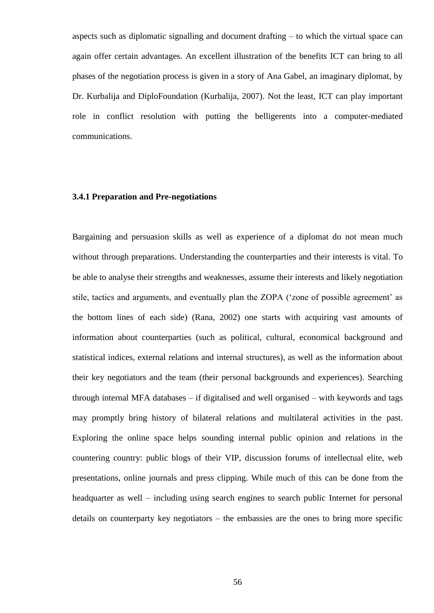aspects such as diplomatic signalling and document drafting – to which the virtual space can again offer certain advantages. An excellent illustration of the benefits ICT can bring to all phases of the negotiation process is given in a story of Ana Gabel, an imaginary diplomat, by Dr. Kurbalija and DiploFoundation (Kurbalija, 2007). Not the least, ICT can play important role in conflict resolution with putting the belligerents into a computer-mediated communications.

### **3.4.1 Preparation and Pre-negotiations**

Bargaining and persuasion skills as well as experience of a diplomat do not mean much without through preparations. Understanding the counterparties and their interests is vital. To be able to analyse their strengths and weaknesses, assume their interests and likely negotiation stile, tactics and arguments, and eventually plan the ZOPA ("zone of possible agreement" as the bottom lines of each side) (Rana, 2002) one starts with acquiring vast amounts of information about counterparties (such as political, cultural, economical background and statistical indices, external relations and internal structures), as well as the information about their key negotiators and the team (their personal backgrounds and experiences). Searching through internal MFA databases – if digitalised and well organised – with keywords and tags may promptly bring history of bilateral relations and multilateral activities in the past. Exploring the online space helps sounding internal public opinion and relations in the countering country: public blogs of their VIP, discussion forums of intellectual elite, web presentations, online journals and press clipping. While much of this can be done from the headquarter as well – including using search engines to search public Internet for personal details on counterparty key negotiators – the embassies are the ones to bring more specific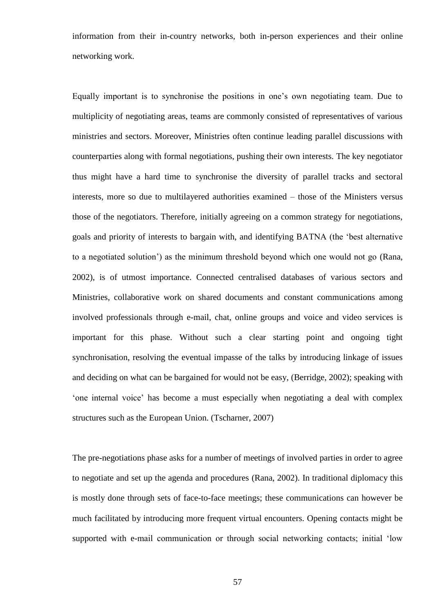information from their in-country networks, both in-person experiences and their online networking work.

Equally important is to synchronise the positions in one"s own negotiating team. Due to multiplicity of negotiating areas, teams are commonly consisted of representatives of various ministries and sectors. Moreover, Ministries often continue leading parallel discussions with counterparties along with formal negotiations, pushing their own interests. The key negotiator thus might have a hard time to synchronise the diversity of parallel tracks and sectoral interests, more so due to multilayered authorities examined – those of the Ministers versus those of the negotiators. Therefore, initially agreeing on a common strategy for negotiations, goals and priority of interests to bargain with, and identifying BATNA (the "best alternative to a negotiated solution") as the minimum threshold beyond which one would not go (Rana, 2002), is of utmost importance. Connected centralised databases of various sectors and Ministries, collaborative work on shared documents and constant communications among involved professionals through e-mail, chat, online groups and voice and video services is important for this phase. Without such a clear starting point and ongoing tight synchronisation, resolving the eventual impasse of the talks by introducing linkage of issues and deciding on what can be bargained for would not be easy, (Berridge, 2002); speaking with "one internal voice" has become a must especially when negotiating a deal with complex structures such as the European Union. (Tscharner, 2007)

The pre-negotiations phase asks for a number of meetings of involved parties in order to agree to negotiate and set up the agenda and procedures (Rana, 2002). In traditional diplomacy this is mostly done through sets of face-to-face meetings; these communications can however be much facilitated by introducing more frequent virtual encounters. Opening contacts might be supported with e-mail communication or through social networking contacts; initial "low

57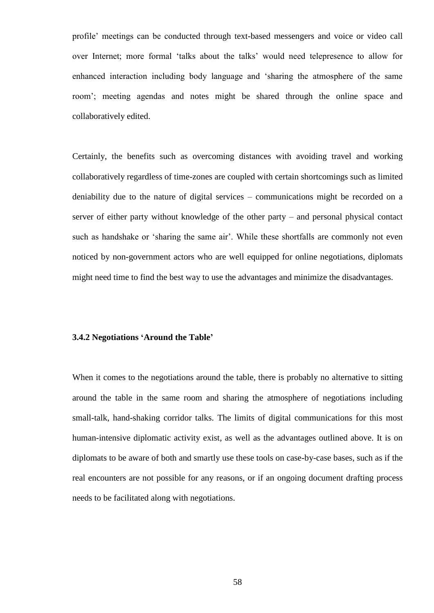profile" meetings can be conducted through text-based messengers and voice or video call over Internet; more formal "talks about the talks" would need telepresence to allow for enhanced interaction including body language and "sharing the atmosphere of the same room"; meeting agendas and notes might be shared through the online space and collaboratively edited.

Certainly, the benefits such as overcoming distances with avoiding travel and working collaboratively regardless of time-zones are coupled with certain shortcomings such as limited deniability due to the nature of digital services – communications might be recorded on a server of either party without knowledge of the other party – and personal physical contact such as handshake or 'sharing the same air'. While these shortfalls are commonly not even noticed by non-government actors who are well equipped for online negotiations, diplomats might need time to find the best way to use the advantages and minimize the disadvantages.

### **3.4.2 Negotiations 'Around the Table'**

When it comes to the negotiations around the table, there is probably no alternative to sitting around the table in the same room and sharing the atmosphere of negotiations including small-talk, hand-shaking corridor talks. The limits of digital communications for this most human-intensive diplomatic activity exist, as well as the advantages outlined above. It is on diplomats to be aware of both and smartly use these tools on case-by-case bases, such as if the real encounters are not possible for any reasons, or if an ongoing document drafting process needs to be facilitated along with negotiations.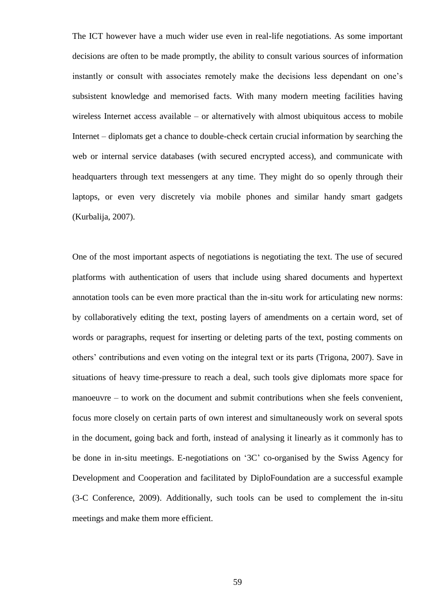The ICT however have a much wider use even in real-life negotiations. As some important decisions are often to be made promptly, the ability to consult various sources of information instantly or consult with associates remotely make the decisions less dependant on one"s subsistent knowledge and memorised facts. With many modern meeting facilities having wireless Internet access available – or alternatively with almost ubiquitous access to mobile Internet – diplomats get a chance to double-check certain crucial information by searching the web or internal service databases (with secured encrypted access), and communicate with headquarters through text messengers at any time. They might do so openly through their laptops, or even very discretely via mobile phones and similar handy smart gadgets (Kurbalija, 2007).

One of the most important aspects of negotiations is negotiating the text. The use of secured platforms with authentication of users that include using shared documents and hypertext annotation tools can be even more practical than the in-situ work for articulating new norms: by collaboratively editing the text, posting layers of amendments on a certain word, set of words or paragraphs, request for inserting or deleting parts of the text, posting comments on others" contributions and even voting on the integral text or its parts (Trigona, 2007). Save in situations of heavy time-pressure to reach a deal, such tools give diplomats more space for manoeuvre – to work on the document and submit contributions when she feels convenient, focus more closely on certain parts of own interest and simultaneously work on several spots in the document, going back and forth, instead of analysing it linearly as it commonly has to be done in in-situ meetings. E-negotiations on "3C" co-organised by the Swiss Agency for Development and Cooperation and facilitated by DiploFoundation are a successful example (3-C Conference, 2009). Additionally, such tools can be used to complement the in-situ meetings and make them more efficient.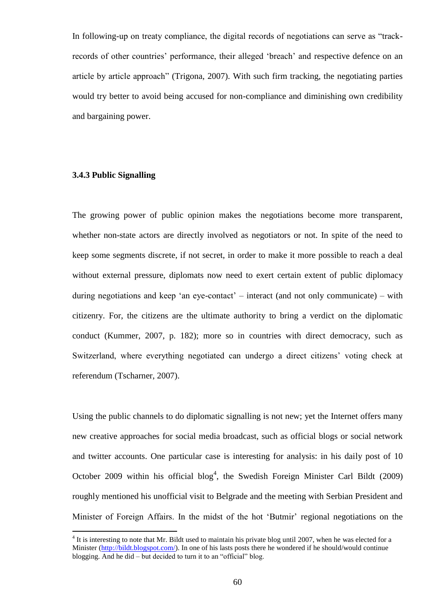In following-up on treaty compliance, the digital records of negotiations can serve as "trackrecords of other countries' performance, their alleged 'breach' and respective defence on an article by article approach" (Trigona, 2007). With such firm tracking, the negotiating parties would try better to avoid being accused for non-compliance and diminishing own credibility and bargaining power.

### **3.4.3 Public Signalling**

 $\overline{a}$ 

The growing power of public opinion makes the negotiations become more transparent, whether non-state actors are directly involved as negotiators or not. In spite of the need to keep some segments discrete, if not secret, in order to make it more possible to reach a deal without external pressure, diplomats now need to exert certain extent of public diplomacy during negotiations and keep 'an eye-contact' – interact (and not only communicate) – with citizenry. For, the citizens are the ultimate authority to bring a verdict on the diplomatic conduct (Kummer, 2007, p. 182); more so in countries with direct democracy, such as Switzerland, where everything negotiated can undergo a direct citizens' voting check at referendum (Tscharner, 2007).

Using the public channels to do diplomatic signalling is not new; yet the Internet offers many new creative approaches for social media broadcast, such as official blogs or social network and twitter accounts. One particular case is interesting for analysis: in his daily post of 10 October 2009 within his official blog<sup>4</sup>, the Swedish Foreign Minister Carl Bildt (2009) roughly mentioned his unofficial visit to Belgrade and the meeting with Serbian President and Minister of Foreign Affairs. In the midst of the hot "Butmir" regional negotiations on the

 $4$  It is interesting to note that Mr. Bildt used to maintain his private blog until 2007, when he was elected for a Minister [\(http://bildt.blogspot.com/\)](http://bildt.blogspot.com/). In one of his lasts posts there he wondered if he should/would continue blogging. And he did – but decided to turn it to an "official" blog.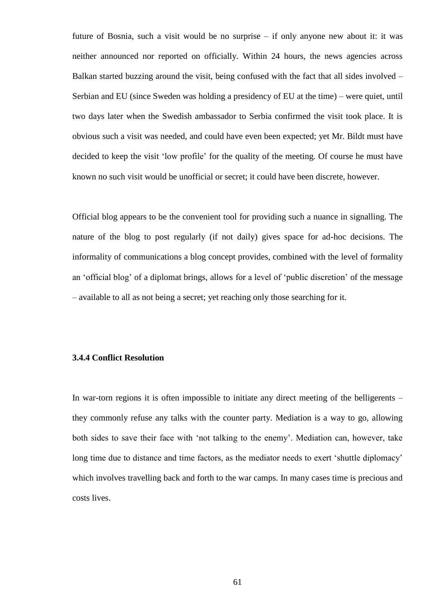future of Bosnia, such a visit would be no surprise – if only anyone new about it: it was neither announced nor reported on officially. Within 24 hours, the news agencies across Balkan started buzzing around the visit, being confused with the fact that all sides involved – Serbian and EU (since Sweden was holding a presidency of EU at the time) – were quiet, until two days later when the Swedish ambassador to Serbia confirmed the visit took place. It is obvious such a visit was needed, and could have even been expected; yet Mr. Bildt must have decided to keep the visit "low profile" for the quality of the meeting. Of course he must have known no such visit would be unofficial or secret; it could have been discrete, however.

Official blog appears to be the convenient tool for providing such a nuance in signalling. The nature of the blog to post regularly (if not daily) gives space for ad-hoc decisions. The informality of communications a blog concept provides, combined with the level of formality an "official blog" of a diplomat brings, allows for a level of "public discretion" of the message – available to all as not being a secret; yet reaching only those searching for it.

#### **3.4.4 Conflict Resolution**

In war-torn regions it is often impossible to initiate any direct meeting of the belligerents – they commonly refuse any talks with the counter party. Mediation is a way to go, allowing both sides to save their face with 'not talking to the enemy'. Mediation can, however, take long time due to distance and time factors, as the mediator needs to exert 'shuttle diplomacy' which involves travelling back and forth to the war camps. In many cases time is precious and costs lives.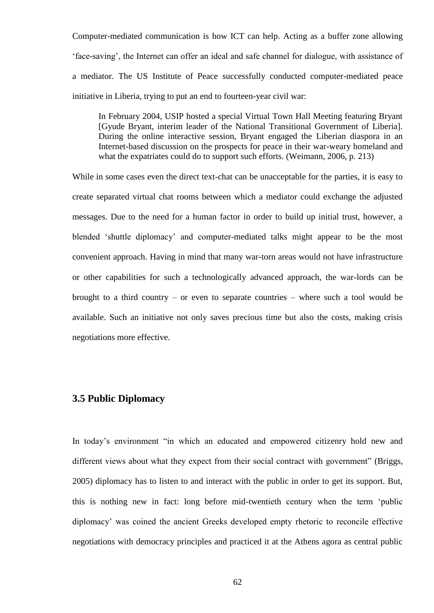Computer-mediated communication is how ICT can help. Acting as a buffer zone allowing "face-saving", the Internet can offer an ideal and safe channel for dialogue, with assistance of a mediator. The US Institute of Peace successfully conducted computer-mediated peace initiative in Liberia, trying to put an end to fourteen-year civil war:

In February 2004, USIP hosted a special Virtual Town Hall Meeting featuring Bryant [Gyude Bryant, interim leader of the National Transitional Government of Liberia]. During the online interactive session, Bryant engaged the Liberian diaspora in an Internet-based discussion on the prospects for peace in their war-weary homeland and what the expatriates could do to support such efforts. (Weimann, 2006, p. 213)

While in some cases even the direct text-chat can be unacceptable for the parties, it is easy to create separated virtual chat rooms between which a mediator could exchange the adjusted messages. Due to the need for a human factor in order to build up initial trust, however, a blended "shuttle diplomacy" and computer-mediated talks might appear to be the most convenient approach. Having in mind that many war-torn areas would not have infrastructure or other capabilities for such a technologically advanced approach, the war-lords can be brought to a third country – or even to separate countries – where such a tool would be available. Such an initiative not only saves precious time but also the costs, making crisis negotiations more effective.

## **3.5 Public Diplomacy**

In today's environment "in which an educated and empowered citizenry hold new and different views about what they expect from their social contract with government" (Briggs, 2005) diplomacy has to listen to and interact with the public in order to get its support. But, this is nothing new in fact: long before mid-twentieth century when the term "public diplomacy" was coined the ancient Greeks developed empty rhetoric to reconcile effective negotiations with democracy principles and practiced it at the Athens agora as central public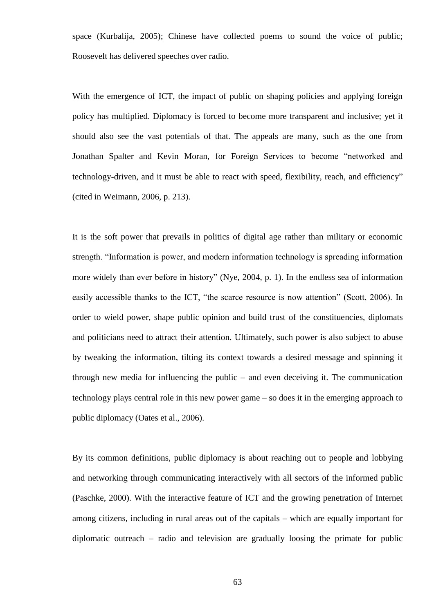space (Kurbalija, 2005); Chinese have collected poems to sound the voice of public; Roosevelt has delivered speeches over radio.

With the emergence of ICT, the impact of public on shaping policies and applying foreign policy has multiplied. Diplomacy is forced to become more transparent and inclusive; yet it should also see the vast potentials of that. The appeals are many, such as the one from Jonathan Spalter and Kevin Moran, for Foreign Services to become "networked and technology-driven, and it must be able to react with speed, flexibility, reach, and efficiency" (cited in Weimann, 2006, p. 213).

It is the soft power that prevails in politics of digital age rather than military or economic strength. "Information is power, and modern information technology is spreading information more widely than ever before in history" (Nye, 2004, p. 1). In the endless sea of information easily accessible thanks to the ICT, "the scarce resource is now attention" (Scott, 2006). In order to wield power, shape public opinion and build trust of the constituencies, diplomats and politicians need to attract their attention. Ultimately, such power is also subject to abuse by tweaking the information, tilting its context towards a desired message and spinning it through new media for influencing the public – and even deceiving it. The communication technology plays central role in this new power game – so does it in the emerging approach to public diplomacy (Oates et al., 2006).

By its common definitions, public diplomacy is about reaching out to people and lobbying and networking through communicating interactively with all sectors of the informed public (Paschke, 2000). With the interactive feature of ICT and the growing penetration of Internet among citizens, including in rural areas out of the capitals – which are equally important for diplomatic outreach – radio and television are gradually loosing the primate for public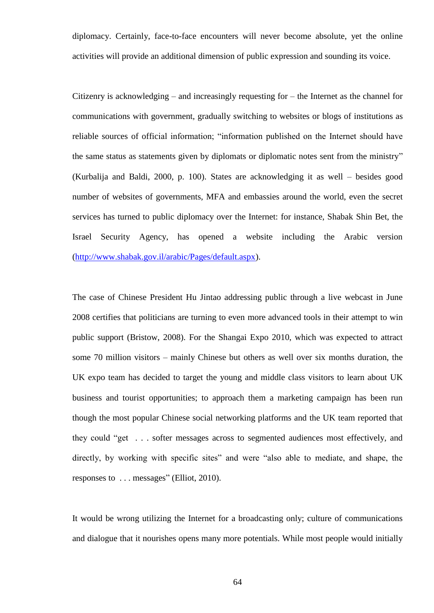diplomacy. Certainly, face-to-face encounters will never become absolute, yet the online activities will provide an additional dimension of public expression and sounding its voice.

Citizenry is acknowledging – and increasingly requesting for – the Internet as the channel for communications with government, gradually switching to websites or blogs of institutions as reliable sources of official information; "information published on the Internet should have the same status as statements given by diplomats or diplomatic notes sent from the ministry" (Kurbalija and Baldi, 2000, p. 100). States are acknowledging it as well – besides good number of websites of governments, MFA and embassies around the world, even the secret services has turned to public diplomacy over the Internet: for instance, Shabak Shin Bet, the Israel Security Agency, has opened a website including the Arabic version [\(http://www.shabak.gov.il/arabic/Pages/default.aspx\)](http://www.shabak.gov.il/arabic/Pages/default.aspx).

The case of Chinese President Hu Jintao addressing public through a live webcast in June 2008 certifies that politicians are turning to even more advanced tools in their attempt to win public support (Bristow, 2008). For the Shangai Expo 2010, which was expected to attract some 70 million visitors – mainly Chinese but others as well over six months duration, the UK expo team has decided to target the young and middle class visitors to learn about UK business and tourist opportunities; to approach them a marketing campaign has been run though the most popular Chinese social networking platforms and the UK team reported that they could "get . . . softer messages across to segmented audiences most effectively, and directly, by working with specific sites" and were "also able to mediate, and shape, the responses to . . . messages" (Elliot, 2010).

It would be wrong utilizing the Internet for a broadcasting only; culture of communications and dialogue that it nourishes opens many more potentials. While most people would initially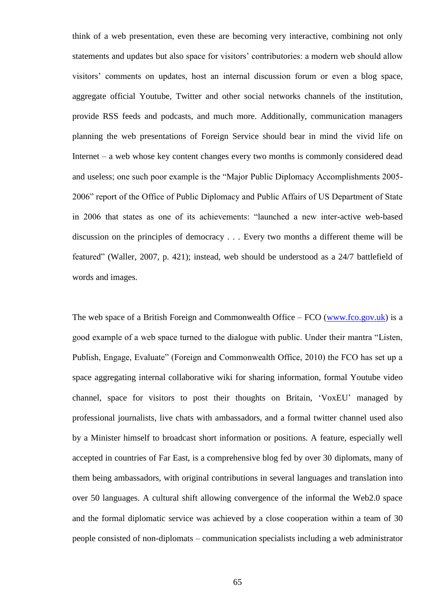think of a web presentation, even these are becoming very interactive, combining not only statements and updates but also space for visitors' contributories: a modern web should allow visitors" comments on updates, host an internal discussion forum or even a blog space, aggregate official Youtube, Twitter and other social networks channels of the institution, provide RSS feeds and podcasts, and much more. Additionally, communication managers planning the web presentations of Foreign Service should bear in mind the vivid life on Internet – a web whose key content changes every two months is commonly considered dead and useless; one such poor example is the "Major Public Diplomacy Accomplishments 2005- 2006" report of the Office of Public Diplomacy and Public Affairs of US Department of State in 2006 that states as one of its achievements: "launched a new inter-active web-based discussion on the principles of democracy . . . Every two months a different theme will be featured" (Waller, 2007, p. 421); instead, web should be understood as a 24/7 battlefield of words and images.

The web space of a British Foreign and Commonwealth Office – FCO [\(www.fco.gov.uk\)](http://www.fco.gov.uk/) is a good example of a web space turned to the dialogue with public. Under their mantra "Listen, Publish, Engage, Evaluate" (Foreign and Commonwealth Office, 2010) the FCO has set up a space aggregating internal collaborative wiki for sharing information, formal Youtube video channel, space for visitors to post their thoughts on Britain, "VoxEU" managed by professional journalists, live chats with ambassadors, and a formal twitter channel used also by a Minister himself to broadcast short information or positions. A feature, especially well accepted in countries of Far East, is a comprehensive blog fed by over 30 diplomats, many of them being ambassadors, with original contributions in several languages and translation into over 50 languages. A cultural shift allowing convergence of the informal the Web2.0 space and the formal diplomatic service was achieved by a close cooperation within a team of 30 people consisted of non-diplomats – communication specialists including a web administrator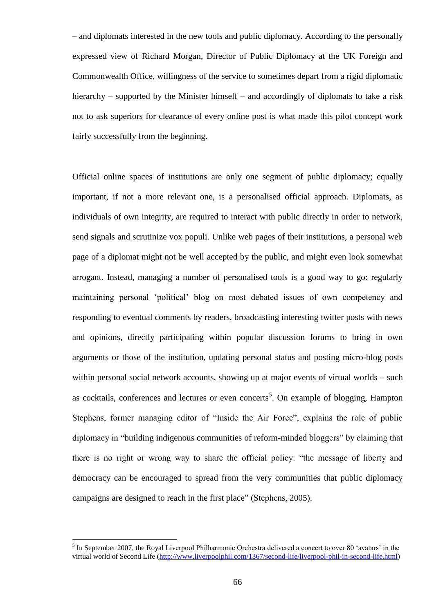– and diplomats interested in the new tools and public diplomacy. According to the personally expressed view of Richard Morgan, Director of Public Diplomacy at the UK Foreign and Commonwealth Office, willingness of the service to sometimes depart from a rigid diplomatic hierarchy – supported by the Minister himself – and accordingly of diplomats to take a risk not to ask superiors for clearance of every online post is what made this pilot concept work fairly successfully from the beginning.

Official online spaces of institutions are only one segment of public diplomacy; equally important, if not a more relevant one, is a personalised official approach. Diplomats, as individuals of own integrity, are required to interact with public directly in order to network, send signals and scrutinize vox populi. Unlike web pages of their institutions, a personal web page of a diplomat might not be well accepted by the public, and might even look somewhat arrogant. Instead, managing a number of personalised tools is a good way to go: regularly maintaining personal "political" blog on most debated issues of own competency and responding to eventual comments by readers, broadcasting interesting twitter posts with news and opinions, directly participating within popular discussion forums to bring in own arguments or those of the institution, updating personal status and posting micro-blog posts within personal social network accounts, showing up at major events of virtual worlds – such as cocktails, conferences and lectures or even concerts<sup>5</sup>. On example of blogging, Hampton Stephens, former managing editor of "Inside the Air Force", explains the role of public diplomacy in "building indigenous communities of reform-minded bloggers" by claiming that there is no right or wrong way to share the official policy: "the message of liberty and democracy can be encouraged to spread from the very communities that public diplomacy campaigns are designed to reach in the first place" (Stephens, 2005).

 $\overline{a}$ 

<sup>&</sup>lt;sup>5</sup> In September 2007, the Royal Liverpool Philharmonic Orchestra delivered a concert to over 80 'avatars' in the virtual world of Second Life [\(http://www.liverpoolphil.com/1367/second-life/liverpool-phil-in-second-life.html\)](http://www.liverpoolphil.com/1367/second-life/liverpool-phil-in-second-life.html)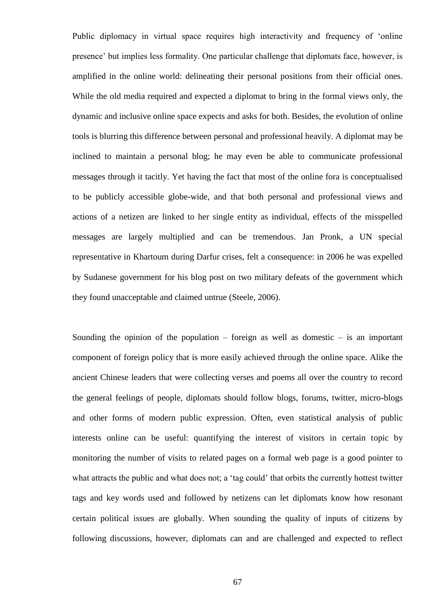Public diplomacy in virtual space requires high interactivity and frequency of "online presence" but implies less formality. One particular challenge that diplomats face, however, is amplified in the online world: delineating their personal positions from their official ones. While the old media required and expected a diplomat to bring in the formal views only, the dynamic and inclusive online space expects and asks for both. Besides, the evolution of online tools is blurring this difference between personal and professional heavily. A diplomat may be inclined to maintain a personal blog; he may even be able to communicate professional messages through it tacitly. Yet having the fact that most of the online fora is conceptualised to be publicly accessible globe-wide, and that both personal and professional views and actions of a netizen are linked to her single entity as individual, effects of the misspelled messages are largely multiplied and can be tremendous. Jan Pronk, a UN special representative in Khartoum during Darfur crises, felt a consequence: in 2006 he was expelled by Sudanese government for his blog post on two military defeats of the government which they found unacceptable and claimed untrue (Steele, 2006).

Sounding the opinion of the population – foreign as well as domestic – is an important component of foreign policy that is more easily achieved through the online space. Alike the ancient Chinese leaders that were collecting verses and poems all over the country to record the general feelings of people, diplomats should follow blogs, forums, twitter, micro-blogs and other forms of modern public expression. Often, even statistical analysis of public interests online can be useful: quantifying the interest of visitors in certain topic by monitoring the number of visits to related pages on a formal web page is a good pointer to what attracts the public and what does not; a 'tag could' that orbits the currently hottest twitter tags and key words used and followed by netizens can let diplomats know how resonant certain political issues are globally. When sounding the quality of inputs of citizens by following discussions, however, diplomats can and are challenged and expected to reflect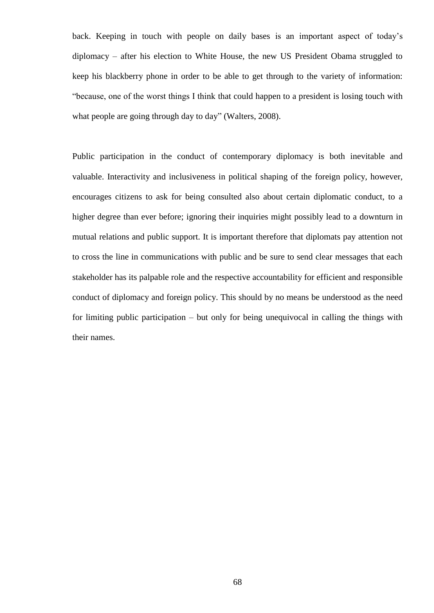back. Keeping in touch with people on daily bases is an important aspect of today"s diplomacy – after his election to White House, the new US President Obama struggled to keep his blackberry phone in order to be able to get through to the variety of information: "because, one of the worst things I think that could happen to a president is losing touch with what people are going through day to day" (Walters, 2008).

Public participation in the conduct of contemporary diplomacy is both inevitable and valuable. Interactivity and inclusiveness in political shaping of the foreign policy, however, encourages citizens to ask for being consulted also about certain diplomatic conduct, to a higher degree than ever before; ignoring their inquiries might possibly lead to a downturn in mutual relations and public support. It is important therefore that diplomats pay attention not to cross the line in communications with public and be sure to send clear messages that each stakeholder has its palpable role and the respective accountability for efficient and responsible conduct of diplomacy and foreign policy. This should by no means be understood as the need for limiting public participation – but only for being unequivocal in calling the things with their names.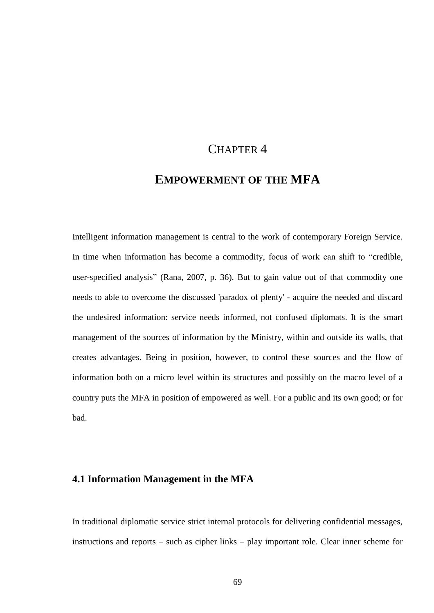## CHAPTER 4

# **EMPOWERMENT OF THE MFA**

Intelligent information management is central to the work of contemporary Foreign Service. In time when information has become a commodity, focus of work can shift to "credible, user-specified analysis" (Rana, 2007, p. 36). But to gain value out of that commodity one needs to able to overcome the discussed 'paradox of plenty' - acquire the needed and discard the undesired information: service needs informed, not confused diplomats. It is the smart management of the sources of information by the Ministry, within and outside its walls, that creates advantages. Being in position, however, to control these sources and the flow of information both on a micro level within its structures and possibly on the macro level of a country puts the MFA in position of empowered as well. For a public and its own good; or for bad.

#### **4.1 Information Management in the MFA**

In traditional diplomatic service strict internal protocols for delivering confidential messages, instructions and reports – such as cipher links – play important role. Clear inner scheme for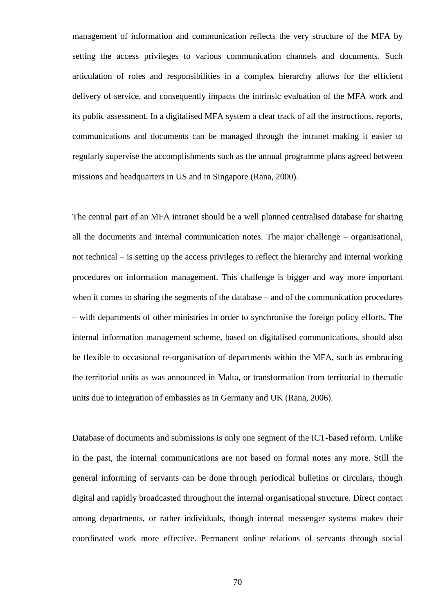management of information and communication reflects the very structure of the MFA by setting the access privileges to various communication channels and documents. Such articulation of roles and responsibilities in a complex hierarchy allows for the efficient delivery of service, and consequently impacts the intrinsic evaluation of the MFA work and its public assessment. In a digitalised MFA system a clear track of all the instructions, reports, communications and documents can be managed through the intranet making it easier to regularly supervise the accomplishments such as the annual programme plans agreed between missions and headquarters in US and in Singapore (Rana, 2000).

The central part of an MFA intranet should be a well planned centralised database for sharing all the documents and internal communication notes. The major challenge – organisational, not technical – is setting up the access privileges to reflect the hierarchy and internal working procedures on information management. This challenge is bigger and way more important when it comes to sharing the segments of the database – and of the communication procedures – with departments of other ministries in order to synchronise the foreign policy efforts. The internal information management scheme, based on digitalised communications, should also be flexible to occasional re-organisation of departments within the MFA, such as embracing the territorial units as was announced in Malta, or transformation from territorial to thematic units due to integration of embassies as in Germany and UK (Rana, 2006).

Database of documents and submissions is only one segment of the ICT-based reform. Unlike in the past, the internal communications are not based on formal notes any more. Still the general informing of servants can be done through periodical bulletins or circulars, though digital and rapidly broadcasted throughout the internal organisational structure. Direct contact among departments, or rather individuals, though internal messenger systems makes their coordinated work more effective. Permanent online relations of servants through social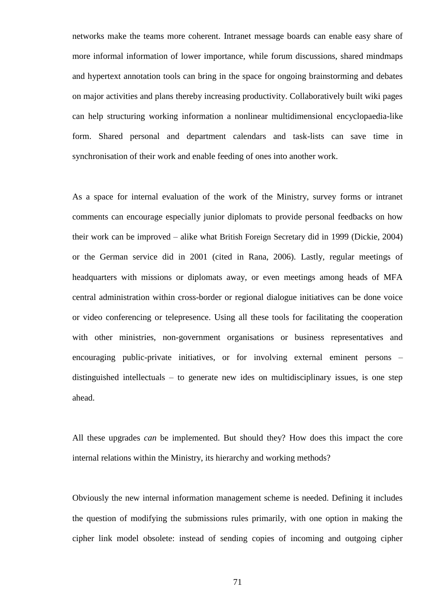networks make the teams more coherent. Intranet message boards can enable easy share of more informal information of lower importance, while forum discussions, shared mindmaps and hypertext annotation tools can bring in the space for ongoing brainstorming and debates on major activities and plans thereby increasing productivity. Collaboratively built wiki pages can help structuring working information a nonlinear multidimensional encyclopaedia-like form. Shared personal and department calendars and task-lists can save time in synchronisation of their work and enable feeding of ones into another work.

As a space for internal evaluation of the work of the Ministry, survey forms or intranet comments can encourage especially junior diplomats to provide personal feedbacks on how their work can be improved – alike what British Foreign Secretary did in 1999 (Dickie, 2004) or the German service did in 2001 (cited in Rana, 2006). Lastly, regular meetings of headquarters with missions or diplomats away, or even meetings among heads of MFA central administration within cross-border or regional dialogue initiatives can be done voice or video conferencing or telepresence. Using all these tools for facilitating the cooperation with other ministries, non-government organisations or business representatives and encouraging public-private initiatives, or for involving external eminent persons – distinguished intellectuals – to generate new ides on multidisciplinary issues, is one step ahead.

All these upgrades *can* be implemented. But should they? How does this impact the core internal relations within the Ministry, its hierarchy and working methods?

Obviously the new internal information management scheme is needed. Defining it includes the question of modifying the submissions rules primarily, with one option in making the cipher link model obsolete: instead of sending copies of incoming and outgoing cipher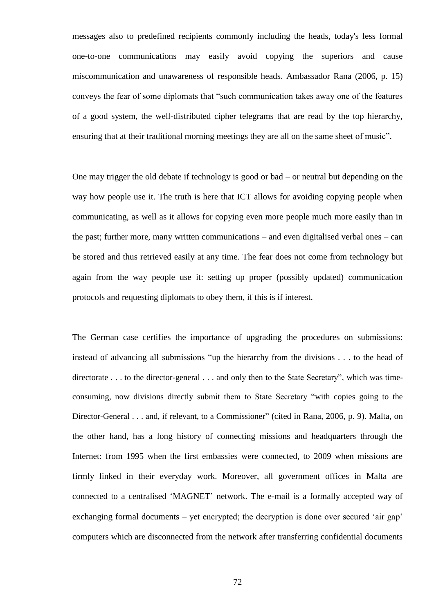messages also to predefined recipients commonly including the heads, today's less formal one-to-one communications may easily avoid copying the superiors and cause miscommunication and unawareness of responsible heads. Ambassador Rana (2006, p. 15) conveys the fear of some diplomats that "such communication takes away one of the features of a good system, the well-distributed cipher telegrams that are read by the top hierarchy, ensuring that at their traditional morning meetings they are all on the same sheet of music".

One may trigger the old debate if technology is good or bad – or neutral but depending on the way how people use it. The truth is here that ICT allows for avoiding copying people when communicating, as well as it allows for copying even more people much more easily than in the past; further more, many written communications – and even digitalised verbal ones – can be stored and thus retrieved easily at any time. The fear does not come from technology but again from the way people use it: setting up proper (possibly updated) communication protocols and requesting diplomats to obey them, if this is if interest.

The German case certifies the importance of upgrading the procedures on submissions: instead of advancing all submissions "up the hierarchy from the divisions . . . to the head of directorate . . . to the director-general . . . and only then to the State Secretary", which was timeconsuming, now divisions directly submit them to State Secretary "with copies going to the Director-General . . . and, if relevant, to a Commissioner" (cited in Rana, 2006, p. 9). Malta, on the other hand, has a long history of connecting missions and headquarters through the Internet: from 1995 when the first embassies were connected, to 2009 when missions are firmly linked in their everyday work. Moreover, all government offices in Malta are connected to a centralised "MAGNET" network. The e-mail is a formally accepted way of exchanging formal documents – yet encrypted; the decryption is done over secured 'air gap' computers which are disconnected from the network after transferring confidential documents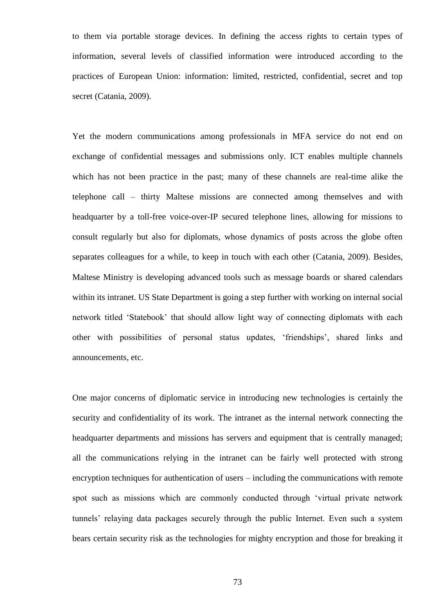to them via portable storage devices. In defining the access rights to certain types of information, several levels of classified information were introduced according to the practices of European Union: information: limited, restricted, confidential, secret and top secret (Catania, 2009).

Yet the modern communications among professionals in MFA service do not end on exchange of confidential messages and submissions only. ICT enables multiple channels which has not been practice in the past; many of these channels are real-time alike the telephone call – thirty Maltese missions are connected among themselves and with headquarter by a toll-free voice-over-IP secured telephone lines, allowing for missions to consult regularly but also for diplomats, whose dynamics of posts across the globe often separates colleagues for a while, to keep in touch with each other (Catania, 2009). Besides, Maltese Ministry is developing advanced tools such as message boards or shared calendars within its intranet. US State Department is going a step further with working on internal social network titled "Statebook" that should allow light way of connecting diplomats with each other with possibilities of personal status updates, "friendships", shared links and announcements, etc.

One major concerns of diplomatic service in introducing new technologies is certainly the security and confidentiality of its work. The intranet as the internal network connecting the headquarter departments and missions has servers and equipment that is centrally managed; all the communications relying in the intranet can be fairly well protected with strong encryption techniques for authentication of users – including the communications with remote spot such as missions which are commonly conducted through "virtual private network tunnels" relaying data packages securely through the public Internet. Even such a system bears certain security risk as the technologies for mighty encryption and those for breaking it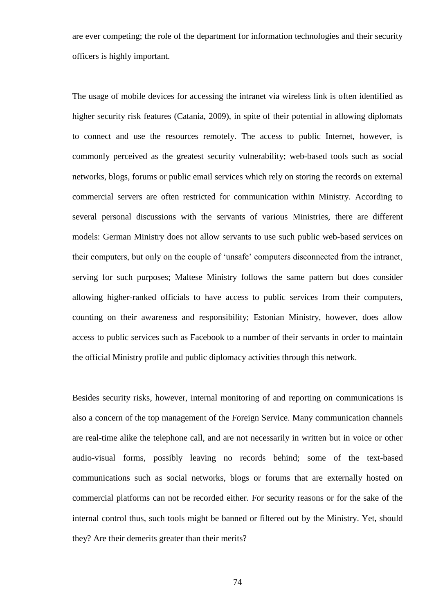are ever competing; the role of the department for information technologies and their security officers is highly important.

The usage of mobile devices for accessing the intranet via wireless link is often identified as higher security risk features (Catania, 2009), in spite of their potential in allowing diplomats to connect and use the resources remotely. The access to public Internet, however, is commonly perceived as the greatest security vulnerability; web-based tools such as social networks, blogs, forums or public email services which rely on storing the records on external commercial servers are often restricted for communication within Ministry. According to several personal discussions with the servants of various Ministries, there are different models: German Ministry does not allow servants to use such public web-based services on their computers, but only on the couple of "unsafe" computers disconnected from the intranet, serving for such purposes; Maltese Ministry follows the same pattern but does consider allowing higher-ranked officials to have access to public services from their computers, counting on their awareness and responsibility; Estonian Ministry, however, does allow access to public services such as Facebook to a number of their servants in order to maintain the official Ministry profile and public diplomacy activities through this network.

Besides security risks, however, internal monitoring of and reporting on communications is also a concern of the top management of the Foreign Service. Many communication channels are real-time alike the telephone call, and are not necessarily in written but in voice or other audio-visual forms, possibly leaving no records behind; some of the text-based communications such as social networks, blogs or forums that are externally hosted on commercial platforms can not be recorded either. For security reasons or for the sake of the internal control thus, such tools might be banned or filtered out by the Ministry. Yet, should they? Are their demerits greater than their merits?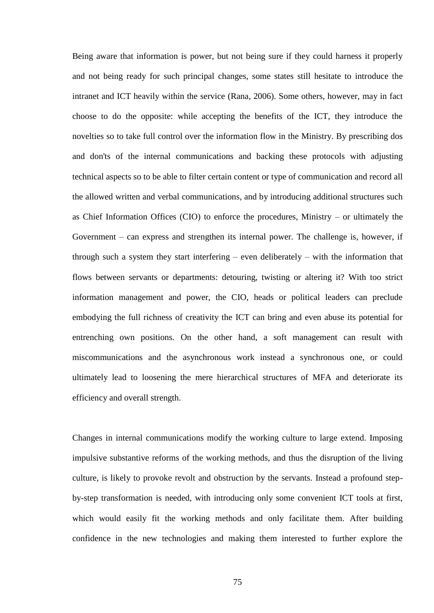Being aware that information is power, but not being sure if they could harness it properly and not being ready for such principal changes, some states still hesitate to introduce the intranet and ICT heavily within the service (Rana, 2006). Some others, however, may in fact choose to do the opposite: while accepting the benefits of the ICT, they introduce the novelties so to take full control over the information flow in the Ministry. By prescribing dos and don'ts of the internal communications and backing these protocols with adjusting technical aspects so to be able to filter certain content or type of communication and record all the allowed written and verbal communications, and by introducing additional structures such as Chief Information Offices (CIO) to enforce the procedures, Ministry – or ultimately the Government – can express and strengthen its internal power. The challenge is, however, if through such a system they start interfering – even deliberately – with the information that flows between servants or departments: detouring, twisting or altering it? With too strict information management and power, the CIO, heads or political leaders can preclude embodying the full richness of creativity the ICT can bring and even abuse its potential for entrenching own positions. On the other hand, a soft management can result with miscommunications and the asynchronous work instead a synchronous one, or could ultimately lead to loosening the mere hierarchical structures of MFA and deteriorate its efficiency and overall strength.

Changes in internal communications modify the working culture to large extend. Imposing impulsive substantive reforms of the working methods, and thus the disruption of the living culture, is likely to provoke revolt and obstruction by the servants. Instead a profound stepby-step transformation is needed, with introducing only some convenient ICT tools at first, which would easily fit the working methods and only facilitate them. After building confidence in the new technologies and making them interested to further explore the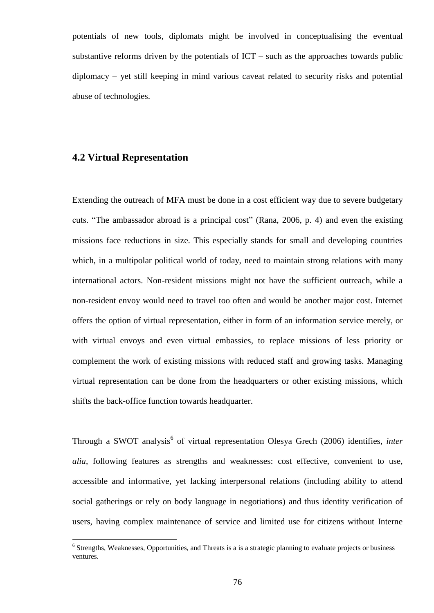potentials of new tools, diplomats might be involved in conceptualising the eventual substantive reforms driven by the potentials of  $ICT - such$  as the approaches towards public diplomacy – yet still keeping in mind various caveat related to security risks and potential abuse of technologies.

## **4.2 Virtual Representation**

Extending the outreach of MFA must be done in a cost efficient way due to severe budgetary cuts. "The ambassador abroad is a principal cost" (Rana, 2006, p. 4) and even the existing missions face reductions in size. This especially stands for small and developing countries which, in a multipolar political world of today, need to maintain strong relations with many international actors. Non-resident missions might not have the sufficient outreach, while a non-resident envoy would need to travel too often and would be another major cost. Internet offers the option of virtual representation, either in form of an information service merely, or with virtual envoys and even virtual embassies, to replace missions of less priority or complement the work of existing missions with reduced staff and growing tasks. Managing virtual representation can be done from the headquarters or other existing missions, which shifts the back-office function towards headquarter.

Through a SWOT analysis<sup>6</sup> of virtual representation Olesya Grech (2006) identifies, *inter alia*, following features as strengths and weaknesses: cost effective, convenient to use, accessible and informative, yet lacking interpersonal relations (including ability to attend social gatherings or rely on body language in negotiations) and thus identity verification of users, having complex maintenance of service and limited use for citizens without Interne

 6 Strengths, Weaknesses, Opportunities, and Threats is a is a strategic planning to evaluate projects or business ventures.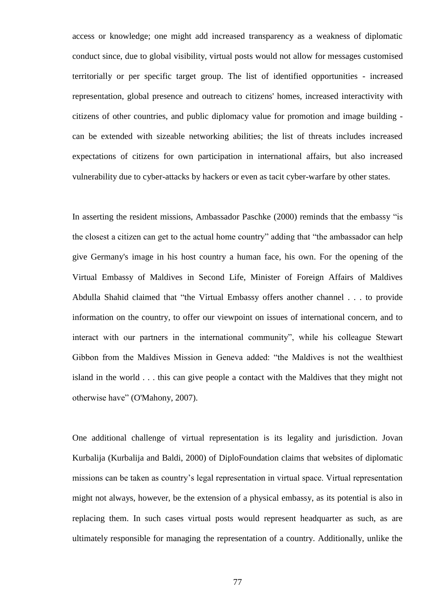access or knowledge; one might add increased transparency as a weakness of diplomatic conduct since, due to global visibility, virtual posts would not allow for messages customised territorially or per specific target group. The list of identified opportunities - increased representation, global presence and outreach to citizens' homes, increased interactivity with citizens of other countries, and public diplomacy value for promotion and image building can be extended with sizeable networking abilities; the list of threats includes increased expectations of citizens for own participation in international affairs, but also increased vulnerability due to cyber-attacks by hackers or even as tacit cyber-warfare by other states.

In asserting the resident missions, Ambassador Paschke (2000) reminds that the embassy "is the closest a citizen can get to the actual home country" adding that "the ambassador can help give Germany's image in his host country a human face, his own. For the opening of the Virtual Embassy of Maldives in Second Life, Minister of Foreign Affairs of Maldives Abdulla Shahid claimed that "the Virtual Embassy offers another channel . . . to provide information on the country, to offer our viewpoint on issues of international concern, and to interact with our partners in the international community", while his colleague Stewart Gibbon from the Maldives Mission in Geneva added: "the Maldives is not the wealthiest island in the world . . . this can give people a contact with the Maldives that they might not otherwise have" (O'Mahony, 2007).

One additional challenge of virtual representation is its legality and jurisdiction. Jovan Kurbalija (Kurbalija and Baldi, 2000) of DiploFoundation claims that websites of diplomatic missions can be taken as country"s legal representation in virtual space. Virtual representation might not always, however, be the extension of a physical embassy, as its potential is also in replacing them. In such cases virtual posts would represent headquarter as such, as are ultimately responsible for managing the representation of a country. Additionally, unlike the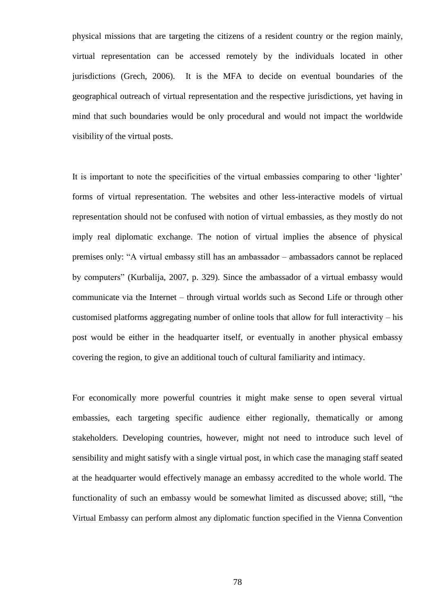physical missions that are targeting the citizens of a resident country or the region mainly, virtual representation can be accessed remotely by the individuals located in other jurisdictions (Grech, 2006). It is the MFA to decide on eventual boundaries of the geographical outreach of virtual representation and the respective jurisdictions, yet having in mind that such boundaries would be only procedural and would not impact the worldwide visibility of the virtual posts.

It is important to note the specificities of the virtual embassies comparing to other "lighter" forms of virtual representation. The websites and other less-interactive models of virtual representation should not be confused with notion of virtual embassies, as they mostly do not imply real diplomatic exchange. The notion of virtual implies the absence of physical premises only: "A virtual embassy still has an ambassador – ambassadors cannot be replaced by computers" (Kurbalija, 2007, p. 329). Since the ambassador of a virtual embassy would communicate via the Internet – through virtual worlds such as Second Life or through other customised platforms aggregating number of online tools that allow for full interactivity – his post would be either in the headquarter itself, or eventually in another physical embassy covering the region, to give an additional touch of cultural familiarity and intimacy.

For economically more powerful countries it might make sense to open several virtual embassies, each targeting specific audience either regionally, thematically or among stakeholders. Developing countries, however, might not need to introduce such level of sensibility and might satisfy with a single virtual post, in which case the managing staff seated at the headquarter would effectively manage an embassy accredited to the whole world. The functionality of such an embassy would be somewhat limited as discussed above; still, "the Virtual Embassy can perform almost any diplomatic function specified in the Vienna Convention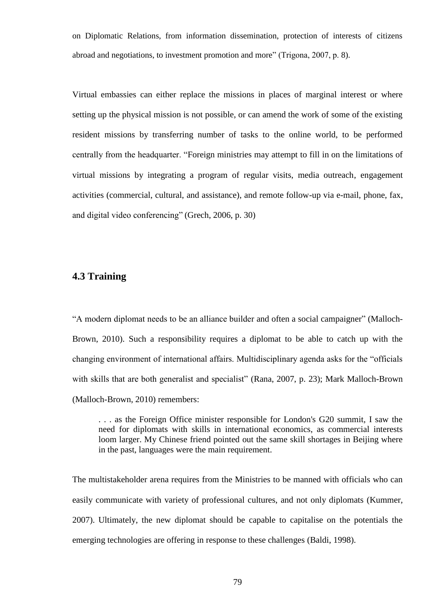on Diplomatic Relations, from information dissemination, protection of interests of citizens abroad and negotiations, to investment promotion and more" (Trigona, 2007, p. 8).

Virtual embassies can either replace the missions in places of marginal interest or where setting up the physical mission is not possible, or can amend the work of some of the existing resident missions by transferring number of tasks to the online world, to be performed centrally from the headquarter. "Foreign ministries may attempt to fill in on the limitations of virtual missions by integrating a program of regular visits, media outreach, engagement activities (commercial, cultural, and assistance), and remote follow-up via e-mail, phone, fax, and digital video conferencing" (Grech, 2006, p. 30)

#### **4.3 Training**

"A modern diplomat needs to be an alliance builder and often a social campaigner" (Malloch-Brown, 2010). Such a responsibility requires a diplomat to be able to catch up with the changing environment of international affairs. Multidisciplinary agenda asks for the "officials with skills that are both generalist and specialist" (Rana, 2007, p. 23); Mark Malloch-Brown (Malloch-Brown, 2010) remembers:

. . . as the Foreign Office minister responsible for London's G20 summit, I saw the need for diplomats with skills in international economics, as commercial interests loom larger. My Chinese friend pointed out the same skill shortages in Beijing where in the past, languages were the main requirement.

The multistakeholder arena requires from the Ministries to be manned with officials who can easily communicate with variety of professional cultures, and not only diplomats (Kummer, 2007). Ultimately, the new diplomat should be capable to capitalise on the potentials the emerging technologies are offering in response to these challenges (Baldi, 1998).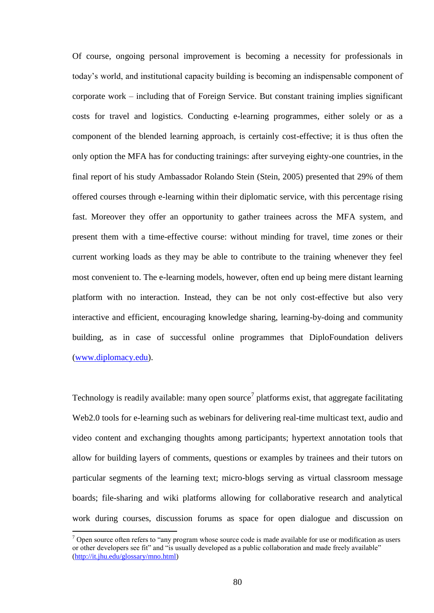Of course, ongoing personal improvement is becoming a necessity for professionals in today"s world, and institutional capacity building is becoming an indispensable component of corporate work – including that of Foreign Service. But constant training implies significant costs for travel and logistics. Conducting e-learning programmes, either solely or as a component of the blended learning approach, is certainly cost-effective; it is thus often the only option the MFA has for conducting trainings: after surveying eighty-one countries, in the final report of his study Ambassador Rolando Stein (Stein, 2005) presented that 29% of them offered courses through e-learning within their diplomatic service, with this percentage rising fast. Moreover they offer an opportunity to gather trainees across the MFA system, and present them with a time-effective course: without minding for travel, time zones or their current working loads as they may be able to contribute to the training whenever they feel most convenient to. The e-learning models, however, often end up being mere distant learning platform with no interaction. Instead, they can be not only cost-effective but also very interactive and efficient, encouraging knowledge sharing, learning-by-doing and community building, as in case of successful online programmes that DiploFoundation delivers [\(www.diplomacy.edu\)](http://www.diplomacy.edu/).

Technology is readily available: many open source<sup>7</sup> platforms exist, that aggregate facilitating Web2.0 tools for e-learning such as webinars for delivering real-time multicast text, audio and video content and exchanging thoughts among participants; hypertext annotation tools that allow for building layers of comments, questions or examples by trainees and their tutors on particular segments of the learning text; micro-blogs serving as virtual classroom message boards; file-sharing and wiki platforms allowing for collaborative research and analytical work during courses, discussion forums as space for open dialogue and discussion on

 $\overline{a}$ 

<sup>&</sup>lt;sup>7</sup> Open source often refers to "any program whose source code is made available for use or modification as users or other developers see fit" and "is usually developed as a public collaboration and made freely available" [\(http://it.jhu.edu/glossary/mno.html\)](http://it.jhu.edu/glossary/mno.html)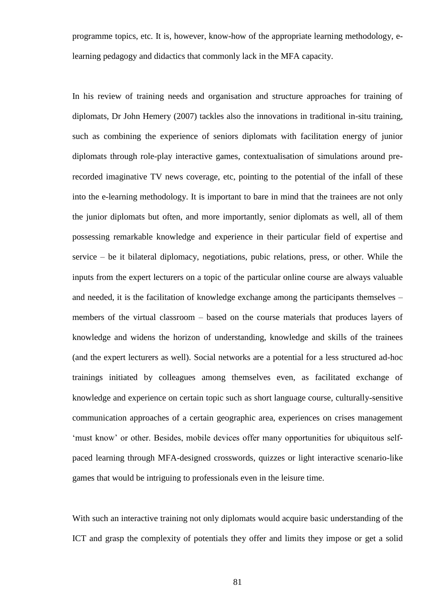programme topics, etc. It is, however, know-how of the appropriate learning methodology, elearning pedagogy and didactics that commonly lack in the MFA capacity.

In his review of training needs and organisation and structure approaches for training of diplomats, Dr John Hemery (2007) tackles also the innovations in traditional in-situ training, such as combining the experience of seniors diplomats with facilitation energy of junior diplomats through role-play interactive games, contextualisation of simulations around prerecorded imaginative TV news coverage, etc, pointing to the potential of the infall of these into the e-learning methodology. It is important to bare in mind that the trainees are not only the junior diplomats but often, and more importantly, senior diplomats as well, all of them possessing remarkable knowledge and experience in their particular field of expertise and service – be it bilateral diplomacy, negotiations, pubic relations, press, or other. While the inputs from the expert lecturers on a topic of the particular online course are always valuable and needed, it is the facilitation of knowledge exchange among the participants themselves – members of the virtual classroom – based on the course materials that produces layers of knowledge and widens the horizon of understanding, knowledge and skills of the trainees (and the expert lecturers as well). Social networks are a potential for a less structured ad-hoc trainings initiated by colleagues among themselves even, as facilitated exchange of knowledge and experience on certain topic such as short language course, culturally-sensitive communication approaches of a certain geographic area, experiences on crises management 'must know' or other. Besides, mobile devices offer many opportunities for ubiquitous selfpaced learning through MFA-designed crosswords, quizzes or light interactive scenario-like games that would be intriguing to professionals even in the leisure time.

With such an interactive training not only diplomats would acquire basic understanding of the ICT and grasp the complexity of potentials they offer and limits they impose or get a solid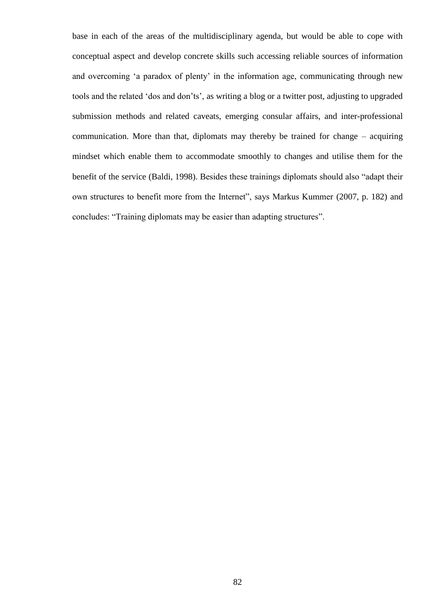base in each of the areas of the multidisciplinary agenda, but would be able to cope with conceptual aspect and develop concrete skills such accessing reliable sources of information and overcoming 'a paradox of plenty' in the information age, communicating through new tools and the related "dos and don"ts", as writing a blog or a twitter post, adjusting to upgraded submission methods and related caveats, emerging consular affairs, and inter-professional communication. More than that, diplomats may thereby be trained for change – acquiring mindset which enable them to accommodate smoothly to changes and utilise them for the benefit of the service (Baldi, 1998). Besides these trainings diplomats should also "adapt their own structures to benefit more from the Internet", says Markus Kummer (2007, p. 182) and concludes: "Training diplomats may be easier than adapting structures".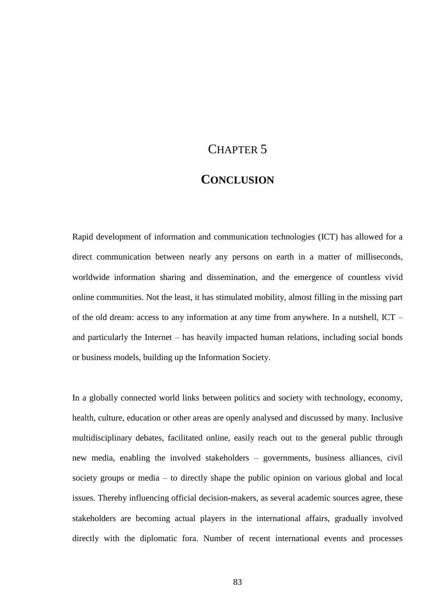# CHAPTER 5

## **CONCLUSION**

Rapid development of information and communication technologies (ICT) has allowed for a direct communication between nearly any persons on earth in a matter of milliseconds, worldwide information sharing and dissemination, and the emergence of countless vivid online communities. Not the least, it has stimulated mobility, almost filling in the missing part of the old dream: access to any information at any time from anywhere. In a nutshell, ICT – and particularly the Internet – has heavily impacted human relations, including social bonds or business models, building up the Information Society.

In a globally connected world links between politics and society with technology, economy, health, culture, education or other areas are openly analysed and discussed by many. Inclusive multidisciplinary debates, facilitated online, easily reach out to the general public through new media, enabling the involved stakeholders – governments, business alliances, civil society groups or media – to directly shape the public opinion on various global and local issues. Thereby influencing official decision-makers, as several academic sources agree, these stakeholders are becoming actual players in the international affairs, gradually involved directly with the diplomatic fora. Number of recent international events and processes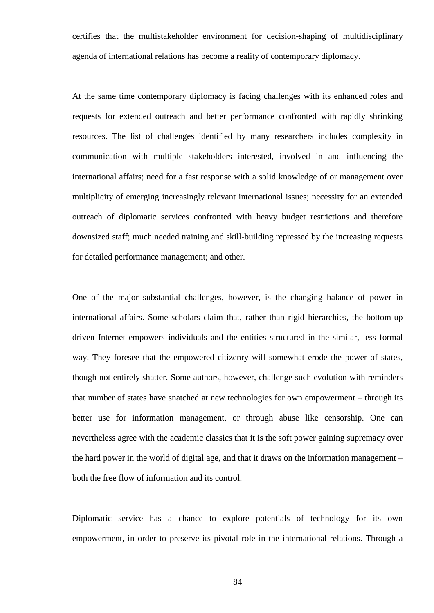certifies that the multistakeholder environment for decision-shaping of multidisciplinary agenda of international relations has become a reality of contemporary diplomacy.

At the same time contemporary diplomacy is facing challenges with its enhanced roles and requests for extended outreach and better performance confronted with rapidly shrinking resources. The list of challenges identified by many researchers includes complexity in communication with multiple stakeholders interested, involved in and influencing the international affairs; need for a fast response with a solid knowledge of or management over multiplicity of emerging increasingly relevant international issues; necessity for an extended outreach of diplomatic services confronted with heavy budget restrictions and therefore downsized staff; much needed training and skill-building repressed by the increasing requests for detailed performance management; and other.

One of the major substantial challenges, however, is the changing balance of power in international affairs. Some scholars claim that, rather than rigid hierarchies, the bottom-up driven Internet empowers individuals and the entities structured in the similar, less formal way. They foresee that the empowered citizenry will somewhat erode the power of states, though not entirely shatter. Some authors, however, challenge such evolution with reminders that number of states have snatched at new technologies for own empowerment – through its better use for information management, or through abuse like censorship. One can nevertheless agree with the academic classics that it is the soft power gaining supremacy over the hard power in the world of digital age, and that it draws on the information management – both the free flow of information and its control.

Diplomatic service has a chance to explore potentials of technology for its own empowerment, in order to preserve its pivotal role in the international relations. Through a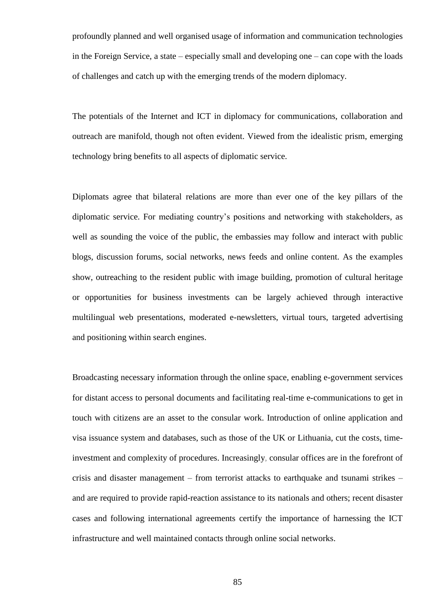profoundly planned and well organised usage of information and communication technologies in the Foreign Service, a state – especially small and developing one – can cope with the loads of challenges and catch up with the emerging trends of the modern diplomacy.

The potentials of the Internet and ICT in diplomacy for communications, collaboration and outreach are manifold, though not often evident. Viewed from the idealistic prism, emerging technology bring benefits to all aspects of diplomatic service.

Diplomats agree that bilateral relations are more than ever one of the key pillars of the diplomatic service. For mediating country"s positions and networking with stakeholders, as well as sounding the voice of the public, the embassies may follow and interact with public blogs, discussion forums, social networks, news feeds and online content. As the examples show, outreaching to the resident public with image building, promotion of cultural heritage or opportunities for business investments can be largely achieved through interactive multilingual web presentations, moderated e-newsletters, virtual tours, targeted advertising and positioning within search engines.

Broadcasting necessary information through the online space, enabling e-government services for distant access to personal documents and facilitating real-time e-communications to get in touch with citizens are an asset to the consular work. Introduction of online application and visa issuance system and databases, such as those of the UK or Lithuania, cut the costs, timeinvestment and complexity of procedures. Increasingly, consular offices are in the forefront of crisis and disaster management – from terrorist attacks to earthquake and tsunami strikes – and are required to provide rapid-reaction assistance to its nationals and others; recent disaster cases and following international agreements certify the importance of harnessing the ICT infrastructure and well maintained contacts through online social networks.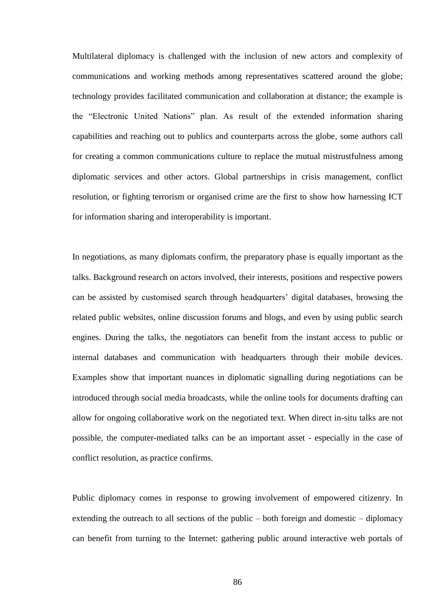Multilateral diplomacy is challenged with the inclusion of new actors and complexity of communications and working methods among representatives scattered around the globe; technology provides facilitated communication and collaboration at distance; the example is the "Electronic United Nations" plan. As result of the extended information sharing capabilities and reaching out to publics and counterparts across the globe, some authors call for creating a common communications culture to replace the mutual mistrustfulness among diplomatic services and other actors. Global partnerships in crisis management, conflict resolution, or fighting terrorism or organised crime are the first to show how harnessing ICT for information sharing and interoperability is important.

In negotiations, as many diplomats confirm, the preparatory phase is equally important as the talks. Background research on actors involved, their interests, positions and respective powers can be assisted by customised search through headquarters' digital databases, browsing the related public websites, online discussion forums and blogs, and even by using public search engines. During the talks, the negotiators can benefit from the instant access to public or internal databases and communication with headquarters through their mobile devices. Examples show that important nuances in diplomatic signalling during negotiations can be introduced through social media broadcasts, while the online tools for documents drafting can allow for ongoing collaborative work on the negotiated text. When direct in-situ talks are not possible, the computer-mediated talks can be an important asset - especially in the case of conflict resolution, as practice confirms.

Public diplomacy comes in response to growing involvement of empowered citizenry. In extending the outreach to all sections of the public – both foreign and domestic – diplomacy can benefit from turning to the Internet: gathering public around interactive web portals of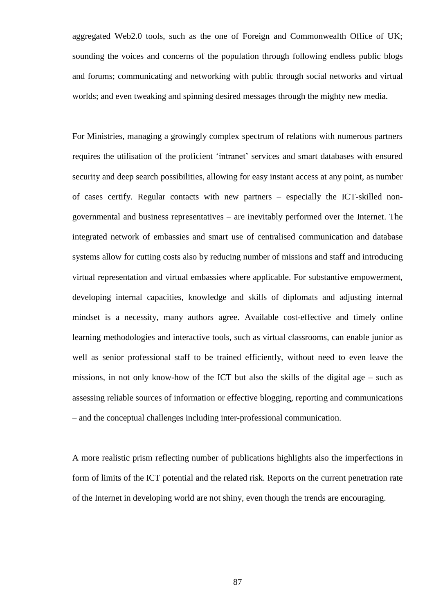aggregated Web2.0 tools, such as the one of Foreign and Commonwealth Office of UK; sounding the voices and concerns of the population through following endless public blogs and forums; communicating and networking with public through social networks and virtual worlds; and even tweaking and spinning desired messages through the mighty new media.

For Ministries, managing a growingly complex spectrum of relations with numerous partners requires the utilisation of the proficient "intranet" services and smart databases with ensured security and deep search possibilities, allowing for easy instant access at any point, as number of cases certify. Regular contacts with new partners – especially the ICT-skilled nongovernmental and business representatives – are inevitably performed over the Internet. The integrated network of embassies and smart use of centralised communication and database systems allow for cutting costs also by reducing number of missions and staff and introducing virtual representation and virtual embassies where applicable. For substantive empowerment, developing internal capacities, knowledge and skills of diplomats and adjusting internal mindset is a necessity, many authors agree. Available cost-effective and timely online learning methodologies and interactive tools, such as virtual classrooms, can enable junior as well as senior professional staff to be trained efficiently, without need to even leave the missions, in not only know-how of the ICT but also the skills of the digital age – such as assessing reliable sources of information or effective blogging, reporting and communications – and the conceptual challenges including inter-professional communication.

A more realistic prism reflecting number of publications highlights also the imperfections in form of limits of the ICT potential and the related risk. Reports on the current penetration rate of the Internet in developing world are not shiny, even though the trends are encouraging.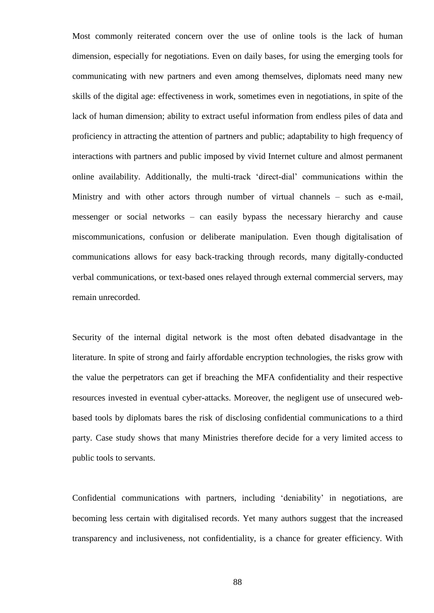Most commonly reiterated concern over the use of online tools is the lack of human dimension, especially for negotiations. Even on daily bases, for using the emerging tools for communicating with new partners and even among themselves, diplomats need many new skills of the digital age: effectiveness in work, sometimes even in negotiations, in spite of the lack of human dimension; ability to extract useful information from endless piles of data and proficiency in attracting the attention of partners and public; adaptability to high frequency of interactions with partners and public imposed by vivid Internet culture and almost permanent online availability. Additionally, the multi-track "direct-dial" communications within the Ministry and with other actors through number of virtual channels – such as e-mail, messenger or social networks – can easily bypass the necessary hierarchy and cause miscommunications, confusion or deliberate manipulation. Even though digitalisation of communications allows for easy back-tracking through records, many digitally-conducted verbal communications, or text-based ones relayed through external commercial servers, may remain unrecorded.

Security of the internal digital network is the most often debated disadvantage in the literature. In spite of strong and fairly affordable encryption technologies, the risks grow with the value the perpetrators can get if breaching the MFA confidentiality and their respective resources invested in eventual cyber-attacks. Moreover, the negligent use of unsecured webbased tools by diplomats bares the risk of disclosing confidential communications to a third party. Case study shows that many Ministries therefore decide for a very limited access to public tools to servants.

Confidential communications with partners, including "deniability" in negotiations, are becoming less certain with digitalised records. Yet many authors suggest that the increased transparency and inclusiveness, not confidentiality, is a chance for greater efficiency. With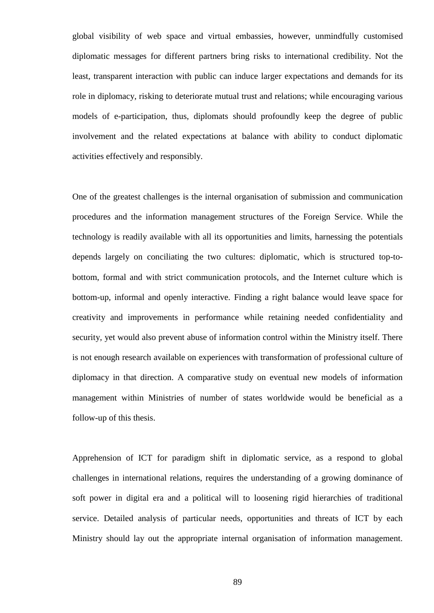global visibility of web space and virtual embassies, however, unmindfully customised diplomatic messages for different partners bring risks to international credibility. Not the least, transparent interaction with public can induce larger expectations and demands for its role in diplomacy, risking to deteriorate mutual trust and relations; while encouraging various models of e-participation, thus, diplomats should profoundly keep the degree of public involvement and the related expectations at balance with ability to conduct diplomatic activities effectively and responsibly.

One of the greatest challenges is the internal organisation of submission and communication procedures and the information management structures of the Foreign Service. While the technology is readily available with all its opportunities and limits, harnessing the potentials depends largely on conciliating the two cultures: diplomatic, which is structured top-tobottom, formal and with strict communication protocols, and the Internet culture which is bottom-up, informal and openly interactive. Finding a right balance would leave space for creativity and improvements in performance while retaining needed confidentiality and security, yet would also prevent abuse of information control within the Ministry itself. There is not enough research available on experiences with transformation of professional culture of diplomacy in that direction. A comparative study on eventual new models of information management within Ministries of number of states worldwide would be beneficial as a follow-up of this thesis.

Apprehension of ICT for paradigm shift in diplomatic service, as a respond to global challenges in international relations, requires the understanding of a growing dominance of soft power in digital era and a political will to loosening rigid hierarchies of traditional service. Detailed analysis of particular needs, opportunities and threats of ICT by each Ministry should lay out the appropriate internal organisation of information management.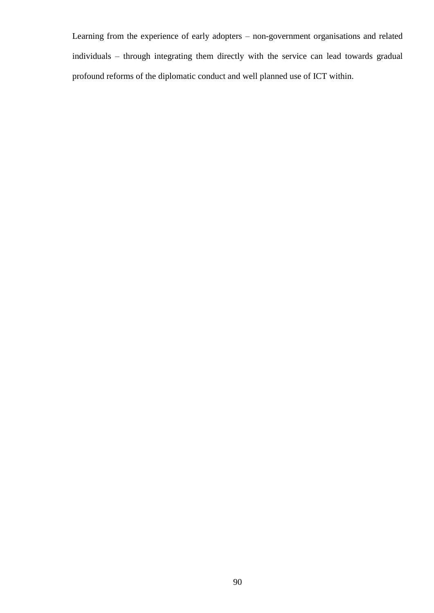Learning from the experience of early adopters – non-government organisations and related individuals – through integrating them directly with the service can lead towards gradual profound reforms of the diplomatic conduct and well planned use of ICT within.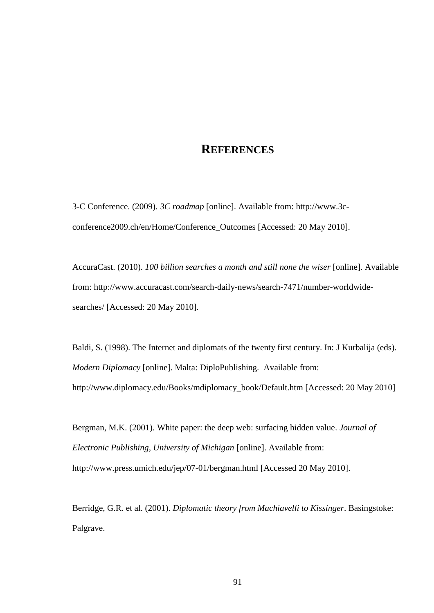### **REFERENCES**

3-C Conference. (2009). *3C roadmap* [online]. Available from: http://www.3cconference2009.ch/en/Home/Conference\_Outcomes [Accessed: 20 May 2010].

AccuraCast. (2010). *100 billion searches a month and still none the wiser* [online]. Available from: http://www.accuracast.com/search-daily-news/search-7471/number-worldwidesearches/ [Accessed: 20 May 2010].

Baldi, S. (1998). The Internet and diplomats of the twenty first century. In: J Kurbalija (eds). *Modern Diplomacy* [online]. Malta: DiploPublishing. Available from: http://www.diplomacy.edu/Books/mdiplomacy\_book/Default.htm [Accessed: 20 May 2010]

Bergman, M.K. (2001). White paper: the deep web: surfacing hidden value. *Journal of Electronic Publishing, University of Michigan* [online]. Available from: http://www.press.umich.edu/jep/07-01/bergman.html [Accessed 20 May 2010].

Berridge, G.R. et al. (2001). *Diplomatic theory from Machiavelli to Kissinger*. Basingstoke: Palgrave.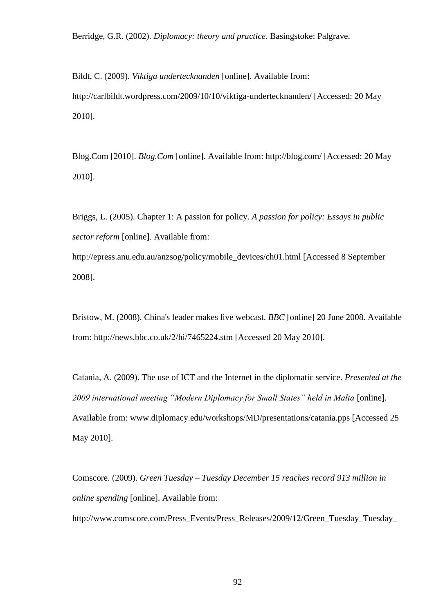Berridge, G.R. (2002). *Diplomacy: theory and practice*. Basingstoke: Palgrave.

Bildt, C. (2009). *Viktiga undertecknanden* [online]. Available from: http://carlbildt.wordpress.com/2009/10/10/viktiga-undertecknanden/ [Accessed: 20 May 2010].

Blog.Com [2010]. *Blog.Com* [online]. Available from: http://blog.com/ [Accessed: 20 May 2010].

Briggs, L. (2005). Chapter 1: A passion for policy. *A passion for policy: Essays in public sector reform* [online]. Available from:

http://epress.anu.edu.au/anzsog/policy/mobile\_devices/ch01.html [Accessed 8 September 2008].

Bristow, M. (2008). China's leader makes live webcast. *BBC* [online] 20 June 2008. Available from: http://news.bbc.co.uk/2/hi/7465224.stm [Accessed 20 May 2010].

Catania, A. (2009). The use of ICT and the Internet in the diplomatic service. *Presented at the 2009 international meeting "Modern Diplomacy for Small States" held in Malta* [online]. Available from: www.diplomacy.edu/workshops/MD/presentations/catania.pps [Accessed 25 May 2010].

Comscore. (2009). *Green Tuesday – Tuesday December 15 reaches record 913 million in online spending* [online]. Available from:

http://www.comscore.com/Press\_Events/Press\_Releases/2009/12/Green\_Tuesday\_Tuesday\_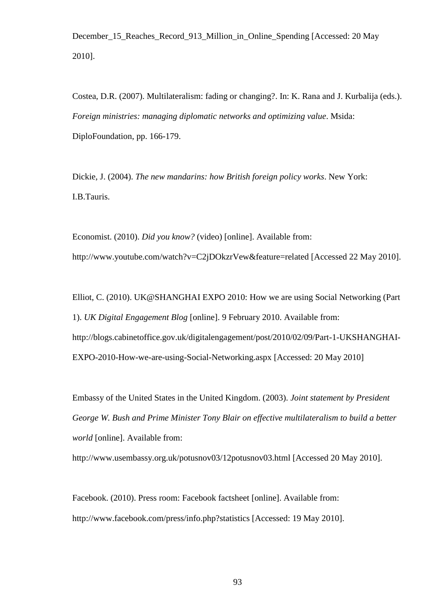December 15 Reaches Record 913 Million in Online Spending [Accessed: 20 May 2010].

Costea, D.R. (2007). Multilateralism: fading or changing?. In: K. Rana and J. Kurbalija (eds.). *Foreign ministries: managing diplomatic networks and optimizing value*. Msida: DiploFoundation, pp. 166-179.

Dickie, J. (2004). *The new mandarins: how British foreign policy works*. New York: I.B.Tauris.

Economist. (2010). *Did you know?* (video) [online]. Available from: http://www.youtube.com/watch?v=C2jDOkzrVew&feature=related [Accessed 22 May 2010].

Elliot, C. (2010). UK@SHANGHAI EXPO 2010: How we are using Social Networking (Part 1). *UK Digital Engagement Blog* [online]. 9 February 2010. Available from: http://blogs.cabinetoffice.gov.uk/digitalengagement/post/2010/02/09/Part-1-UKSHANGHAI-EXPO-2010-How-we-are-using-Social-Networking.aspx [Accessed: 20 May 2010]

Embassy of the United States in the United Kingdom. (2003). *Joint statement by President George W. Bush and Prime Minister Tony Blair on effective multilateralism to build a better world* [online]. Available from:

http://www.usembassy.org.uk/potusnov03/12potusnov03.html [Accessed 20 May 2010].

Facebook. (2010). Press room: Facebook factsheet [online]. Available from: http://www.facebook.com/press/info.php?statistics [Accessed: 19 May 2010].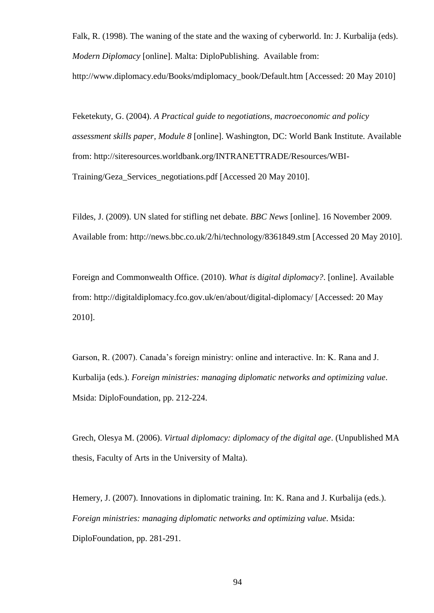Falk, R. (1998). The waning of the state and the waxing of cyberworld. In: J. Kurbalija (eds). *Modern Diplomacy* [online]. Malta: DiploPublishing. Available from:

http://www.diplomacy.edu/Books/mdiplomacy\_book/Default.htm [Accessed: 20 May 2010]

Feketekuty, G. (2004). *A Practical guide to negotiations, macroeconomic and policy assessment skills paper, Module 8* [online]. Washington, DC: World Bank Institute. Available from: http://siteresources.worldbank.org/INTRANETTRADE/Resources/WBI-Training/Geza\_Services\_negotiations.pdf [Accessed 20 May 2010].

Fildes, J. (2009). UN slated for stifling net debate. *BBC News* [online]. 16 November 2009. Available from: http://news.bbc.co.uk/2/hi/technology/8361849.stm [Accessed 20 May 2010].

Foreign and Commonwealth Office. (2010). *What is* d*igital diplomacy?*. [online]. Available from: http://digitaldiplomacy.fco.gov.uk/en/about/digital-diplomacy/ [Accessed: 20 May 2010].

Garson, R. (2007). Canada"s foreign ministry: online and interactive. In: K. Rana and J. Kurbalija (eds.). *Foreign ministries: managing diplomatic networks and optimizing value*. Msida: DiploFoundation, pp. 212-224.

Grech, Olesya M. (2006). *Virtual diplomacy: diplomacy of the digital age*. (Unpublished MA thesis, Faculty of Arts in the University of Malta).

Hemery, J. (2007). Innovations in diplomatic training. In: K. Rana and J. Kurbalija (eds.). *Foreign ministries: managing diplomatic networks and optimizing value*. Msida: DiploFoundation, pp. 281-291.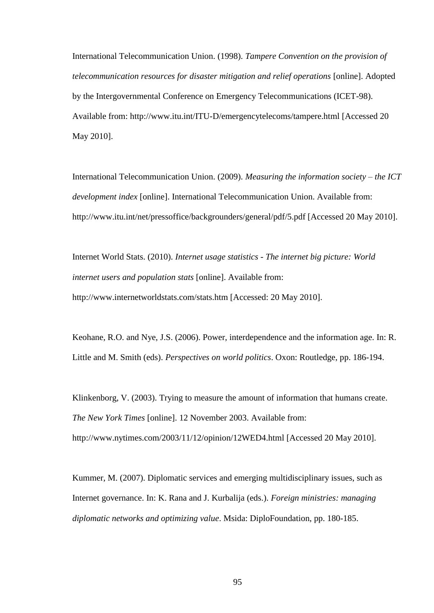International Telecommunication Union. (1998). *Tampere Convention on the provision of telecommunication resources for disaster mitigation and relief operations* [online]. Adopted by the Intergovernmental Conference on Emergency Telecommunications (ICET-98). Available from: http://www.itu.int/ITU-D/emergencytelecoms/tampere.html [Accessed 20 May 2010].

International Telecommunication Union. (2009). *Measuring the information society – the ICT development index* [online]. International Telecommunication Union. Available from: http://www.itu.int/net/pressoffice/backgrounders/general/pdf/5.pdf [Accessed 20 May 2010].

Internet World Stats. (2010). *Internet usage statistics - The internet big picture: World internet users and population stats* [online]. Available from: http://www.internetworldstats.com/stats.htm [Accessed: 20 May 2010].

Keohane, R.O. and Nye, J.S. (2006). Power, interdependence and the information age. In: R. Little and M. Smith (eds). *Perspectives on world politics*. Oxon: Routledge, pp. 186-194.

Klinkenborg, V. (2003). Trying to measure the amount of information that humans create. *The New York Times* [online]. 12 November 2003. Available from: http://www.nytimes.com/2003/11/12/opinion/12WED4.html [Accessed 20 May 2010].

Kummer, M. (2007). Diplomatic services and emerging multidisciplinary issues, such as Internet governance. In: K. Rana and J. Kurbalija (eds.). *Foreign ministries: managing diplomatic networks and optimizing value*. Msida: DiploFoundation, pp. 180-185.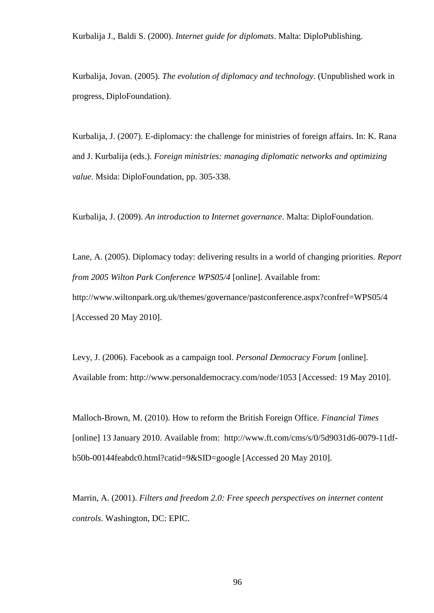Kurbalija J., Baldi S. (2000). *Internet guide for diplomats*. Malta: DiploPublishing.

Kurbalija, Jovan. (2005). *The evolution of diplomacy and technology*. (Unpublished work in progress, DiploFoundation).

Kurbalija, J. (2007). E-diplomacy: the challenge for ministries of foreign affairs. In: K. Rana and J. Kurbalija (eds.). *Foreign ministries: managing diplomatic networks and optimizing value*. Msida: DiploFoundation, pp. 305-338.

Kurbalija, J. (2009). *An introduction to Internet governance*. Malta: DiploFoundation.

Lane, A. (2005). Diplomacy today: delivering results in a world of changing priorities. *Report from 2005 Wilton Park Conference WPS05/4* [online]. Available from: http://www.wiltonpark.org.uk/themes/governance/pastconference.aspx?confref=WPS05/4 [Accessed 20 May 2010].

Levy, J. (2006). Facebook as a campaign tool. *Personal Democracy Forum* [online]. Available from: http://www.personaldemocracy.com/node/1053 [Accessed: 19 May 2010].

Malloch-Brown, M. (2010). How to reform the British Foreign Office. *Financial Times* [online] 13 January 2010. Available from: http://www.ft.com/cms/s/0/5d9031d6-0079-11dfb50b-00144feabdc0.html?catid=9&SID=google [Accessed 20 May 2010].

Marrin, A. (2001). *Filters and freedom 2.0: Free speech perspectives on internet content controls*. Washington, DC: EPIC.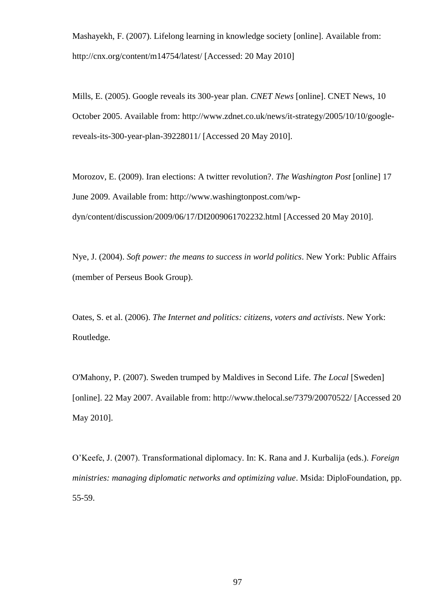Mashayekh, F. (2007). Lifelong learning in knowledge society [online]. Available from: http://cnx.org/content/m14754/latest/ [Accessed: 20 May 2010]

Mills, E. (2005). Google reveals its 300-year plan. *CNET News* [online]. CNET News, 10 October 2005. Available from: http://www.zdnet.co.uk/news/it-strategy/2005/10/10/googlereveals-its-300-year-plan-39228011/ [Accessed 20 May 2010].

Morozov, E. (2009). Iran elections: A twitter revolution?. *The Washington Post* [online] 17 June 2009. Available from: http://www.washingtonpost.com/wpdyn/content/discussion/2009/06/17/DI2009061702232.html [Accessed 20 May 2010].

Nye, J. (2004). *Soft power: the means to success in world politics*. New York: Public Affairs (member of Perseus Book Group).

Oates, S. et al. (2006). *The Internet and politics: citizens, voters and activists*. New York: Routledge.

O'Mahony, P. (2007). Sweden trumped by Maldives in Second Life. *The Local* [Sweden] [online]. 22 May 2007. Available from: http://www.thelocal.se/7379/20070522/ [Accessed 20 May 2010].

O"Keefe, J. (2007). Transformational diplomacy. In: K. Rana and J. Kurbalija (eds.). *Foreign ministries: managing diplomatic networks and optimizing value*. Msida: DiploFoundation, pp. 55-59.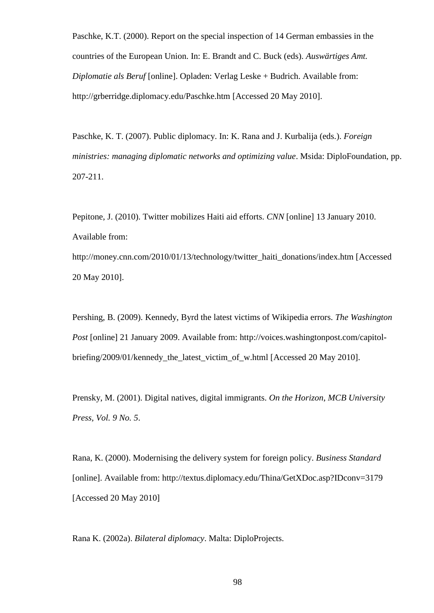Paschke, K.T. (2000). Report on the special inspection of 14 German embassies in the countries of the European Union. In: E. Brandt and C. Buck (eds). *Auswärtiges Amt. Diplomatie als Beruf* [online]. Opladen: Verlag Leske + Budrich. Available from: http://grberridge.diplomacy.edu/Paschke.htm [Accessed 20 May 2010].

Paschke, K. T. (2007). Public diplomacy. In: K. Rana and J. Kurbalija (eds.). *Foreign ministries: managing diplomatic networks and optimizing value*. Msida: DiploFoundation, pp. 207-211.

Pepitone, J. (2010). Twitter mobilizes Haiti aid efforts. *CNN* [online] 13 January 2010. Available from:

http://money.cnn.com/2010/01/13/technology/twitter\_haiti\_donations/index.htm [Accessed 20 May 2010].

Pershing, B. (2009). Kennedy, Byrd the latest victims of Wikipedia errors. *The Washington Post* [online] 21 January 2009. Available from: http://voices.washingtonpost.com/capitolbriefing/2009/01/kennedy\_the\_latest\_victim\_of\_w.html [Accessed 20 May 2010].

Prensky, M. (2001). Digital natives, digital immigrants. *On the Horizon*, *MCB University Press, Vol. 9 No. 5*.

Rana, K. (2000). Modernising the delivery system for foreign policy. *Business Standard*  [online]. Available from: http://textus.diplomacy.edu/Thina/GetXDoc.asp?IDconv=3179 [Accessed 20 May 2010]

Rana K. (2002a). *Bilateral diplomacy*. Malta: DiploProjects.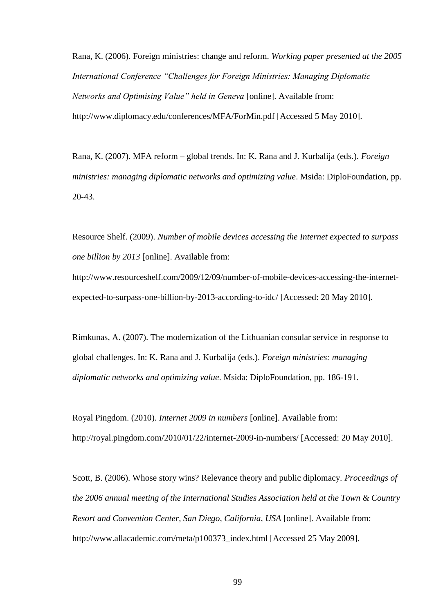Rana, K. (2006). Foreign ministries: change and reform. *Working paper presented at the 2005 International Conference "Challenges for Foreign Ministries: Managing Diplomatic Networks and Optimising Value" held in Geneva* [online]. Available from: http://www.diplomacy.edu/conferences/MFA/ForMin.pdf [Accessed 5 May 2010].

Rana, K. (2007). MFA reform – global trends. In: K. Rana and J. Kurbalija (eds.). *Foreign ministries: managing diplomatic networks and optimizing value*. Msida: DiploFoundation, pp. 20-43.

Resource Shelf. (2009). *Number of mobile devices accessing the Internet expected to surpass one billion by 2013* [online]. Available from:

http://www.resourceshelf.com/2009/12/09/number-of-mobile-devices-accessing-the-internetexpected-to-surpass-one-billion-by-2013-according-to-idc/ [Accessed: 20 May 2010].

Rimkunas, A. (2007). The modernization of the Lithuanian consular service in response to global challenges. In: K. Rana and J. Kurbalija (eds.). *Foreign ministries: managing diplomatic networks and optimizing value*. Msida: DiploFoundation, pp. 186-191.

Royal Pingdom. (2010). *Internet 2009 in numbers* [online]. Available from: http://royal.pingdom.com/2010/01/22/internet-2009-in-numbers/ [Accessed: 20 May 2010].

Scott, B. (2006). Whose story wins? Relevance theory and public diplomacy. *Proceedings of the 2006 annual meeting of the International Studies Association held at the Town & Country Resort and Convention Center, San Diego, California, USA* [online]. Available from: http://www.allacademic.com/meta/p100373\_index.html [Accessed 25 May 2009].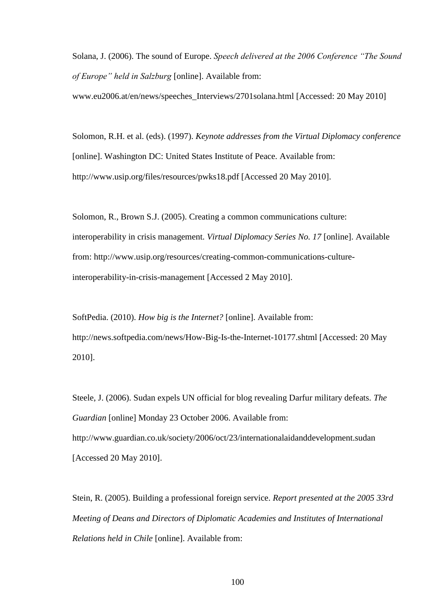Solana, J. (2006). The sound of Europe. *Speech delivered at the 2006 Conference "The Sound of Europe" held in Salzburg* [online]. Available from:

www.eu2006.at/en/news/speeches\_Interviews/2701solana.html [Accessed: 20 May 2010]

Solomon, R.H. et al. (eds). (1997). *Keynote addresses from the Virtual Diplomacy conference* [online]. Washington DC: United States Institute of Peace. Available from: http://www.usip.org/files/resources/pwks18.pdf [Accessed 20 May 2010].

Solomon, R., Brown S.J. (2005). Creating a common communications culture: interoperability in crisis management. *Virtual Diplomacy Series No. 17* [online]. Available from: http://www.usip.org/resources/creating-common-communications-cultureinteroperability-in-crisis-management [Accessed 2 May 2010].

SoftPedia. (2010). *How big is the Internet?* [online]. Available from: http://news.softpedia.com/news/How-Big-Is-the-Internet-10177.shtml [Accessed: 20 May 2010].

Steele, J. (2006). Sudan expels UN official for blog revealing Darfur military defeats. *The Guardian* [online] Monday 23 October 2006. Available from: http://www.guardian.co.uk/society/2006/oct/23/internationalaidanddevelopment.sudan [Accessed 20 May 2010].

Stein, R. (2005). Building a professional foreign service. *Report presented at the 2005 33rd Meeting of Deans and Directors of Diplomatic Academies and Institutes of International Relations held in Chile* [online]. Available from: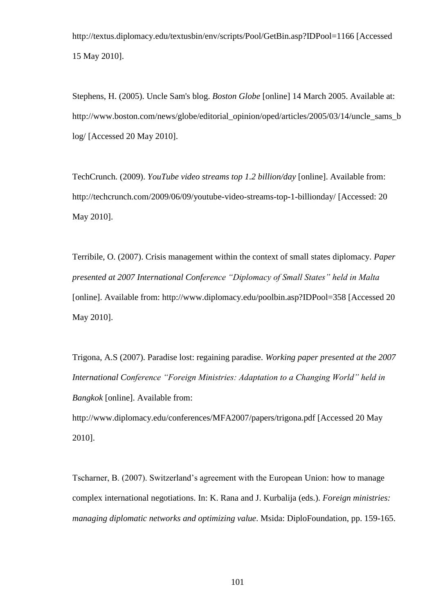http://textus.diplomacy.edu/textusbin/env/scripts/Pool/GetBin.asp?IDPool=1166 [Accessed 15 May 2010].

Stephens, H. (2005). Uncle Sam's blog. *Boston Globe* [online] 14 March 2005. Available at: http://www.boston.com/news/globe/editorial\_opinion/oped/articles/2005/03/14/uncle\_sams\_b log/ [Accessed 20 May 2010].

TechCrunch. (2009). *YouTube video streams top 1.2 billion/day* [online]. Available from: http://techcrunch.com/2009/06/09/youtube-video-streams-top-1-billionday/ [Accessed: 20 May 2010].

Terribile, O. (2007). Crisis management within the context of small states diplomacy. *Paper presented at 2007 International Conference "Diplomacy of Small States" held in Malta*  [online]. Available from: http://www.diplomacy.edu/poolbin.asp?IDPool=358 [Accessed 20 May 2010].

Trigona, A.S (2007). Paradise lost: regaining paradise. *Working paper presented at the 2007 International Conference "Foreign Ministries: Adaptation to a Changing World" held in Bangkok* [online]. Available from:

http://www.diplomacy.edu/conferences/MFA2007/papers/trigona.pdf [Accessed 20 May 2010].

Tscharner, B. (2007). Switzerland"s agreement with the European Union: how to manage complex international negotiations. In: K. Rana and J. Kurbalija (eds.). *Foreign ministries: managing diplomatic networks and optimizing value*. Msida: DiploFoundation, pp. 159-165.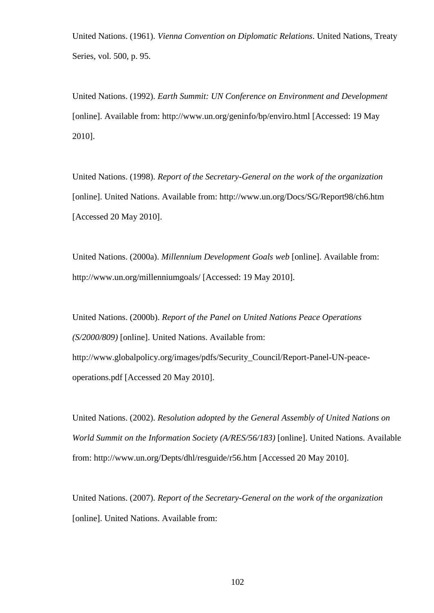United Nations. (1961). *Vienna Convention on Diplomatic Relations*. United Nations, Treaty Series, vol. 500, p. 95.

United Nations. (1992). *Earth Summit: UN Conference on Environment and Development* [online]. Available from: http://www.un.org/geninfo/bp/enviro.html [Accessed: 19 May 2010].

United Nations. (1998). *Report of the Secretary-General on the work of the organization* [online]. United Nations. Available from: http://www.un.org/Docs/SG/Report98/ch6.htm [Accessed 20 May 2010].

United Nations. (2000a). *Millennium Development Goals web* [online]. Available from: http://www.un.org/millenniumgoals/ [Accessed: 19 May 2010].

United Nations. (2000b). *Report of the Panel on United Nations Peace Operations (S/2000/809)* [online]. United Nations. Available from: http://www.globalpolicy.org/images/pdfs/Security\_Council/Report-Panel-UN-peaceoperations.pdf [Accessed 20 May 2010].

United Nations. (2002). *Resolution adopted by the General Assembly of United Nations on World Summit on the Information Society (A/RES/56/183)* [online]. United Nations. Available from: http://www.un.org/Depts/dhl/resguide/r56.htm [Accessed 20 May 2010].

United Nations. (2007). *Report of the Secretary-General on the work of the organization* [online]. United Nations. Available from: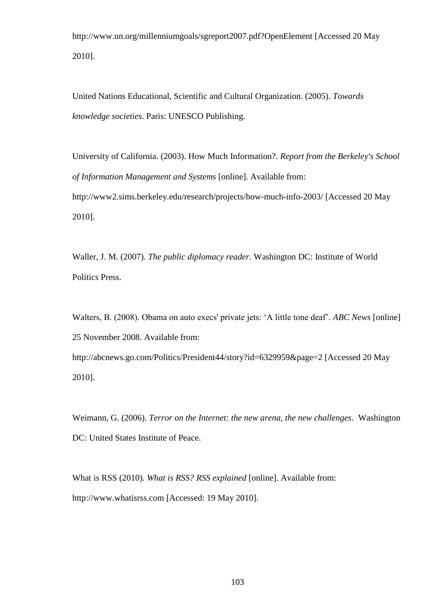http://www.un.org/millenniumgoals/sgreport2007.pdf?OpenElement [Accessed 20 May 2010].

United Nations Educational, Scientific and Cultural Organization. (2005). *Towards knowledge societies*. Paris: UNESCO Publishing.

University of California. (2003). How Much Information?. *Report from the Berkeley's School of Information Management and Systems* [online]. Available from: http://www2.sims.berkeley.edu/research/projects/how-much-info-2003/ [Accessed 20 May 2010].

Waller, J. M. (2007). *The public diplomacy reader*. Washington DC: Institute of World Politics Press.

Walters, B. (2008). Obama on auto execs' private jets: "A little tone deaf". *ABC News* [online] 25 November 2008. Available from:

http://abcnews.go.com/Politics/President44/story?id=6329959&page=2 [Accessed 20 May 2010].

Weimann, G. (2006). *Terror on the Internet: the new arena, the new challenges*. Washington DC: United States Institute of Peace.

What is RSS (2010). *What is RSS? RSS explained* [online]. Available from: http://www.whatisrss.com [Accessed: 19 May 2010].